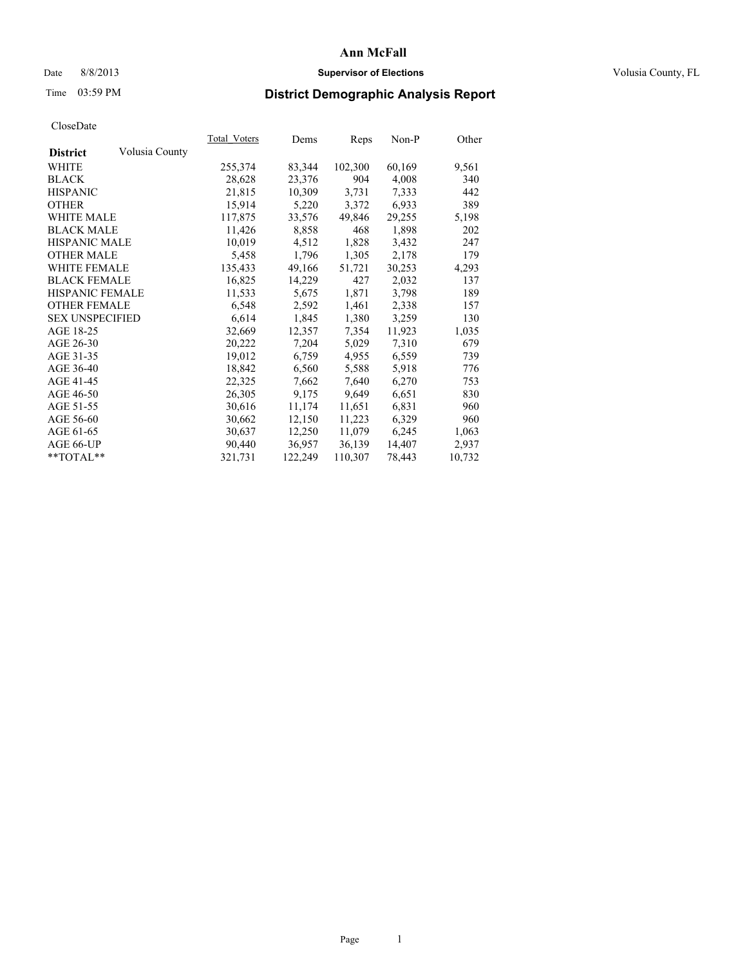### Date 8/8/2013 **Supervisor of Elections Supervisor of Elections** Volusia County, FL

# Time 03:59 PM **District Demographic Analysis Report**

|                        |                | Total Voters | Dems    | <b>Reps</b> | Non-P  | Other  |
|------------------------|----------------|--------------|---------|-------------|--------|--------|
| <b>District</b>        | Volusia County |              |         |             |        |        |
| WHITE                  |                | 255,374      | 83,344  | 102,300     | 60,169 | 9,561  |
| <b>BLACK</b>           |                | 28,628       | 23,376  | 904         | 4,008  | 340    |
| <b>HISPANIC</b>        |                | 21,815       | 10,309  | 3,731       | 7,333  | 442    |
| <b>OTHER</b>           |                | 15,914       | 5,220   | 3,372       | 6,933  | 389    |
| <b>WHITE MALE</b>      |                | 117,875      | 33,576  | 49,846      | 29,255 | 5,198  |
| <b>BLACK MALE</b>      |                | 11,426       | 8,858   | 468         | 1,898  | 202    |
| <b>HISPANIC MALE</b>   |                | 10,019       | 4,512   | 1,828       | 3,432  | 247    |
| <b>OTHER MALE</b>      |                | 5,458        | 1,796   | 1,305       | 2,178  | 179    |
| <b>WHITE FEMALE</b>    |                | 135,433      | 49,166  | 51,721      | 30,253 | 4,293  |
| <b>BLACK FEMALE</b>    |                | 16,825       | 14,229  | 427         | 2,032  | 137    |
| HISPANIC FEMALE        |                | 11,533       | 5,675   | 1,871       | 3,798  | 189    |
| <b>OTHER FEMALE</b>    |                | 6,548        | 2,592   | 1,461       | 2,338  | 157    |
| <b>SEX UNSPECIFIED</b> |                | 6,614        | 1,845   | 1,380       | 3,259  | 130    |
| AGE 18-25              |                | 32,669       | 12,357  | 7,354       | 11,923 | 1,035  |
| AGE 26-30              |                | 20,222       | 7,204   | 5,029       | 7,310  | 679    |
| AGE 31-35              |                | 19,012       | 6,759   | 4,955       | 6,559  | 739    |
| AGE 36-40              |                | 18,842       | 6,560   | 5,588       | 5,918  | 776    |
| AGE 41-45              |                | 22,325       | 7,662   | 7,640       | 6,270  | 753    |
| AGE 46-50              |                | 26,305       | 9,175   | 9,649       | 6,651  | 830    |
| AGE 51-55              |                | 30,616       | 11,174  | 11,651      | 6,831  | 960    |
| AGE 56-60              |                | 30,662       | 12,150  | 11,223      | 6,329  | 960    |
| AGE 61-65              |                | 30,637       | 12,250  | 11,079      | 6,245  | 1,063  |
| AGE 66-UP              |                | 90,440       | 36,957  | 36,139      | 14,407 | 2,937  |
| $*$ TOTAL $*$          |                | 321,731      | 122,249 | 110,307     | 78,443 | 10,732 |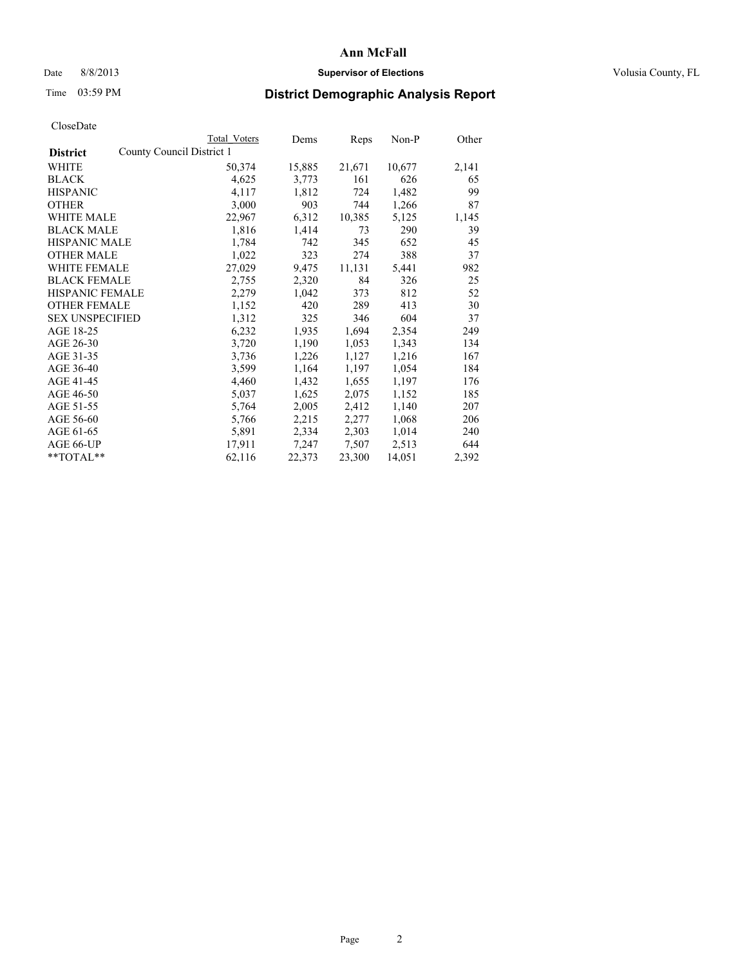### Date 8/8/2013 **Supervisor of Elections Supervisor of Elections** Volusia County, FL

## Time 03:59 PM **District Demographic Analysis Report**

|                        |                           | <b>Total Voters</b> | Dems   | Reps   | Non-P  | Other |
|------------------------|---------------------------|---------------------|--------|--------|--------|-------|
| <b>District</b>        | County Council District 1 |                     |        |        |        |       |
| WHITE                  |                           | 50,374              | 15,885 | 21,671 | 10,677 | 2,141 |
| <b>BLACK</b>           |                           | 4,625               | 3,773  | 161    | 626    | 65    |
| <b>HISPANIC</b>        |                           | 4,117               | 1,812  | 724    | 1,482  | 99    |
| <b>OTHER</b>           |                           | 3,000               | 903    | 744    | 1,266  | 87    |
| WHITE MALE             |                           | 22,967              | 6,312  | 10,385 | 5,125  | 1,145 |
| <b>BLACK MALE</b>      |                           | 1,816               | 1,414  | 73     | 290    | 39    |
| <b>HISPANIC MALE</b>   |                           | 1,784               | 742    | 345    | 652    | 45    |
| <b>OTHER MALE</b>      |                           | 1,022               | 323    | 274    | 388    | 37    |
| <b>WHITE FEMALE</b>    |                           | 27,029              | 9,475  | 11,131 | 5,441  | 982   |
| <b>BLACK FEMALE</b>    |                           | 2,755               | 2,320  | 84     | 326    | 25    |
| HISPANIC FEMALE        |                           | 2,279               | 1,042  | 373    | 812    | 52    |
| <b>OTHER FEMALE</b>    |                           | 1,152               | 420    | 289    | 413    | 30    |
| <b>SEX UNSPECIFIED</b> |                           | 1,312               | 325    | 346    | 604    | 37    |
| AGE 18-25              |                           | 6,232               | 1,935  | 1,694  | 2,354  | 249   |
| AGE 26-30              |                           | 3,720               | 1,190  | 1,053  | 1,343  | 134   |
| AGE 31-35              |                           | 3,736               | 1,226  | 1,127  | 1,216  | 167   |
| AGE 36-40              |                           | 3,599               | 1,164  | 1,197  | 1,054  | 184   |
| AGE 41-45              |                           | 4,460               | 1,432  | 1,655  | 1,197  | 176   |
| AGE 46-50              |                           | 5,037               | 1,625  | 2,075  | 1,152  | 185   |
| AGE 51-55              |                           | 5,764               | 2,005  | 2,412  | 1,140  | 207   |
| AGE 56-60              |                           | 5,766               | 2,215  | 2,277  | 1,068  | 206   |
| AGE 61-65              |                           | 5,891               | 2,334  | 2,303  | 1,014  | 240   |
| AGE 66-UP              |                           | 17,911              | 7,247  | 7,507  | 2,513  | 644   |
| **TOTAL**              |                           | 62,116              | 22,373 | 23,300 | 14,051 | 2,392 |
|                        |                           |                     |        |        |        |       |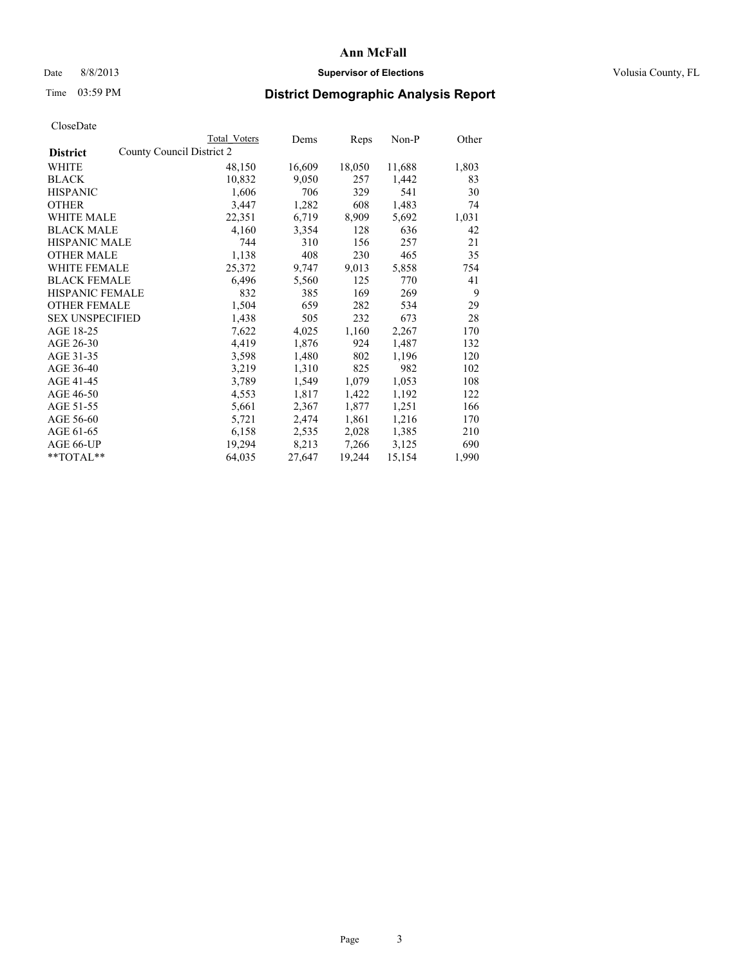### Date 8/8/2013 **Supervisor of Elections Supervisor of Elections** Volusia County, FL

# Time 03:59 PM **District Demographic Analysis Report**

| <b>Total Voters</b>       | Dems   | Reps   | Non-P  | Other |
|---------------------------|--------|--------|--------|-------|
| County Council District 2 |        |        |        |       |
| 48,150                    | 16,609 | 18,050 | 11,688 | 1,803 |
| 10,832                    | 9,050  | 257    | 1,442  | 83    |
| 1,606                     | 706    | 329    | 541    | 30    |
| 3,447                     | 1,282  | 608    | 1,483  | 74    |
| 22,351                    | 6,719  | 8,909  | 5,692  | 1,031 |
| 4,160                     | 3,354  | 128    | 636    | 42    |
| 744                       | 310    | 156    | 257    | 21    |
| 1,138                     | 408    | 230    | 465    | 35    |
| 25,372                    | 9,747  | 9,013  | 5,858  | 754   |
| 6,496                     | 5,560  | 125    | 770    | 41    |
| 832                       | 385    | 169    | 269    | 9     |
| 1,504                     | 659    | 282    | 534    | 29    |
| 1,438                     | 505    | 232    | 673    | 28    |
| 7,622                     | 4,025  | 1,160  | 2,267  | 170   |
| 4,419                     | 1,876  | 924    | 1,487  | 132   |
| 3,598                     | 1,480  | 802    | 1,196  | 120   |
| 3,219                     | 1,310  | 825    | 982    | 102   |
| 3,789                     | 1,549  | 1,079  | 1,053  | 108   |
| 4,553                     | 1,817  | 1,422  | 1,192  | 122   |
| 5,661                     | 2,367  | 1,877  | 1,251  | 166   |
| 5,721                     | 2,474  | 1,861  | 1,216  | 170   |
| 6,158                     | 2,535  | 2,028  | 1,385  | 210   |
| 19,294                    | 8,213  | 7,266  | 3,125  | 690   |
| 64,035                    | 27,647 | 19,244 | 15,154 | 1,990 |
|                           |        |        |        |       |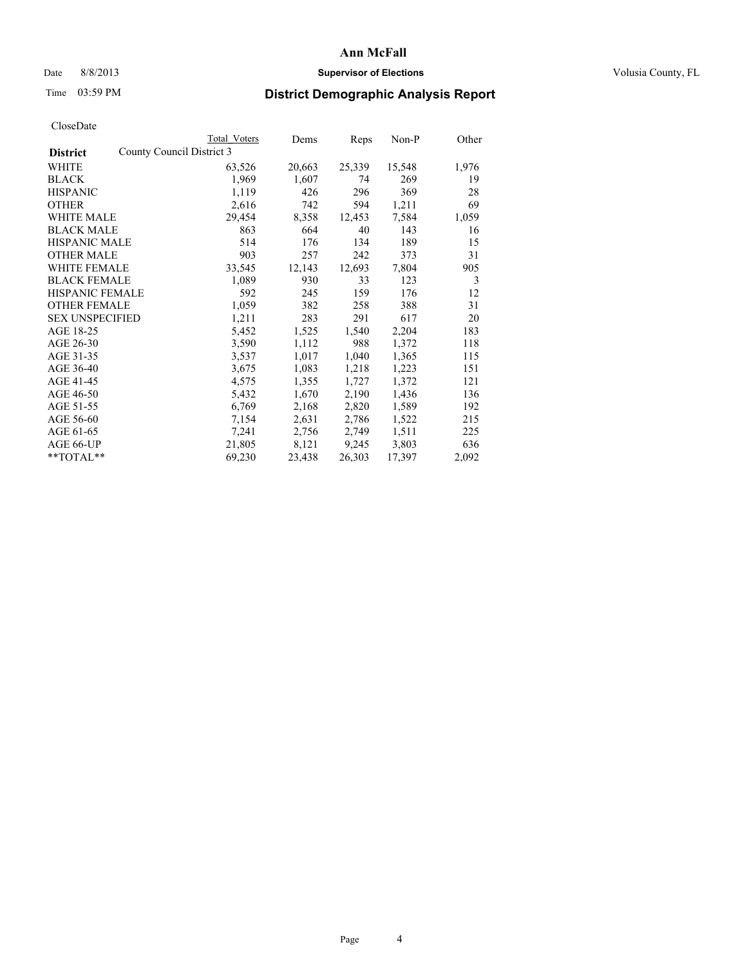### Date 8/8/2013 **Supervisor of Elections Supervisor of Elections** Volusia County, FL

# Time 03:59 PM **District Demographic Analysis Report**

|                                              | Total Voters | Dems   | <b>Reps</b> | Non-P  | Other |
|----------------------------------------------|--------------|--------|-------------|--------|-------|
| County Council District 3<br><b>District</b> |              |        |             |        |       |
| WHITE                                        | 63,526       | 20,663 | 25,339      | 15,548 | 1,976 |
| <b>BLACK</b>                                 | 1,969        | 1,607  | 74          | 269    | 19    |
| <b>HISPANIC</b>                              | 1,119        | 426    | 296         | 369    | 28    |
| <b>OTHER</b>                                 | 2,616        | 742    | 594         | 1,211  | 69    |
| <b>WHITE MALE</b>                            | 29,454       | 8,358  | 12,453      | 7,584  | 1,059 |
| <b>BLACK MALE</b>                            | 863          | 664    | 40          | 143    | 16    |
| <b>HISPANIC MALE</b>                         | 514          | 176    | 134         | 189    | 15    |
| <b>OTHER MALE</b>                            | 903          | 257    | 242         | 373    | 31    |
| <b>WHITE FEMALE</b>                          | 33,545       | 12,143 | 12,693      | 7,804  | 905   |
| <b>BLACK FEMALE</b>                          | 1,089        | 930    | 33          | 123    | 3     |
| <b>HISPANIC FEMALE</b>                       | 592          | 245    | 159         | 176    | 12    |
| <b>OTHER FEMALE</b>                          | 1,059        | 382    | 258         | 388    | 31    |
| <b>SEX UNSPECIFIED</b>                       | 1,211        | 283    | 291         | 617    | 20    |
| AGE 18-25                                    | 5,452        | 1,525  | 1,540       | 2,204  | 183   |
| AGE 26-30                                    | 3,590        | 1,112  | 988         | 1,372  | 118   |
| AGE 31-35                                    | 3,537        | 1,017  | 1,040       | 1,365  | 115   |
| AGE 36-40                                    | 3,675        | 1,083  | 1,218       | 1,223  | 151   |
| AGE 41-45                                    | 4,575        | 1,355  | 1,727       | 1,372  | 121   |
| AGE 46-50                                    | 5,432        | 1,670  | 2,190       | 1,436  | 136   |
| AGE 51-55                                    | 6,769        | 2,168  | 2,820       | 1,589  | 192   |
| AGE 56-60                                    | 7,154        | 2,631  | 2,786       | 1,522  | 215   |
| AGE 61-65                                    | 7,241        | 2,756  | 2,749       | 1,511  | 225   |
| AGE 66-UP                                    | 21,805       | 8,121  | 9,245       | 3,803  | 636   |
| $*$ $TOTAL**$                                | 69,230       | 23,438 | 26,303      | 17,397 | 2,092 |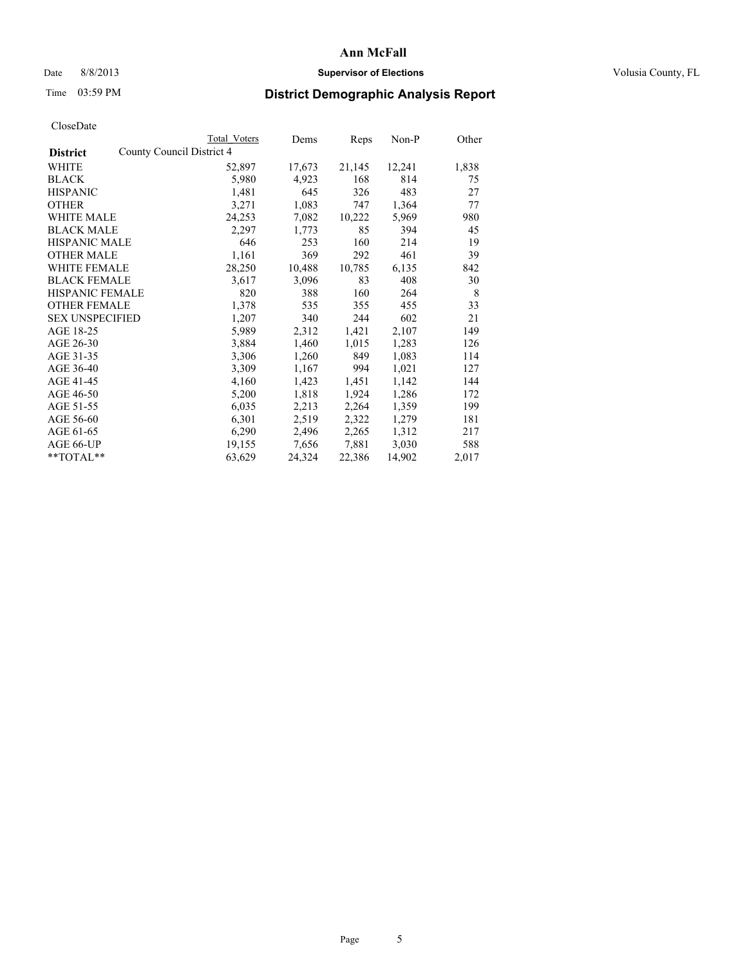### Date 8/8/2013 **Supervisor of Elections Supervisor of Elections** Volusia County, FL

## Time 03:59 PM **District Demographic Analysis Report**

|                        |                           | <b>Total Voters</b> | Dems   | Reps   | Non-P  | Other |
|------------------------|---------------------------|---------------------|--------|--------|--------|-------|
| <b>District</b>        | County Council District 4 |                     |        |        |        |       |
| <b>WHITE</b>           |                           | 52,897              | 17,673 | 21,145 | 12,241 | 1,838 |
| <b>BLACK</b>           |                           | 5,980               | 4,923  | 168    | 814    | 75    |
| <b>HISPANIC</b>        |                           | 1,481               | 645    | 326    | 483    | 27    |
| <b>OTHER</b>           |                           | 3,271               | 1,083  | 747    | 1,364  | 77    |
| <b>WHITE MALE</b>      |                           | 24,253              | 7,082  | 10,222 | 5,969  | 980   |
| <b>BLACK MALE</b>      |                           | 2,297               | 1,773  | 85     | 394    | 45    |
| <b>HISPANIC MALE</b>   |                           | 646                 | 253    | 160    | 214    | 19    |
| <b>OTHER MALE</b>      |                           | 1,161               | 369    | 292    | 461    | 39    |
| <b>WHITE FEMALE</b>    |                           | 28,250              | 10,488 | 10,785 | 6,135  | 842   |
| <b>BLACK FEMALE</b>    |                           | 3,617               | 3,096  | 83     | 408    | 30    |
| <b>HISPANIC FEMALE</b> |                           | 820                 | 388    | 160    | 264    | 8     |
| <b>OTHER FEMALE</b>    |                           | 1,378               | 535    | 355    | 455    | 33    |
| <b>SEX UNSPECIFIED</b> |                           | 1,207               | 340    | 244    | 602    | 21    |
| AGE 18-25              |                           | 5,989               | 2,312  | 1,421  | 2,107  | 149   |
| AGE 26-30              |                           | 3,884               | 1,460  | 1,015  | 1,283  | 126   |
| AGE 31-35              |                           | 3,306               | 1,260  | 849    | 1,083  | 114   |
| AGE 36-40              |                           | 3,309               | 1,167  | 994    | 1,021  | 127   |
| AGE 41-45              |                           | 4,160               | 1,423  | 1,451  | 1,142  | 144   |
| AGE 46-50              |                           | 5,200               | 1,818  | 1,924  | 1,286  | 172   |
| AGE 51-55              |                           | 6,035               | 2,213  | 2,264  | 1,359  | 199   |
| AGE 56-60              |                           | 6,301               | 2,519  | 2,322  | 1,279  | 181   |
| AGE 61-65              |                           | 6,290               | 2,496  | 2,265  | 1,312  | 217   |
| AGE 66-UP              |                           | 19,155              | 7,656  | 7,881  | 3,030  | 588   |
| $*$ $TOTAL**$          |                           | 63,629              | 24,324 | 22,386 | 14,902 | 2,017 |
|                        |                           |                     |        |        |        |       |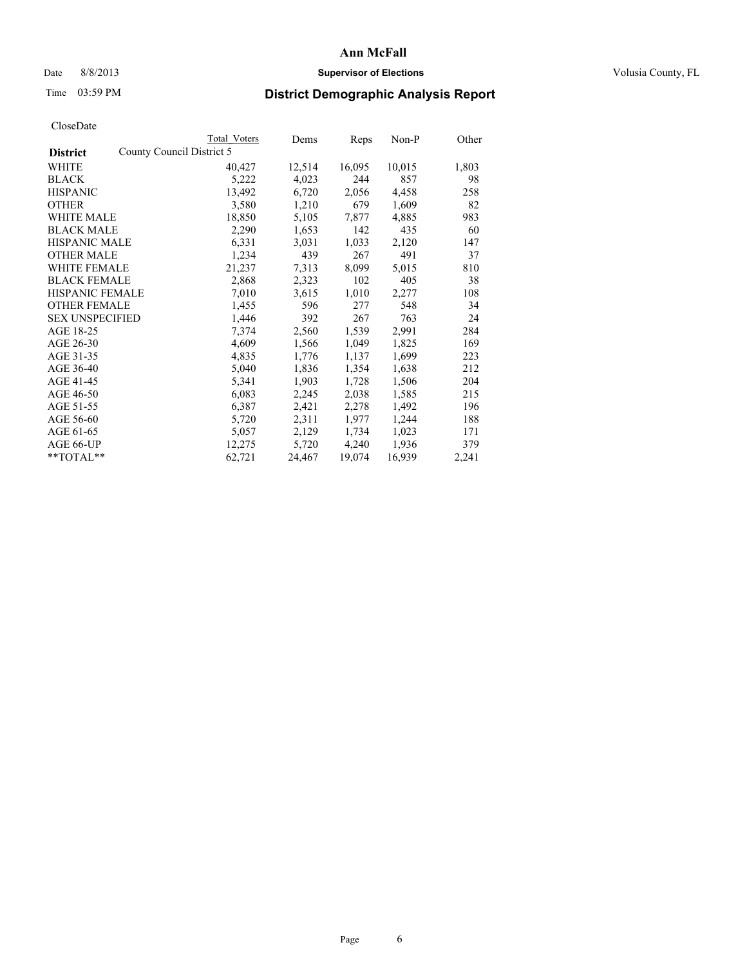### Date 8/8/2013 **Supervisor of Elections Supervisor of Elections** Volusia County, FL

# Time 03:59 PM **District Demographic Analysis Report**

|                        |                           | <b>Total Voters</b> | Dems   | Reps   | Non-P  | Other |
|------------------------|---------------------------|---------------------|--------|--------|--------|-------|
| <b>District</b>        | County Council District 5 |                     |        |        |        |       |
| <b>WHITE</b>           |                           | 40,427              | 12,514 | 16,095 | 10,015 | 1,803 |
| <b>BLACK</b>           |                           | 5,222               | 4,023  | 244    | 857    | 98    |
| <b>HISPANIC</b>        |                           | 13,492              | 6,720  | 2,056  | 4,458  | 258   |
| <b>OTHER</b>           |                           | 3,580               | 1,210  | 679    | 1,609  | 82    |
| <b>WHITE MALE</b>      |                           | 18,850              | 5,105  | 7,877  | 4,885  | 983   |
| <b>BLACK MALE</b>      |                           | 2,290               | 1,653  | 142    | 435    | 60    |
| <b>HISPANIC MALE</b>   |                           | 6,331               | 3,031  | 1,033  | 2,120  | 147   |
| <b>OTHER MALE</b>      |                           | 1,234               | 439    | 267    | 491    | 37    |
| <b>WHITE FEMALE</b>    |                           | 21,237              | 7.313  | 8,099  | 5,015  | 810   |
| <b>BLACK FEMALE</b>    |                           | 2,868               | 2,323  | 102    | 405    | 38    |
| <b>HISPANIC FEMALE</b> |                           | 7,010               | 3,615  | 1,010  | 2,277  | 108   |
| <b>OTHER FEMALE</b>    |                           | 1,455               | 596    | 277    | 548    | 34    |
| <b>SEX UNSPECIFIED</b> |                           | 1,446               | 392    | 267    | 763    | 24    |
| AGE 18-25              |                           | 7,374               | 2,560  | 1,539  | 2,991  | 284   |
| AGE 26-30              |                           | 4,609               | 1,566  | 1,049  | 1,825  | 169   |
| AGE 31-35              |                           | 4,835               | 1,776  | 1,137  | 1,699  | 223   |
| AGE 36-40              |                           | 5,040               | 1,836  | 1,354  | 1,638  | 212   |
| AGE 41-45              |                           | 5,341               | 1,903  | 1,728  | 1,506  | 204   |
| AGE 46-50              |                           | 6,083               | 2,245  | 2,038  | 1,585  | 215   |
| AGE 51-55              |                           | 6,387               | 2,421  | 2,278  | 1,492  | 196   |
| AGE 56-60              |                           | 5,720               | 2,311  | 1,977  | 1,244  | 188   |
| AGE 61-65              |                           | 5,057               | 2,129  | 1,734  | 1,023  | 171   |
| AGE 66-UP              |                           | 12,275              | 5,720  | 4,240  | 1,936  | 379   |
| **TOTAL**              |                           | 62,721              | 24,467 | 19,074 | 16,939 | 2,241 |
|                        |                           |                     |        |        |        |       |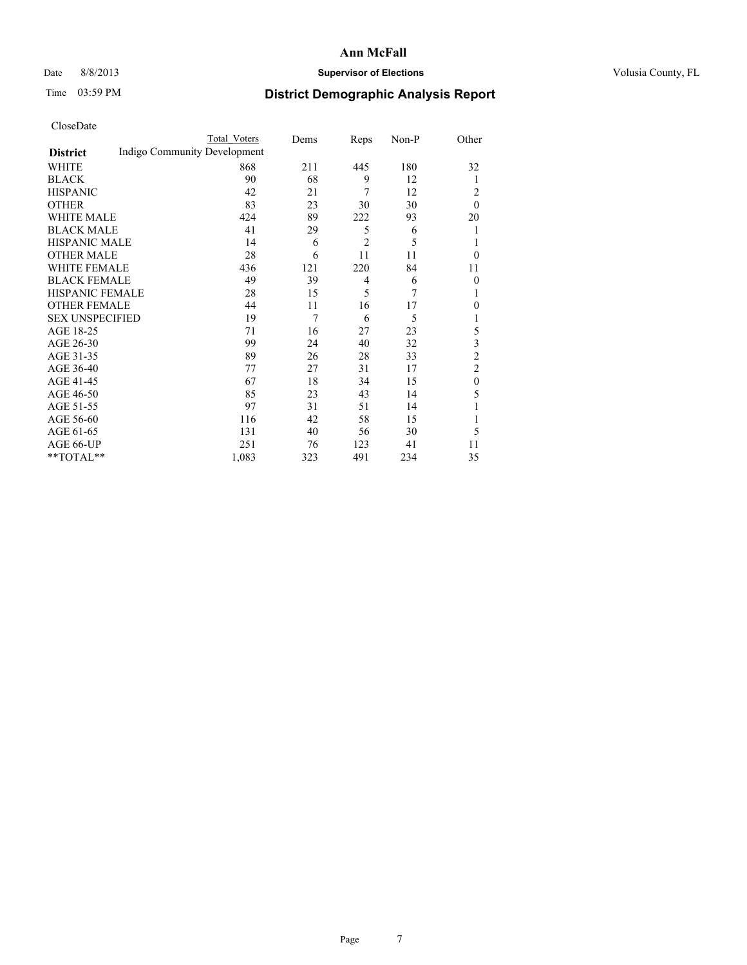### Date 8/8/2013 **Supervisor of Elections Supervisor of Elections** Volusia County, FL

# Time 03:59 PM **District Demographic Analysis Report**

|                        |                              | <b>Total Voters</b> | Dems | Reps           | Non-P | Other            |
|------------------------|------------------------------|---------------------|------|----------------|-------|------------------|
| <b>District</b>        | Indigo Community Development |                     |      |                |       |                  |
| WHITE                  |                              | 868                 | 211  | 445            | 180   | 32               |
| <b>BLACK</b>           |                              | 90                  | 68   | 9              | 12    | 1                |
| <b>HISPANIC</b>        |                              | 42                  | 21   | 7              | 12    | 2                |
| <b>OTHER</b>           |                              | 83                  | 23   | 30             | 30    | $\theta$         |
| WHITE MALE             |                              | 424                 | 89   | 222            | 93    | 20               |
| <b>BLACK MALE</b>      |                              | 41                  | 29   | 5              | 6     | 1                |
| <b>HISPANIC MALE</b>   |                              | 14                  | 6    | $\overline{c}$ | 5     |                  |
| <b>OTHER MALE</b>      |                              | 28                  | 6    | 11             | 11    | $\theta$         |
| WHITE FEMALE           |                              | 436                 | 121  | 220            | 84    | 11               |
| <b>BLACK FEMALE</b>    |                              | 49                  | 39   | $\overline{4}$ | 6     | $\theta$         |
| <b>HISPANIC FEMALE</b> |                              | 28                  | 15   | 5              | 7     |                  |
| <b>OTHER FEMALE</b>    |                              | 44                  | 11   | 16             | 17    | 0                |
| <b>SEX UNSPECIFIED</b> |                              | 19                  | 7    | 6              | 5     |                  |
| AGE 18-25              |                              | 71                  | 16   | 27             | 23    | 5                |
| AGE 26-30              |                              | 99                  | 24   | 40             | 32    | 3                |
| AGE 31-35              |                              | 89                  | 26   | 28             | 33    | $\overline{c}$   |
| AGE 36-40              |                              | 77                  | 27   | 31             | 17    | $\overline{c}$   |
| AGE 41-45              |                              | 67                  | 18   | 34             | 15    | $\boldsymbol{0}$ |
| AGE 46-50              |                              | 85                  | 23   | 43             | 14    | 5                |
| AGE 51-55              |                              | 97                  | 31   | 51             | 14    |                  |
| AGE 56-60              |                              | 116                 | 42   | 58             | 15    |                  |
| AGE 61-65              |                              | 131                 | 40   | 56             | 30    | 5                |
| AGE 66-UP              |                              | 251                 | 76   | 123            | 41    | 11               |
| **TOTAL**              |                              | 1,083               | 323  | 491            | 234   | 35               |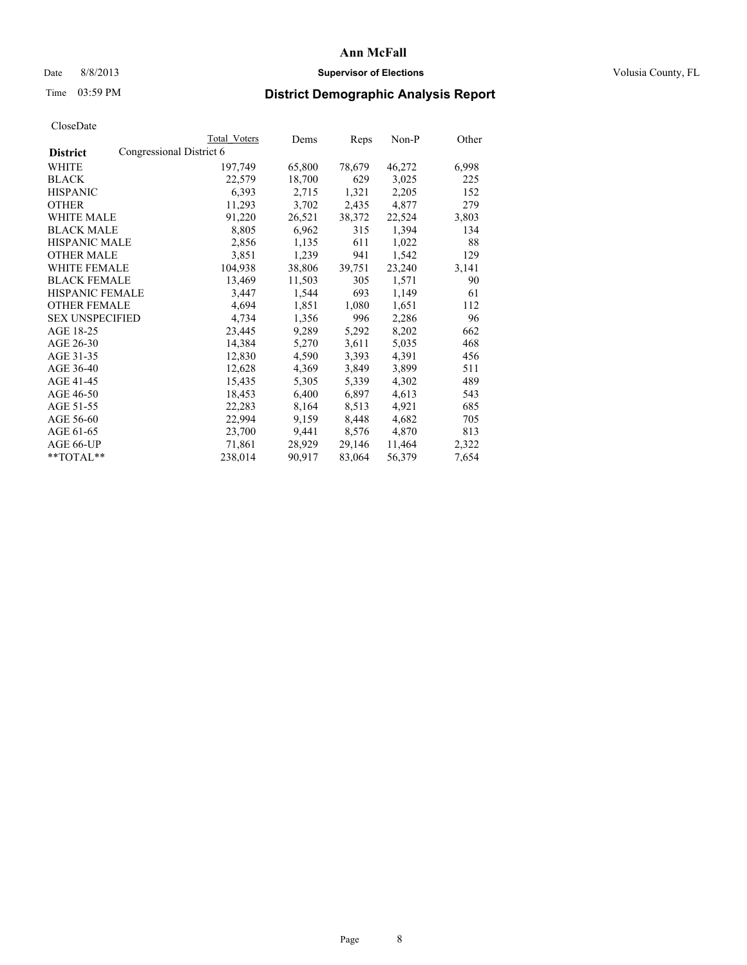### Date 8/8/2013 **Supervisor of Elections Supervisor of Elections** Volusia County, FL

# Time 03:59 PM **District Demographic Analysis Report**

| <b>Total Voters</b>      | Dems   | Reps   | Non-P  | Other |
|--------------------------|--------|--------|--------|-------|
| Congressional District 6 |        |        |        |       |
| 197,749                  | 65,800 | 78,679 | 46,272 | 6,998 |
| 22,579                   | 18,700 | 629    | 3,025  | 225   |
| 6,393                    | 2,715  | 1,321  | 2,205  | 152   |
| 11,293                   | 3,702  | 2,435  | 4,877  | 279   |
| 91,220                   | 26,521 | 38,372 | 22,524 | 3,803 |
| 8,805                    | 6,962  | 315    | 1,394  | 134   |
| 2,856                    | 1,135  | 611    | 1,022  | 88    |
| 3,851                    | 1,239  | 941    | 1,542  | 129   |
| 104,938                  | 38,806 | 39,751 | 23,240 | 3,141 |
| 13,469                   | 11,503 | 305    | 1,571  | 90    |
| 3,447                    | 1,544  | 693    | 1,149  | 61    |
| 4,694                    | 1,851  | 1,080  | 1,651  | 112   |
| 4,734                    | 1,356  | 996    | 2,286  | 96    |
| 23,445                   | 9,289  | 5,292  | 8,202  | 662   |
| 14,384                   | 5,270  | 3,611  | 5,035  | 468   |
| 12,830                   | 4,590  | 3,393  | 4,391  | 456   |
| 12,628                   | 4,369  | 3,849  | 3,899  | 511   |
| 15,435                   | 5,305  | 5,339  | 4,302  | 489   |
| 18,453                   | 6,400  | 6,897  | 4,613  | 543   |
| 22,283                   | 8,164  | 8,513  | 4,921  | 685   |
| 22,994                   | 9,159  | 8,448  | 4,682  | 705   |
| 23,700                   | 9,441  | 8,576  | 4,870  | 813   |
| 71,861                   | 28,929 | 29,146 | 11,464 | 2,322 |
| 238,014                  | 90,917 | 83,064 | 56,379 | 7,654 |
|                          |        |        |        |       |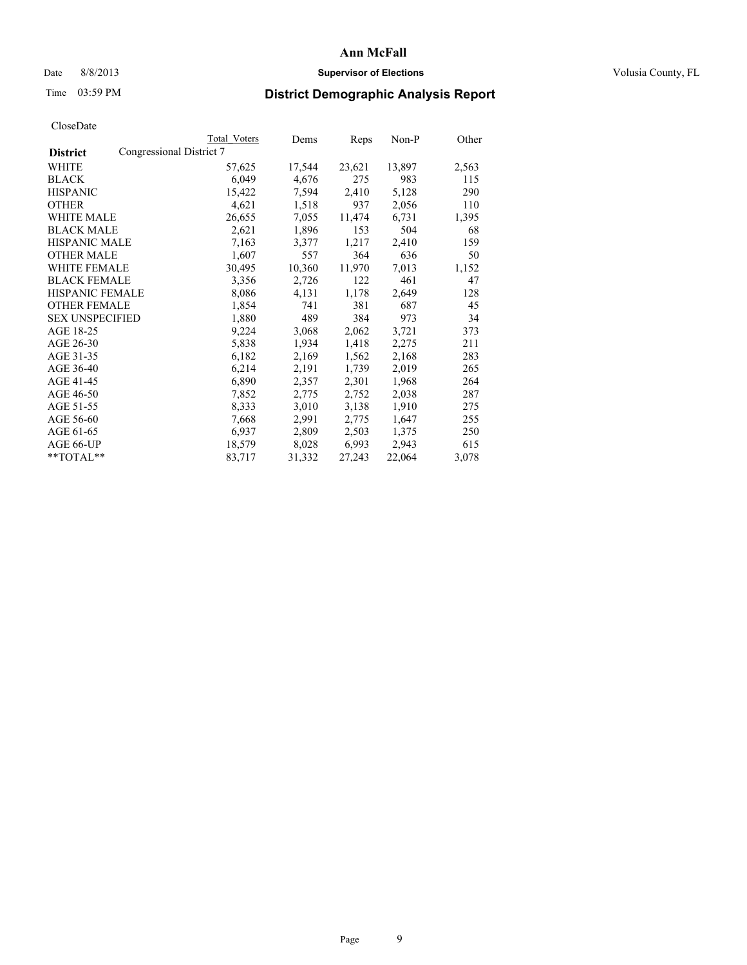### Date 8/8/2013 **Supervisor of Elections Supervisor of Elections** Volusia County, FL

# Time 03:59 PM **District Demographic Analysis Report**

|                                             | Total Voters | Dems   | Reps   | Non-P  | Other |
|---------------------------------------------|--------------|--------|--------|--------|-------|
| Congressional District 7<br><b>District</b> |              |        |        |        |       |
| WHITE                                       | 57,625       | 17,544 | 23,621 | 13,897 | 2,563 |
| <b>BLACK</b>                                | 6,049        | 4,676  | 275    | 983    | 115   |
| <b>HISPANIC</b>                             | 15,422       | 7,594  | 2,410  | 5,128  | 290   |
| <b>OTHER</b>                                | 4,621        | 1,518  | 937    | 2,056  | 110   |
| <b>WHITE MALE</b>                           | 26,655       | 7,055  | 11,474 | 6,731  | 1,395 |
| <b>BLACK MALE</b>                           | 2,621        | 1,896  | 153    | 504    | 68    |
| <b>HISPANIC MALE</b>                        | 7,163        | 3,377  | 1,217  | 2,410  | 159   |
| <b>OTHER MALE</b>                           | 1,607        | 557    | 364    | 636    | 50    |
| WHITE FEMALE                                | 30,495       | 10,360 | 11,970 | 7,013  | 1,152 |
| <b>BLACK FEMALE</b>                         | 3,356        | 2,726  | 122    | 461    | 47    |
| <b>HISPANIC FEMALE</b>                      | 8,086        | 4,131  | 1,178  | 2,649  | 128   |
| <b>OTHER FEMALE</b>                         | 1,854        | 741    | 381    | 687    | 45    |
| <b>SEX UNSPECIFIED</b>                      | 1,880        | 489    | 384    | 973    | 34    |
| AGE 18-25                                   | 9,224        | 3,068  | 2,062  | 3,721  | 373   |
| AGE 26-30                                   | 5,838        | 1,934  | 1,418  | 2,275  | 211   |
| AGE 31-35                                   | 6,182        | 2,169  | 1,562  | 2,168  | 283   |
| AGE 36-40                                   | 6,214        | 2,191  | 1,739  | 2,019  | 265   |
| AGE 41-45                                   | 6,890        | 2,357  | 2,301  | 1,968  | 264   |
| AGE 46-50                                   | 7,852        | 2,775  | 2,752  | 2,038  | 287   |
| AGE 51-55                                   | 8,333        | 3,010  | 3,138  | 1,910  | 275   |
| AGE 56-60                                   | 7,668        | 2,991  | 2,775  | 1,647  | 255   |
| AGE 61-65                                   | 6,937        | 2,809  | 2,503  | 1,375  | 250   |
| AGE 66-UP                                   | 18,579       | 8,028  | 6,993  | 2,943  | 615   |
| $*$ TOTAL $*$                               | 83,717       | 31,332 | 27,243 | 22,064 | 3,078 |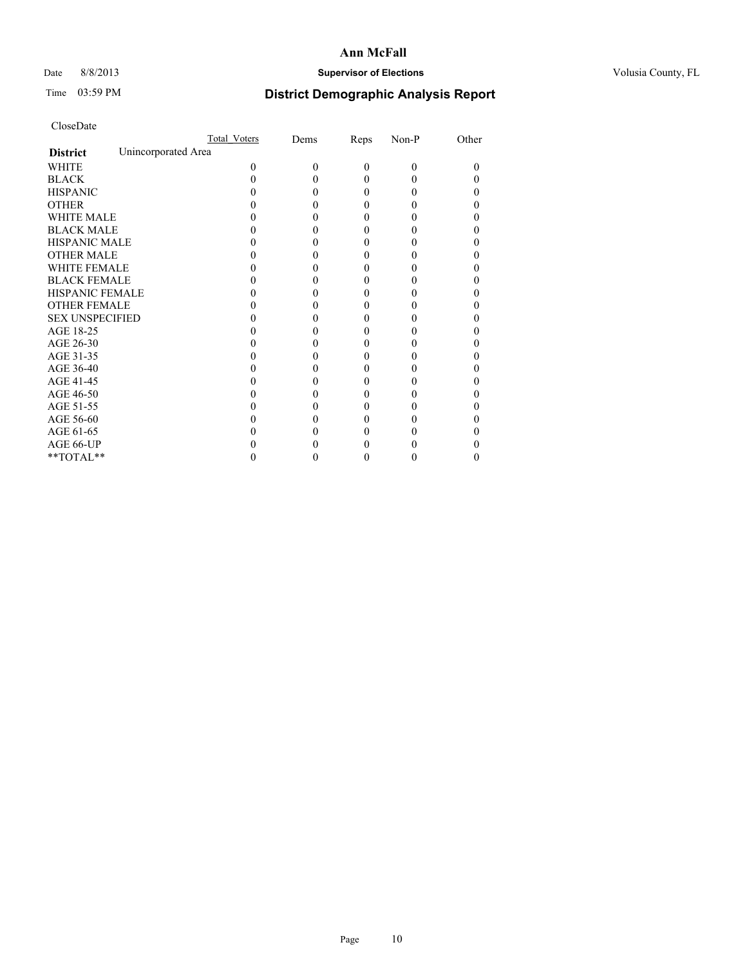## Date 8/8/2013 **Supervisor of Elections Supervisor of Elections** Volusia County, FL

# Time 03:59 PM **District Demographic Analysis Report**

|                                        | Total Voters | Dems | Reps     | Non-P    | Other |
|----------------------------------------|--------------|------|----------|----------|-------|
| Unincorporated Area<br><b>District</b> |              |      |          |          |       |
| <b>WHITE</b>                           | 0            | 0    | $\theta$ | $\Omega$ | 0     |
| <b>BLACK</b>                           |              |      | 0        | 0        |       |
| <b>HISPANIC</b>                        |              |      | 0        | 0        |       |
| <b>OTHER</b>                           |              |      |          |          |       |
| <b>WHITE MALE</b>                      |              |      |          |          |       |
| <b>BLACK MALE</b>                      |              |      | 0        |          |       |
| <b>HISPANIC MALE</b>                   |              |      |          |          |       |
| <b>OTHER MALE</b>                      |              |      | 0        |          |       |
| <b>WHITE FEMALE</b>                    |              |      |          |          |       |
| <b>BLACK FEMALE</b>                    |              |      | 0        |          |       |
| HISPANIC FEMALE                        |              |      |          |          |       |
| <b>OTHER FEMALE</b>                    |              |      |          |          |       |
| <b>SEX UNSPECIFIED</b>                 |              |      |          |          |       |
| AGE 18-25                              |              |      |          |          |       |
| AGE 26-30                              |              |      |          |          |       |
| AGE 31-35                              |              |      |          |          |       |
| AGE 36-40                              |              |      | 0        |          |       |
| AGE 41-45                              |              |      |          |          |       |
| AGE 46-50                              |              |      |          |          |       |
| AGE 51-55                              |              |      |          |          |       |
| AGE 56-60                              |              |      |          |          |       |
| AGE 61-65                              |              |      |          |          |       |
| AGE 66-UP                              |              |      |          |          |       |
| $**TOTAL**$                            |              |      | 0        | 0        | 0     |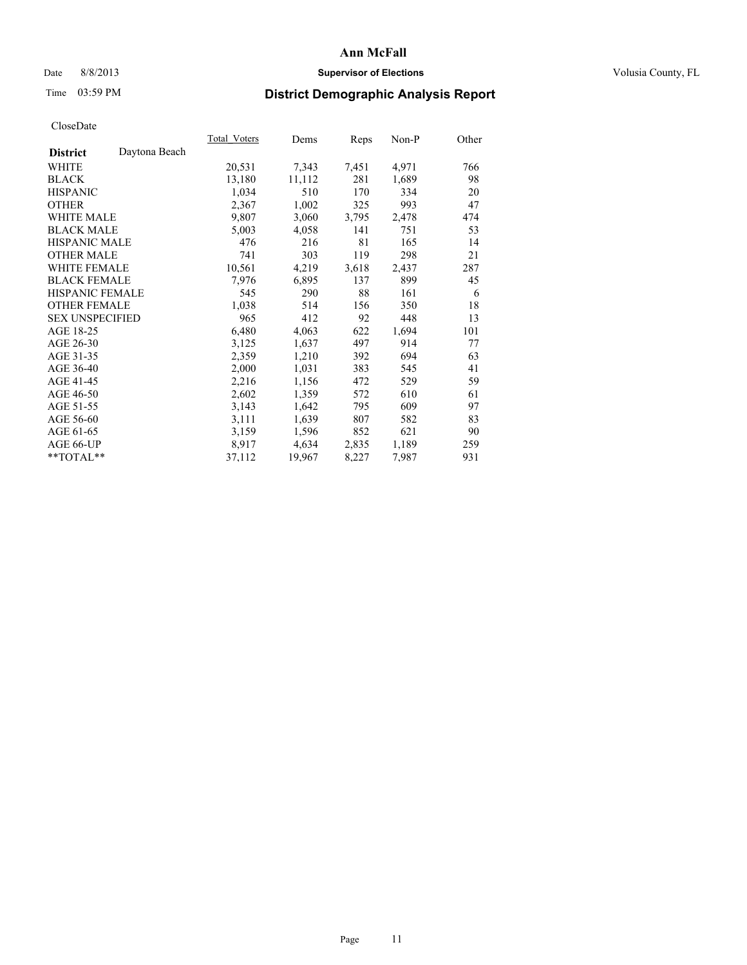## Date 8/8/2013 **Supervisor of Elections Supervisor of Elections** Volusia County, FL

# Time 03:59 PM **District Demographic Analysis Report**

| Total Voters | Dems   | <b>Reps</b> | Non-P | Other |
|--------------|--------|-------------|-------|-------|
|              |        |             |       |       |
| 20,531       | 7,343  | 7,451       | 4,971 | 766   |
| 13,180       | 11,112 | 281         | 1,689 | 98    |
| 1,034        | 510    | 170         | 334   | 20    |
| 2,367        | 1,002  | 325         | 993   | 47    |
| 9,807        | 3,060  | 3,795       | 2,478 | 474   |
| 5,003        | 4,058  | 141         | 751   | 53    |
| 476          | 216    | 81          | 165   | 14    |
| 741          | 303    | 119         | 298   | 21    |
| 10,561       | 4,219  | 3,618       | 2,437 | 287   |
| 7,976        | 6,895  | 137         | 899   | 45    |
| 545          | 290    | 88          | 161   | 6     |
| 1,038        | 514    | 156         | 350   | 18    |
| 965          | 412    | 92          | 448   | 13    |
| 6,480        | 4,063  | 622         | 1,694 | 101   |
| 3,125        | 1,637  | 497         | 914   | 77    |
| 2,359        | 1,210  | 392         | 694   | 63    |
| 2,000        | 1,031  | 383         | 545   | 41    |
| 2,216        | 1,156  | 472         | 529   | 59    |
| 2,602        | 1,359  | 572         | 610   | 61    |
| 3,143        | 1,642  | 795         | 609   | 97    |
| 3,111        | 1,639  | 807         | 582   | 83    |
| 3,159        | 1,596  | 852         | 621   | 90    |
| 8,917        | 4,634  | 2,835       | 1,189 | 259   |
| 37,112       | 19,967 | 8,227       | 7,987 | 931   |
|              |        |             |       |       |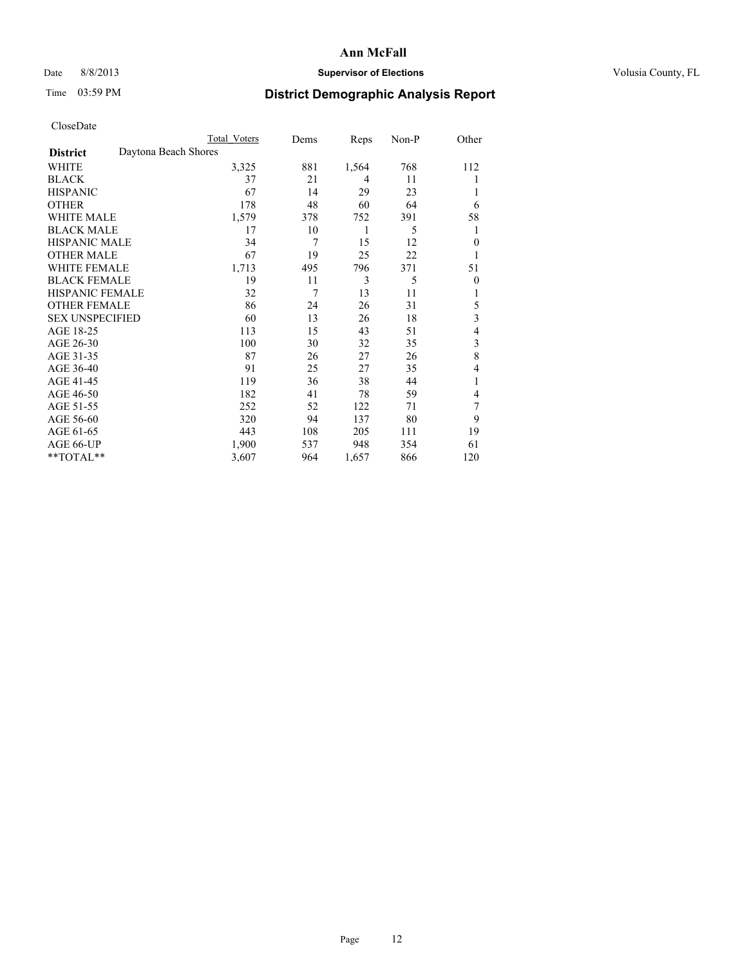### Date 8/8/2013 **Supervisor of Elections Supervisor of Elections** Volusia County, FL

# Time 03:59 PM **District Demographic Analysis Report**

| Cioscivate             |                      |              |      |       |       |                |
|------------------------|----------------------|--------------|------|-------|-------|----------------|
|                        |                      | Total Voters | Dems | Reps  | Non-P | Other          |
| <b>District</b>        | Daytona Beach Shores |              |      |       |       |                |
| <b>WHITE</b>           |                      | 3,325        | 881  | 1,564 | 768   | 112            |
| <b>BLACK</b>           |                      | 37           | 21   | 4     | 11    | 1              |
| <b>HISPANIC</b>        |                      | 67           | 14   | 29    | 23    |                |
| <b>OTHER</b>           |                      | 178          | 48   | 60    | 64    | 6              |
| WHITE MALE             |                      | 1,579        | 378  | 752   | 391   | 58             |
| <b>BLACK MALE</b>      |                      | 17           | 10   | 1     | 5     | 1              |
| <b>HISPANIC MALE</b>   |                      | 34           | 7    | 15    | 12    | $\overline{0}$ |
| <b>OTHER MALE</b>      |                      | 67           | 19   | 25    | 22    | 1              |
| WHITE FEMALE           |                      | 1,713        | 495  | 796   | 371   | 51             |
| <b>BLACK FEMALE</b>    |                      | 19           | 11   | 3     | 5     | $\mathbf{0}$   |
| <b>HISPANIC FEMALE</b> |                      | 32           | 7    | 13    | 11    | 1              |
| <b>OTHER FEMALE</b>    |                      | 86           | 24   | 26    | 31    | 5              |
| <b>SEX UNSPECIFIED</b> |                      | 60           | 13   | 26    | 18    | 3              |
| AGE 18-25              |                      | 113          | 15   | 43    | 51    | 4              |
| AGE 26-30              |                      | 100          | 30   | 32    | 35    | 3              |
| AGE 31-35              |                      | 87           | 26   | 27    | 26    | 8              |
| AGE 36-40              |                      | 91           | 25   | 27    | 35    | 4              |
| AGE 41-45              |                      | 119          | 36   | 38    | 44    | 1              |
| AGE 46-50              |                      | 182          | 41   | 78    | 59    | 4              |
| AGE 51-55              |                      | 252          | 52   | 122   | 71    | 7              |
| AGE 56-60              |                      | 320          | 94   | 137   | 80    | 9              |
| AGE 61-65              |                      | 443          | 108  | 205   | 111   | 19             |
| AGE 66-UP              |                      | 1,900        | 537  | 948   | 354   | 61             |
| **TOTAL**              |                      | 3,607        | 964  | 1,657 | 866   | 120            |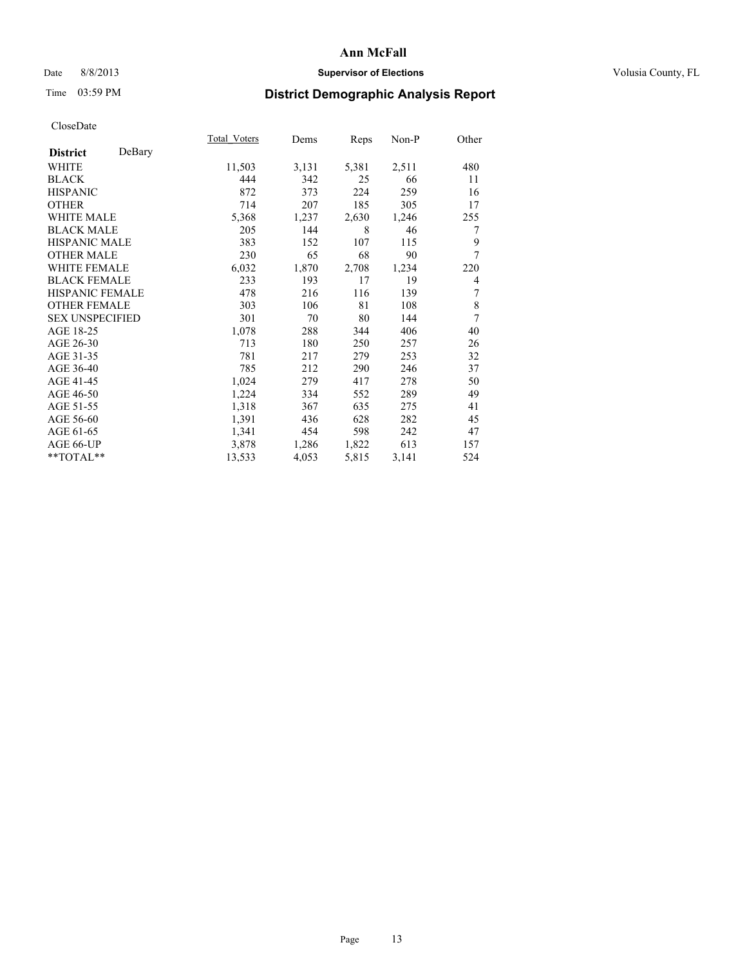## Date 8/8/2013 **Supervisor of Elections Supervisor of Elections** Volusia County, FL

# Time 03:59 PM **District Demographic Analysis Report**

|                        |        | Total Voters | Dems  | Reps  | Non-P | Other  |
|------------------------|--------|--------------|-------|-------|-------|--------|
| <b>District</b>        | DeBary |              |       |       |       |        |
| <b>WHITE</b>           |        | 11,503       | 3,131 | 5,381 | 2,511 | 480    |
| <b>BLACK</b>           |        | 444          | 342   | 25    | 66    | 11     |
| <b>HISPANIC</b>        |        | 872          | 373   | 224   | 259   | 16     |
| <b>OTHER</b>           |        | 714          | 207   | 185   | 305   | 17     |
| <b>WHITE MALE</b>      |        | 5,368        | 1,237 | 2,630 | 1,246 | 255    |
| <b>BLACK MALE</b>      |        | 205          | 144   | 8     | 46    | 7      |
| HISPANIC MALE          |        | 383          | 152   | 107   | 115   | 9      |
| <b>OTHER MALE</b>      |        | 230          | 65    | 68    | 90    | 7      |
| <b>WHITE FEMALE</b>    |        | 6,032        | 1,870 | 2,708 | 1,234 | 220    |
| <b>BLACK FEMALE</b>    |        | 233          | 193   | 17    | 19    | 4      |
| <b>HISPANIC FEMALE</b> |        | 478          | 216   | 116   | 139   | $\tau$ |
| <b>OTHER FEMALE</b>    |        | 303          | 106   | 81    | 108   | 8      |
| <b>SEX UNSPECIFIED</b> |        | 301          | 70    | 80    | 144   | 7      |
| AGE 18-25              |        | 1,078        | 288   | 344   | 406   | 40     |
| AGE 26-30              |        | 713          | 180   | 250   | 257   | 26     |
| AGE 31-35              |        | 781          | 217   | 279   | 253   | 32     |
| AGE 36-40              |        | 785          | 212   | 290   | 246   | 37     |
| AGE 41-45              |        | 1,024        | 279   | 417   | 278   | 50     |
| AGE 46-50              |        | 1,224        | 334   | 552   | 289   | 49     |
| AGE 51-55              |        | 1,318        | 367   | 635   | 275   | 41     |
| AGE 56-60              |        | 1,391        | 436   | 628   | 282   | 45     |
| AGE 61-65              |        | 1,341        | 454   | 598   | 242   | 47     |
| AGE 66-UP              |        | 3,878        | 1,286 | 1,822 | 613   | 157    |
| **TOTAL**              |        | 13,533       | 4,053 | 5,815 | 3,141 | 524    |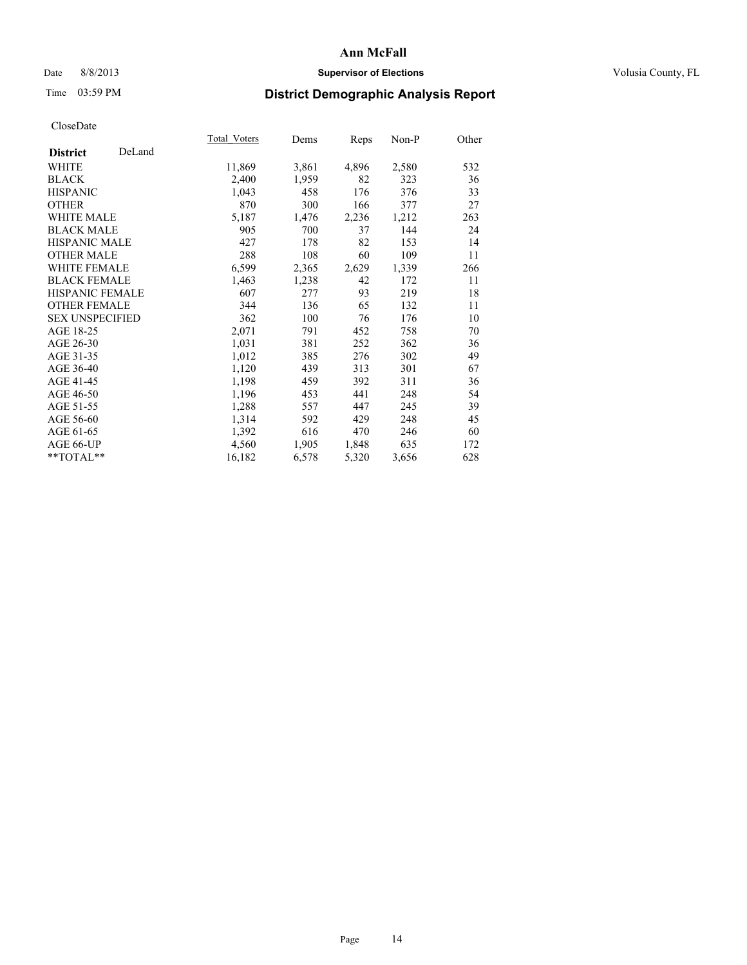## Date 8/8/2013 **Supervisor of Elections Supervisor of Elections** Volusia County, FL

# Time 03:59 PM **District Demographic Analysis Report**

|                        |        | Total Voters | Dems  | <u>Reps</u> | Non-P | Other |
|------------------------|--------|--------------|-------|-------------|-------|-------|
| <b>District</b>        | DeLand |              |       |             |       |       |
| WHITE                  |        | 11,869       | 3,861 | 4,896       | 2,580 | 532   |
| <b>BLACK</b>           |        | 2,400        | 1,959 | 82          | 323   | 36    |
| <b>HISPANIC</b>        |        | 1,043        | 458   | 176         | 376   | 33    |
| <b>OTHER</b>           |        | 870          | 300   | 166         | 377   | 27    |
| <b>WHITE MALE</b>      |        | 5,187        | 1,476 | 2,236       | 1,212 | 263   |
| <b>BLACK MALE</b>      |        | 905          | 700   | 37          | 144   | 24    |
| <b>HISPANIC MALE</b>   |        | 427          | 178   | 82          | 153   | 14    |
| <b>OTHER MALE</b>      |        | 288          | 108   | 60          | 109   | 11    |
| <b>WHITE FEMALE</b>    |        | 6,599        | 2,365 | 2,629       | 1,339 | 266   |
| <b>BLACK FEMALE</b>    |        | 1,463        | 1,238 | 42          | 172   | 11    |
| HISPANIC FEMALE        |        | 607          | 277   | 93          | 219   | 18    |
| <b>OTHER FEMALE</b>    |        | 344          | 136   | 65          | 132   | 11    |
| <b>SEX UNSPECIFIED</b> |        | 362          | 100   | 76          | 176   | 10    |
| AGE 18-25              |        | 2,071        | 791   | 452         | 758   | 70    |
| AGE 26-30              |        | 1,031        | 381   | 252         | 362   | 36    |
| AGE 31-35              |        | 1,012        | 385   | 276         | 302   | 49    |
| AGE 36-40              |        | 1,120        | 439   | 313         | 301   | 67    |
| AGE 41-45              |        | 1,198        | 459   | 392         | 311   | 36    |
| AGE 46-50              |        | 1,196        | 453   | 441         | 248   | 54    |
| AGE 51-55              |        | 1,288        | 557   | 447         | 245   | 39    |
| AGE 56-60              |        | 1,314        | 592   | 429         | 248   | 45    |
| AGE 61-65              |        | 1,392        | 616   | 470         | 246   | 60    |
| AGE 66-UP              |        | 4,560        | 1,905 | 1,848       | 635   | 172   |
| $*$ TOTAL $*$          |        | 16,182       | 6,578 | 5,320       | 3,656 | 628   |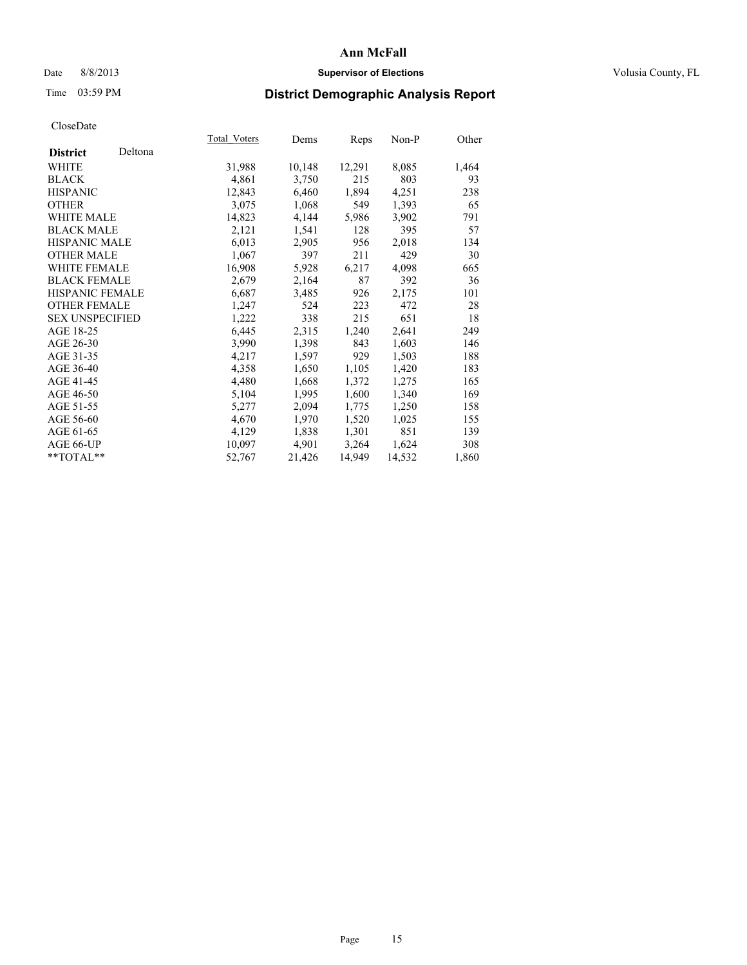## Date 8/8/2013 **Supervisor of Elections Supervisor of Elections** Volusia County, FL

# Time 03:59 PM **District Demographic Analysis Report**

| Total Voters | Dems   | <b>Reps</b> | Non-P  | Other |
|--------------|--------|-------------|--------|-------|
|              |        |             |        |       |
| 31,988       | 10,148 | 12,291      | 8,085  | 1,464 |
| 4,861        | 3,750  | 215         | 803    | 93    |
| 12,843       | 6,460  | 1,894       | 4,251  | 238   |
| 3,075        | 1,068  | 549         | 1,393  | 65    |
| 14,823       | 4,144  | 5,986       | 3,902  | 791   |
| 2,121        | 1,541  | 128         | 395    | 57    |
| 6,013        | 2,905  | 956         | 2,018  | 134   |
| 1,067        | 397    | 211         | 429    | 30    |
| 16,908       | 5,928  | 6,217       | 4,098  | 665   |
| 2,679        | 2,164  | 87          | 392    | 36    |
| 6,687        | 3,485  | 926         | 2,175  | 101   |
| 1,247        | 524    | 223         | 472    | 28    |
| 1,222        | 338    | 215         | 651    | 18    |
| 6,445        | 2,315  | 1,240       | 2,641  | 249   |
| 3,990        | 1,398  | 843         | 1,603  | 146   |
| 4,217        | 1,597  | 929         | 1,503  | 188   |
| 4,358        | 1,650  | 1,105       | 1,420  | 183   |
| 4,480        | 1,668  | 1,372       | 1,275  | 165   |
| 5,104        | 1,995  | 1,600       | 1,340  | 169   |
| 5,277        | 2,094  | 1,775       | 1,250  | 158   |
| 4,670        | 1,970  | 1,520       | 1,025  | 155   |
| 4,129        | 1,838  | 1,301       | 851    | 139   |
| 10,097       | 4,901  | 3,264       | 1,624  | 308   |
| 52,767       | 21,426 | 14,949      | 14,532 | 1,860 |
|              |        |             |        |       |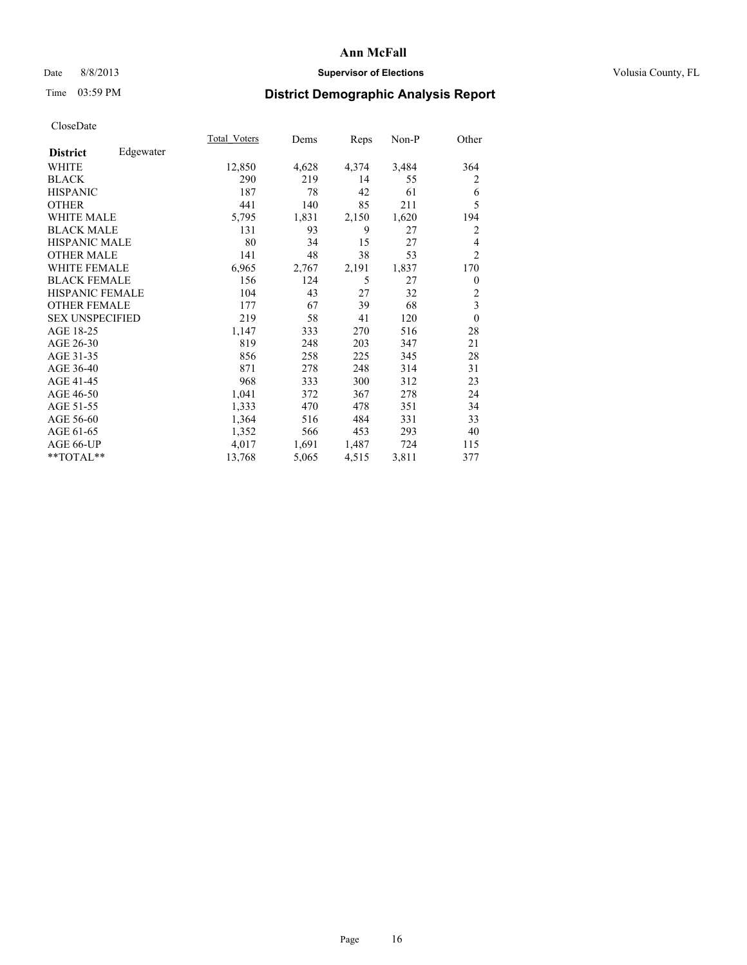## Date 8/8/2013 **Supervisor of Elections Supervisor of Elections** Volusia County, FL

# Time 03:59 PM **District Demographic Analysis Report**

|                        |           | Total Voters | Dems  | Reps  | Non-P | Other          |
|------------------------|-----------|--------------|-------|-------|-------|----------------|
| <b>District</b>        | Edgewater |              |       |       |       |                |
| WHITE                  |           | 12,850       | 4,628 | 4,374 | 3,484 | 364            |
| <b>BLACK</b>           |           | 290          | 219   | 14    | 55    | 2              |
| <b>HISPANIC</b>        |           | 187          | 78    | 42    | 61    | 6              |
| <b>OTHER</b>           |           | 441          | 140   | 85    | 211   | 5              |
| WHITE MALE             |           | 5,795        | 1,831 | 2,150 | 1,620 | 194            |
| <b>BLACK MALE</b>      |           | 131          | 93    | 9     | 27    | $\overline{2}$ |
| <b>HISPANIC MALE</b>   |           | 80           | 34    | 15    | 27    | 4              |
| <b>OTHER MALE</b>      |           | 141          | 48    | 38    | 53    | $\overline{2}$ |
| <b>WHITE FEMALE</b>    |           | 6,965        | 2,767 | 2,191 | 1,837 | 170            |
| <b>BLACK FEMALE</b>    |           | 156          | 124   | 5     | 27    | $\overline{0}$ |
| <b>HISPANIC FEMALE</b> |           | 104          | 43    | 27    | 32    | $\overline{c}$ |
| <b>OTHER FEMALE</b>    |           | 177          | 67    | 39    | 68    | 3              |
| <b>SEX UNSPECIFIED</b> |           | 219          | 58    | 41    | 120   | $\theta$       |
| AGE 18-25              |           | 1,147        | 333   | 270   | 516   | 28             |
| AGE 26-30              |           | 819          | 248   | 203   | 347   | 21             |
| AGE 31-35              |           | 856          | 258   | 225   | 345   | 28             |
| AGE 36-40              |           | 871          | 278   | 248   | 314   | 31             |
| AGE 41-45              |           | 968          | 333   | 300   | 312   | 23             |
| AGE 46-50              |           | 1,041        | 372   | 367   | 278   | 24             |
| AGE 51-55              |           | 1,333        | 470   | 478   | 351   | 34             |
| AGE 56-60              |           | 1,364        | 516   | 484   | 331   | 33             |
| AGE 61-65              |           | 1,352        | 566   | 453   | 293   | 40             |
| AGE 66-UP              |           | 4,017        | 1,691 | 1,487 | 724   | 115            |
| **TOTAL**              |           | 13,768       | 5,065 | 4,515 | 3,811 | 377            |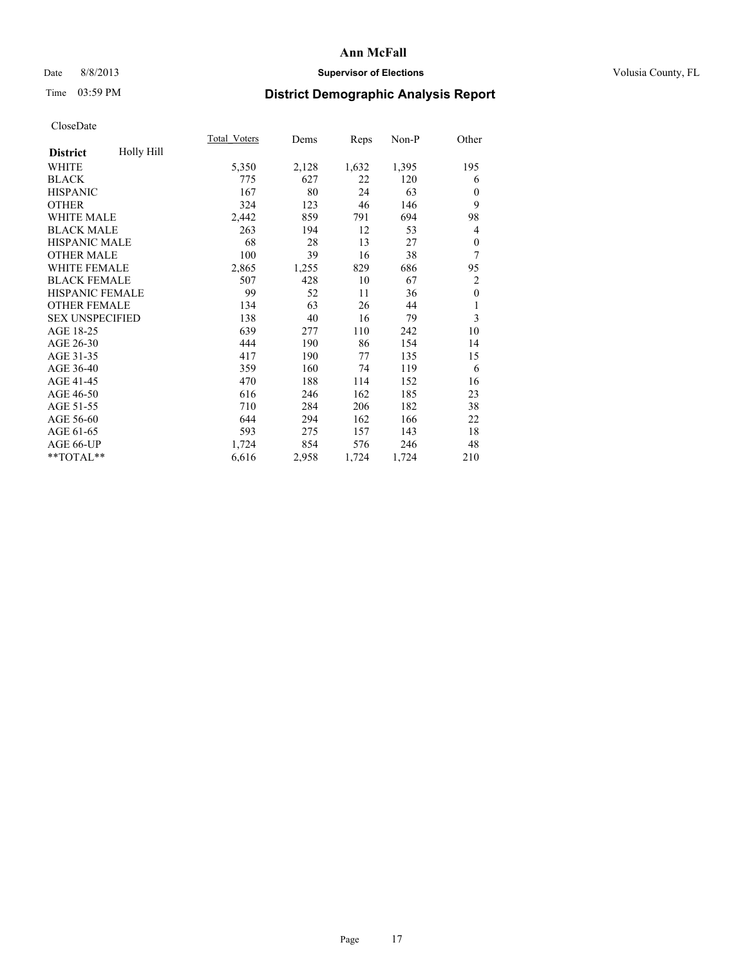## Date 8/8/2013 **Supervisor of Elections Supervisor of Elections** Volusia County, FL

# Time 03:59 PM **District Demographic Analysis Report**

|                        |            | Total Voters | Dems  | Reps  | $Non-P$ | Other          |
|------------------------|------------|--------------|-------|-------|---------|----------------|
| <b>District</b>        | Holly Hill |              |       |       |         |                |
| WHITE                  |            | 5,350        | 2,128 | 1,632 | 1,395   | 195            |
| <b>BLACK</b>           |            | 775          | 627   | 22    | 120     | 6              |
| <b>HISPANIC</b>        |            | 167          | 80    | 24    | 63      | $\Omega$       |
| <b>OTHER</b>           |            | 324          | 123   | 46    | 146     | 9              |
| <b>WHITE MALE</b>      |            | 2,442        | 859   | 791   | 694     | 98             |
| <b>BLACK MALE</b>      |            | 263          | 194   | 12    | 53      | 4              |
| <b>HISPANIC MALE</b>   |            | 68           | 28    | 13    | 27      | 0              |
| <b>OTHER MALE</b>      |            | 100          | 39    | 16    | 38      | 7              |
| <b>WHITE FEMALE</b>    |            | 2,865        | 1,255 | 829   | 686     | 95             |
| <b>BLACK FEMALE</b>    |            | 507          | 428   | 10    | 67      | $\overline{c}$ |
| <b>HISPANIC FEMALE</b> |            | 99           | 52    | 11    | 36      | $\mathbf{0}$   |
| <b>OTHER FEMALE</b>    |            | 134          | 63    | 26    | 44      | 1              |
| <b>SEX UNSPECIFIED</b> |            | 138          | 40    | 16    | 79      | 3              |
| AGE 18-25              |            | 639          | 277   | 110   | 242     | 10             |
| AGE 26-30              |            | 444          | 190   | 86    | 154     | 14             |
| AGE 31-35              |            | 417          | 190   | 77    | 135     | 15             |
| AGE 36-40              |            | 359          | 160   | 74    | 119     | 6              |
| AGE 41-45              |            | 470          | 188   | 114   | 152     | 16             |
| AGE 46-50              |            | 616          | 246   | 162   | 185     | 23             |
| AGE 51-55              |            | 710          | 284   | 206   | 182     | 38             |
| AGE 56-60              |            | 644          | 294   | 162   | 166     | 22             |
| AGE 61-65              |            | 593          | 275   | 157   | 143     | 18             |
| AGE 66-UP              |            | 1,724        | 854   | 576   | 246     | 48             |
| **TOTAL**              |            | 6,616        | 2,958 | 1,724 | 1,724   | 210            |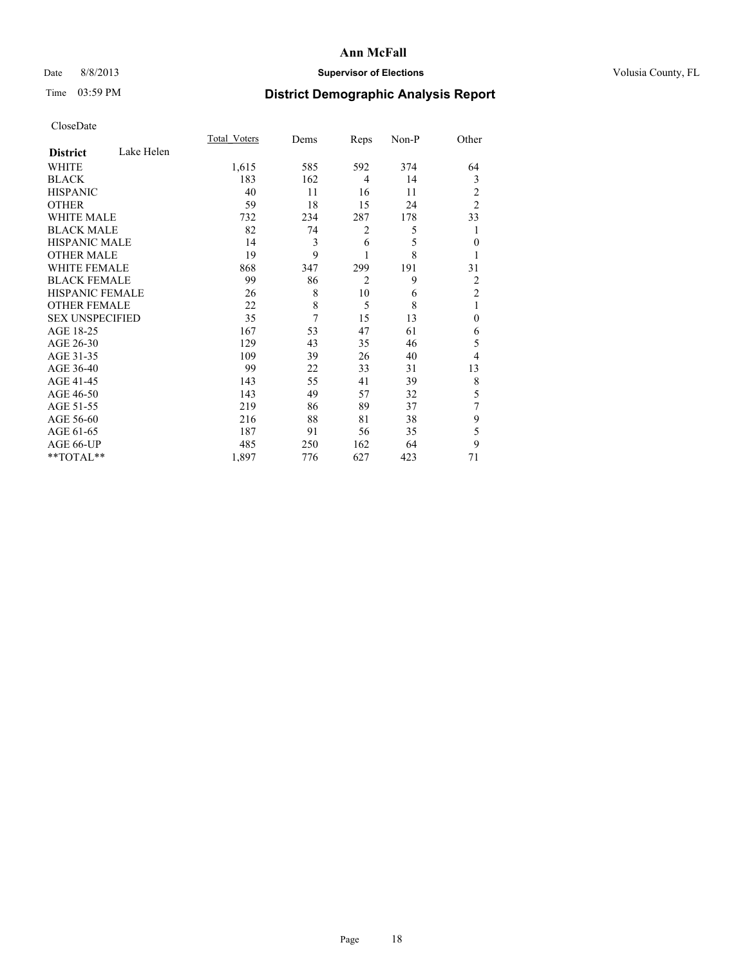## Date 8/8/2013 **Supervisor of Elections Supervisor of Elections** Volusia County, FL

# Time 03:59 PM **District Demographic Analysis Report**

|                        |            | <b>Total Voters</b> | Dems | Reps           | Non-P | Other          |
|------------------------|------------|---------------------|------|----------------|-------|----------------|
| <b>District</b>        | Lake Helen |                     |      |                |       |                |
| <b>WHITE</b>           |            | 1,615               | 585  | 592            | 374   | 64             |
| <b>BLACK</b>           |            | 183                 | 162  | 4              | 14    | 3              |
| <b>HISPANIC</b>        |            | 40                  | 11   | 16             | 11    | $\overline{c}$ |
| <b>OTHER</b>           |            | 59                  | 18   | 15             | 24    | $\overline{2}$ |
| <b>WHITE MALE</b>      |            | 732                 | 234  | 287            | 178   | 33             |
| <b>BLACK MALE</b>      |            | 82                  | 74   | $\overline{2}$ | 5     | 1              |
| <b>HISPANIC MALE</b>   |            | 14                  | 3    | 6              | 5     | $\mathbf{0}$   |
| <b>OTHER MALE</b>      |            | 19                  | 9    |                | 8     | 1              |
| <b>WHITE FEMALE</b>    |            | 868                 | 347  | 299            | 191   | 31             |
| <b>BLACK FEMALE</b>    |            | 99                  | 86   | $\overline{2}$ | 9     | 2              |
| HISPANIC FEMALE        |            | 26                  | 8    | 10             | 6     | $\overline{c}$ |
| <b>OTHER FEMALE</b>    |            | 22                  | 8    | 5              | 8     | 1              |
| <b>SEX UNSPECIFIED</b> |            | 35                  | 7    | 15             | 13    | $\theta$       |
| AGE 18-25              |            | 167                 | 53   | 47             | 61    | 6              |
| AGE 26-30              |            | 129                 | 43   | 35             | 46    | 5              |
| AGE 31-35              |            | 109                 | 39   | 26             | 40    | 4              |
| AGE 36-40              |            | 99                  | 22   | 33             | 31    | 13             |
| AGE 41-45              |            | 143                 | 55   | 41             | 39    | 8              |
| AGE 46-50              |            | 143                 | 49   | 57             | 32    | 5              |
| AGE 51-55              |            | 219                 | 86   | 89             | 37    | 7              |
| AGE 56-60              |            | 216                 | 88   | 81             | 38    | 9              |
| AGE 61-65              |            | 187                 | 91   | 56             | 35    | 5              |
| AGE 66-UP              |            | 485                 | 250  | 162            | 64    | 9              |
| **TOTAL**              |            | 1,897               | 776  | 627            | 423   | 71             |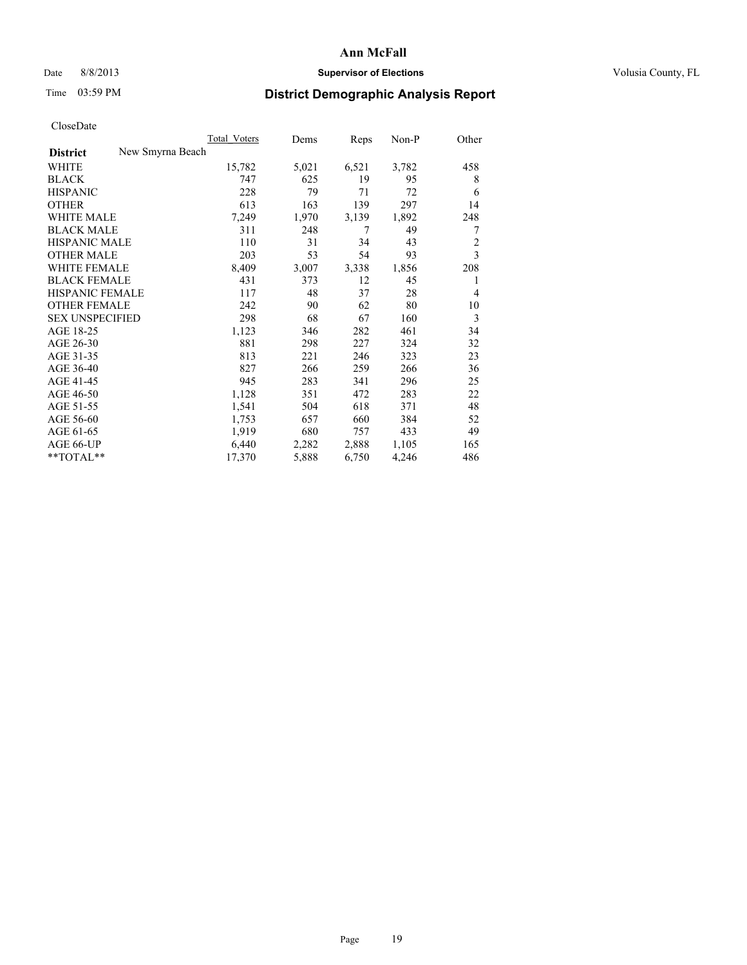### Date 8/8/2013 **Supervisor of Elections Supervisor of Elections** Volusia County, FL

# Time 03:59 PM **District Demographic Analysis Report**

|                                     | <b>Total Voters</b> | Dems  | Reps  | Non-P | Other          |
|-------------------------------------|---------------------|-------|-------|-------|----------------|
| New Smyrna Beach<br><b>District</b> |                     |       |       |       |                |
| <b>WHITE</b>                        | 15,782              | 5,021 | 6,521 | 3,782 | 458            |
| <b>BLACK</b>                        | 747                 | 625   | 19    | 95    | 8              |
| <b>HISPANIC</b>                     | 228                 | 79    | 71    | 72    | 6              |
| <b>OTHER</b>                        | 613                 | 163   | 139   | 297   | 14             |
| <b>WHITE MALE</b>                   | 7,249               | 1,970 | 3,139 | 1,892 | 248            |
| <b>BLACK MALE</b>                   | 311                 | 248   | 7     | 49    | 7              |
| <b>HISPANIC MALE</b>                | 110                 | 31    | 34    | 43    | $\overline{c}$ |
| <b>OTHER MALE</b>                   | 203                 | 53    | 54    | 93    | 3              |
| <b>WHITE FEMALE</b>                 | 8,409               | 3,007 | 3,338 | 1,856 | 208            |
| <b>BLACK FEMALE</b>                 | 431                 | 373   | 12    | 45    | 1              |
| <b>HISPANIC FEMALE</b>              | 117                 | 48    | 37    | 28    | $\overline{4}$ |
| <b>OTHER FEMALE</b>                 | 242                 | 90    | 62    | 80    | 10             |
| <b>SEX UNSPECIFIED</b>              | 298                 | 68    | 67    | 160   | 3              |
| AGE 18-25                           | 1,123               | 346   | 282   | 461   | 34             |
| AGE 26-30                           | 881                 | 298   | 227   | 324   | 32             |
| AGE 31-35                           | 813                 | 221   | 246   | 323   | 23             |
| AGE 36-40                           | 827                 | 266   | 259   | 266   | 36             |
| AGE 41-45                           | 945                 | 283   | 341   | 296   | 25             |
| AGE 46-50                           | 1,128               | 351   | 472   | 283   | 22             |
| AGE 51-55                           | 1,541               | 504   | 618   | 371   | 48             |
| AGE 56-60                           | 1,753               | 657   | 660   | 384   | 52             |
| AGE 61-65                           | 1,919               | 680   | 757   | 433   | 49             |
| AGE 66-UP                           | 6,440               | 2,282 | 2,888 | 1,105 | 165            |
| **TOTAL**                           | 17,370              | 5,888 | 6,750 | 4,246 | 486            |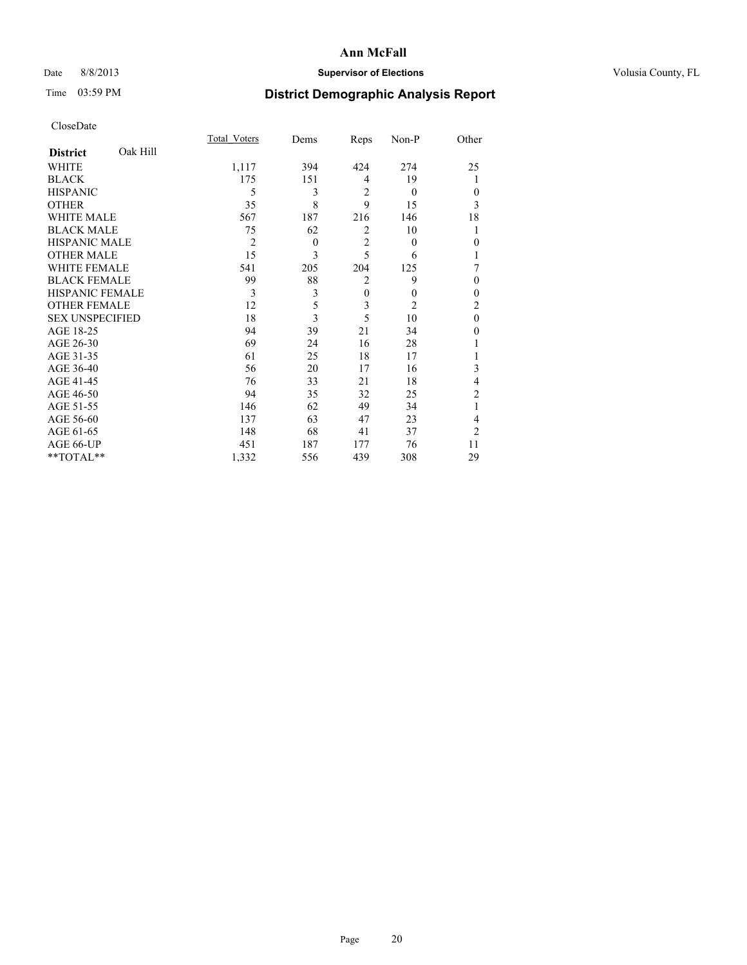## Date 8/8/2013 **Supervisor of Elections Supervisor of Elections** Volusia County, FL

# Time 03:59 PM **District Demographic Analysis Report**

|                        |          | <b>Total Voters</b> | Dems     | Reps           | Non-P          | Other          |
|------------------------|----------|---------------------|----------|----------------|----------------|----------------|
| <b>District</b>        | Oak Hill |                     |          |                |                |                |
| WHITE                  |          | 1,117               | 394      | 424            | 274            | 25             |
| <b>BLACK</b>           |          | 175                 | 151      | 4              | 19             | 1              |
| <b>HISPANIC</b>        |          | 5                   | 3        | $\overline{2}$ | $\theta$       | $\Omega$       |
| <b>OTHER</b>           |          | 35                  | 8        | 9              | 15             | 3              |
| WHITE MALE             |          | 567                 | 187      | 216            | 146            | 18             |
| <b>BLACK MALE</b>      |          | 75                  | 62       | 2              | 10             | 1              |
| <b>HISPANIC MALE</b>   |          | $\overline{2}$      | $\theta$ | $\overline{2}$ | $\theta$       | $\Omega$       |
| <b>OTHER MALE</b>      |          | 15                  | 3        | 5              | 6              | 1              |
| <b>WHITE FEMALE</b>    |          | 541                 | 205      | 204            | 125            | 7              |
| <b>BLACK FEMALE</b>    |          | 99                  | 88       | $\overline{2}$ | 9              | $\theta$       |
| <b>HISPANIC FEMALE</b> |          | 3                   | 3        | $\mathbf{0}$   | $\theta$       | $\theta$       |
| <b>OTHER FEMALE</b>    |          | 12                  | 5        | 3              | $\overline{2}$ | $\overline{c}$ |
| <b>SEX UNSPECIFIED</b> |          | 18                  | 3        | 5              | 10             | $\theta$       |
| AGE 18-25              |          | 94                  | 39       | 21             | 34             | $\Omega$       |
| AGE 26-30              |          | 69                  | 24       | 16             | 28             |                |
| AGE 31-35              |          | 61                  | 25       | 18             | 17             |                |
| AGE 36-40              |          | 56                  | 20       | 17             | 16             | 3              |
| AGE 41-45              |          | 76                  | 33       | 21             | 18             | 4              |
| AGE 46-50              |          | 94                  | 35       | 32             | 25             | 2              |
| AGE 51-55              |          | 146                 | 62       | 49             | 34             | 1              |
| AGE 56-60              |          | 137                 | 63       | 47             | 23             | 4              |
| AGE 61-65              |          | 148                 | 68       | 41             | 37             | $\overline{2}$ |
| AGE 66-UP              |          | 451                 | 187      | 177            | 76             | 11             |
| **TOTAL**              |          | 1,332               | 556      | 439            | 308            | 29             |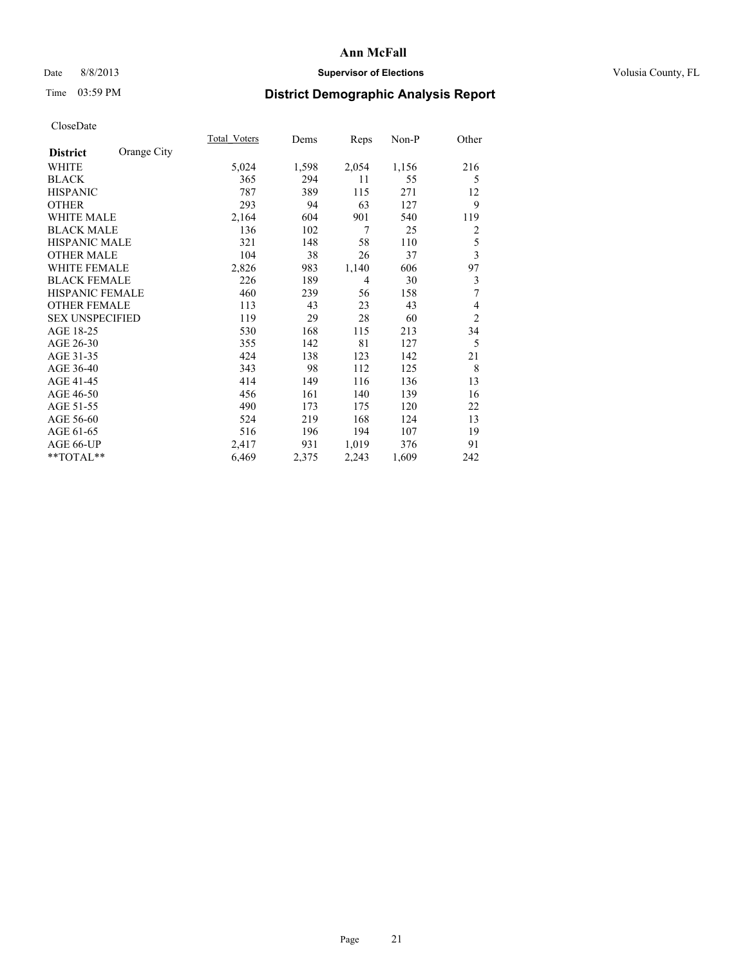## Date 8/8/2013 **Supervisor of Elections Supervisor of Elections** Volusia County, FL

# Time 03:59 PM **District Demographic Analysis Report**

|                        |             | <b>Total Voters</b> | Dems  | Reps           | Non-P | Other                   |
|------------------------|-------------|---------------------|-------|----------------|-------|-------------------------|
| <b>District</b>        | Orange City |                     |       |                |       |                         |
| WHITE                  |             | 5,024               | 1,598 | 2,054          | 1,156 | 216                     |
| <b>BLACK</b>           |             | 365                 | 294   | 11             | 55    | 5                       |
| <b>HISPANIC</b>        |             | 787                 | 389   | 115            | 271   | 12                      |
| <b>OTHER</b>           |             | 293                 | 94    | 63             | 127   | 9                       |
| <b>WHITE MALE</b>      |             | 2,164               | 604   | 901            | 540   | 119                     |
| <b>BLACK MALE</b>      |             | 136                 | 102   | 7              | 25    | 2                       |
| <b>HISPANIC MALE</b>   |             | 321                 | 148   | 58             | 110   | 5                       |
| <b>OTHER MALE</b>      |             | 104                 | 38    | 26             | 37    | $\overline{\mathbf{3}}$ |
| <b>WHITE FEMALE</b>    |             | 2,826               | 983   | 1,140          | 606   | 97                      |
| <b>BLACK FEMALE</b>    |             | 226                 | 189   | $\overline{4}$ | 30    | 3                       |
| HISPANIC FEMALE        |             | 460                 | 239   | 56             | 158   | 7                       |
| <b>OTHER FEMALE</b>    |             | 113                 | 43    | 23             | 43    | 4                       |
| <b>SEX UNSPECIFIED</b> |             | 119                 | 29    | 28             | 60    | $\overline{2}$          |
| AGE 18-25              |             | 530                 | 168   | 115            | 213   | 34                      |
| AGE 26-30              |             | 355                 | 142   | 81             | 127   | 5                       |
| AGE 31-35              |             | 424                 | 138   | 123            | 142   | 21                      |
| AGE 36-40              |             | 343                 | 98    | 112            | 125   | 8                       |
| AGE 41-45              |             | 414                 | 149   | 116            | 136   | 13                      |
| AGE 46-50              |             | 456                 | 161   | 140            | 139   | 16                      |
| AGE 51-55              |             | 490                 | 173   | 175            | 120   | 22                      |
| AGE 56-60              |             | 524                 | 219   | 168            | 124   | 13                      |
| AGE 61-65              |             | 516                 | 196   | 194            | 107   | 19                      |
| AGE 66-UP              |             | 2,417               | 931   | 1,019          | 376   | 91                      |
| **TOTAL**              |             | 6,469               | 2,375 | 2,243          | 1,609 | 242                     |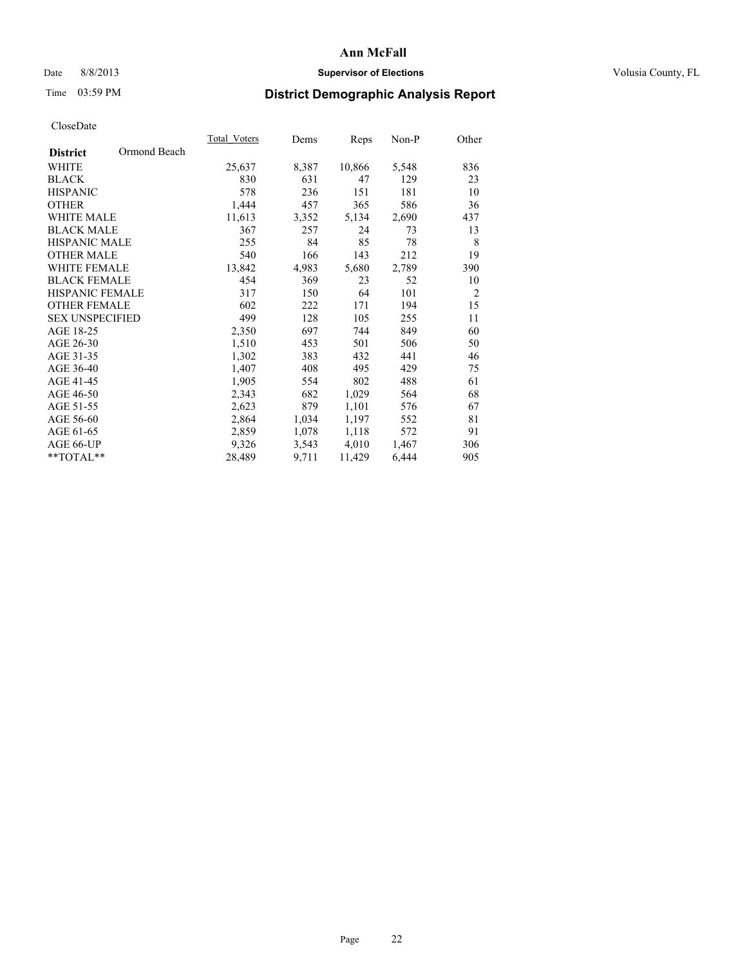## Date 8/8/2013 **Supervisor of Elections Supervisor of Elections** Volusia County, FL

# Time 03:59 PM **District Demographic Analysis Report**

|                                 | Total Voters | Dems  | <b>Reps</b> | Non-P | Other          |
|---------------------------------|--------------|-------|-------------|-------|----------------|
| Ormond Beach<br><b>District</b> |              |       |             |       |                |
| WHITE                           | 25,637       | 8,387 | 10,866      | 5,548 | 836            |
| <b>BLACK</b>                    | 830          | 631   | 47          | 129   | 23             |
| <b>HISPANIC</b>                 | 578          | 236   | 151         | 181   | 10             |
| <b>OTHER</b>                    | 1,444        | 457   | 365         | 586   | 36             |
| <b>WHITE MALE</b>               | 11,613       | 3,352 | 5,134       | 2,690 | 437            |
| <b>BLACK MALE</b>               | 367          | 257   | 24          | 73    | 13             |
| <b>HISPANIC MALE</b>            | 255          | 84    | 85          | 78    | 8              |
| <b>OTHER MALE</b>               | 540          | 166   | 143         | 212   | 19             |
| <b>WHITE FEMALE</b>             | 13,842       | 4,983 | 5,680       | 2,789 | 390            |
| <b>BLACK FEMALE</b>             | 454          | 369   | 23          | 52    | 10             |
| <b>HISPANIC FEMALE</b>          | 317          | 150   | 64          | 101   | $\overline{2}$ |
| <b>OTHER FEMALE</b>             | 602          | 222   | 171         | 194   | 15             |
| <b>SEX UNSPECIFIED</b>          | 499          | 128   | 105         | 255   | 11             |
| AGE 18-25                       | 2,350        | 697   | 744         | 849   | 60             |
| AGE 26-30                       | 1,510        | 453   | 501         | 506   | 50             |
| AGE 31-35                       | 1,302        | 383   | 432         | 441   | 46             |
| AGE 36-40                       | 1,407        | 408   | 495         | 429   | 75             |
| AGE 41-45                       | 1,905        | 554   | 802         | 488   | 61             |
| AGE 46-50                       | 2,343        | 682   | 1,029       | 564   | 68             |
| AGE 51-55                       | 2,623        | 879   | 1,101       | 576   | 67             |
| AGE 56-60                       | 2,864        | 1,034 | 1,197       | 552   | 81             |
| AGE 61-65                       | 2,859        | 1,078 | 1,118       | 572   | 91             |
| AGE 66-UP                       | 9,326        | 3,543 | 4,010       | 1,467 | 306            |
| $*$ $TOTAL**$                   | 28,489       | 9,711 | 11,429      | 6,444 | 905            |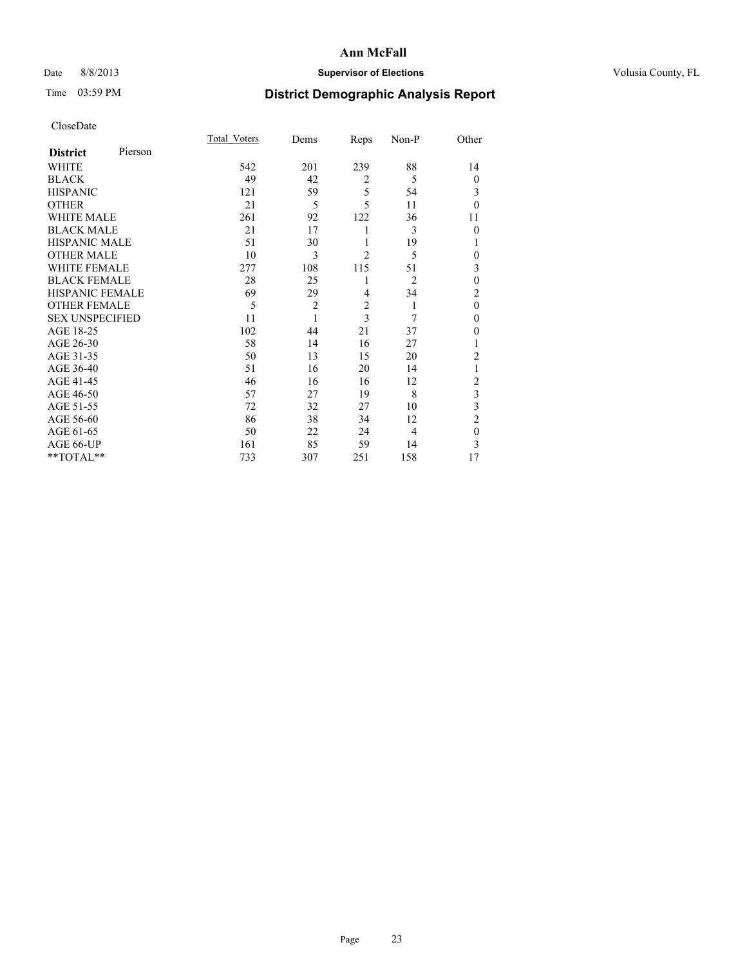## Date 8/8/2013 **Supervisor of Elections Supervisor of Elections** Volusia County, FL

# Time 03:59 PM **District Demographic Analysis Report**

|                        |         | <b>Total Voters</b> | Dems           | Reps           | Non-P          | Other          |
|------------------------|---------|---------------------|----------------|----------------|----------------|----------------|
| <b>District</b>        | Pierson |                     |                |                |                |                |
| <b>WHITE</b>           |         | 542                 | 201            | 239            | 88             | 14             |
| <b>BLACK</b>           |         | 49                  | 42             | $\overline{2}$ | 5              | $\theta$       |
| <b>HISPANIC</b>        |         | 121                 | 59             | 5              | 54             | 3              |
| <b>OTHER</b>           |         | 21                  | 5              | 5              | 11             | $\theta$       |
| WHITE MALE             |         | 261                 | 92             | 122            | 36             | 11             |
| <b>BLACK MALE</b>      |         | 21                  | 17             | 1              | 3              | $\theta$       |
| <b>HISPANIC MALE</b>   |         | 51                  | 30             | 1              | 19             | 1              |
| <b>OTHER MALE</b>      |         | 10                  | 3              | $\overline{2}$ | 5              | 0              |
| WHITE FEMALE           |         | 277                 | 108            | 115            | 51             | 3              |
| <b>BLACK FEMALE</b>    |         | 28                  | 25             | 1              | $\overline{2}$ | $\mathbf{0}$   |
| <b>HISPANIC FEMALE</b> |         | 69                  | 29             | $\overline{4}$ | 34             | $\overline{c}$ |
| <b>OTHER FEMALE</b>    |         | 5                   | $\overline{c}$ | $\overline{2}$ | 1              | $\theta$       |
| <b>SEX UNSPECIFIED</b> |         | 11                  | 1              | 3              | 7              | $\mathbf{0}$   |
| AGE 18-25              |         | 102                 | 44             | 21             | 37             | $\theta$       |
| AGE 26-30              |         | 58                  | 14             | 16             | 27             | 1              |
| AGE 31-35              |         | 50                  | 13             | 15             | 20             | $\overline{c}$ |
| AGE 36-40              |         | 51                  | 16             | 20             | 14             | 1              |
| AGE 41-45              |         | 46                  | 16             | 16             | 12             | $\overline{c}$ |
| AGE 46-50              |         | 57                  | 27             | 19             | 8              | 3              |
| AGE 51-55              |         | 72                  | 32             | 27             | 10             | 3              |
| AGE 56-60              |         | 86                  | 38             | 34             | 12             | $\overline{c}$ |
| AGE 61-65              |         | 50                  | 22             | 24             | 4              | $\mathbf{0}$   |
| AGE 66-UP              |         | 161                 | 85             | 59             | 14             | 3              |
| $**TOTAL**$            |         | 733                 | 307            | 251            | 158            | 17             |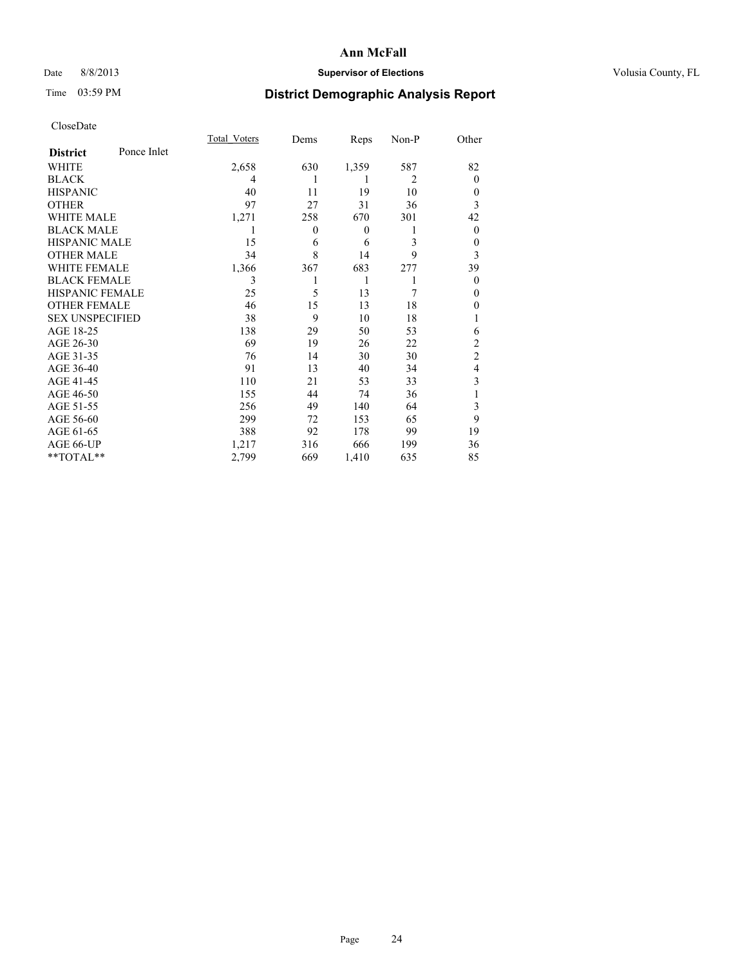## Date 8/8/2013 **Supervisor of Elections Supervisor of Elections** Volusia County, FL

# Time 03:59 PM **District Demographic Analysis Report**

|                        |             | <b>Total Voters</b> | Dems           | Reps         | Non-P          | Other          |
|------------------------|-------------|---------------------|----------------|--------------|----------------|----------------|
| <b>District</b>        | Ponce Inlet |                     |                |              |                |                |
| WHITE                  |             | 2,658               | 630            | 1,359        | 587            | 82             |
| <b>BLACK</b>           |             | 4                   |                | 1            | $\overline{2}$ | $\Omega$       |
| <b>HISPANIC</b>        |             | 40                  | 11             | 19           | 10             | $\Omega$       |
| <b>OTHER</b>           |             | 97                  | 27             | 31           | 36             | 3              |
| WHITE MALE             |             | 1,271               | 258            | 670          | 301            | 42             |
| <b>BLACK MALE</b>      |             | 1                   | $\overline{0}$ | $\mathbf{0}$ | 1              | $\overline{0}$ |
| <b>HISPANIC MALE</b>   |             | 15                  | 6              | 6            | 3              | 0              |
| <b>OTHER MALE</b>      |             | 34                  | 8              | 14           | 9              | 3              |
| <b>WHITE FEMALE</b>    |             | 1,366               | 367            | 683          | 277            | 39             |
| <b>BLACK FEMALE</b>    |             | 3                   |                | 1            | 1              | $\overline{0}$ |
| <b>HISPANIC FEMALE</b> |             | 25                  | 5              | 13           | 7              | $\Omega$       |
| <b>OTHER FEMALE</b>    |             | 46                  | 15             | 13           | 18             | $\Omega$       |
| <b>SEX UNSPECIFIED</b> |             | 38                  | 9              | 10           | 18             |                |
| AGE 18-25              |             | 138                 | 29             | 50           | 53             | 6              |
| AGE 26-30              |             | 69                  | 19             | 26           | 22             | $\overline{2}$ |
| AGE 31-35              |             | 76                  | 14             | 30           | 30             | $\overline{c}$ |
| AGE 36-40              |             | 91                  | 13             | 40           | 34             | $\overline{4}$ |
| AGE 41-45              |             | 110                 | 21             | 53           | 33             | 3              |
| AGE 46-50              |             | 155                 | 44             | 74           | 36             | 1              |
| AGE 51-55              |             | 256                 | 49             | 140          | 64             | 3              |
| AGE 56-60              |             | 299                 | 72             | 153          | 65             | 9              |
| AGE 61-65              |             | 388                 | 92             | 178          | 99             | 19             |
| AGE 66-UP              |             | 1,217               | 316            | 666          | 199            | 36             |
| **TOTAL**              |             | 2,799               | 669            | 1,410        | 635            | 85             |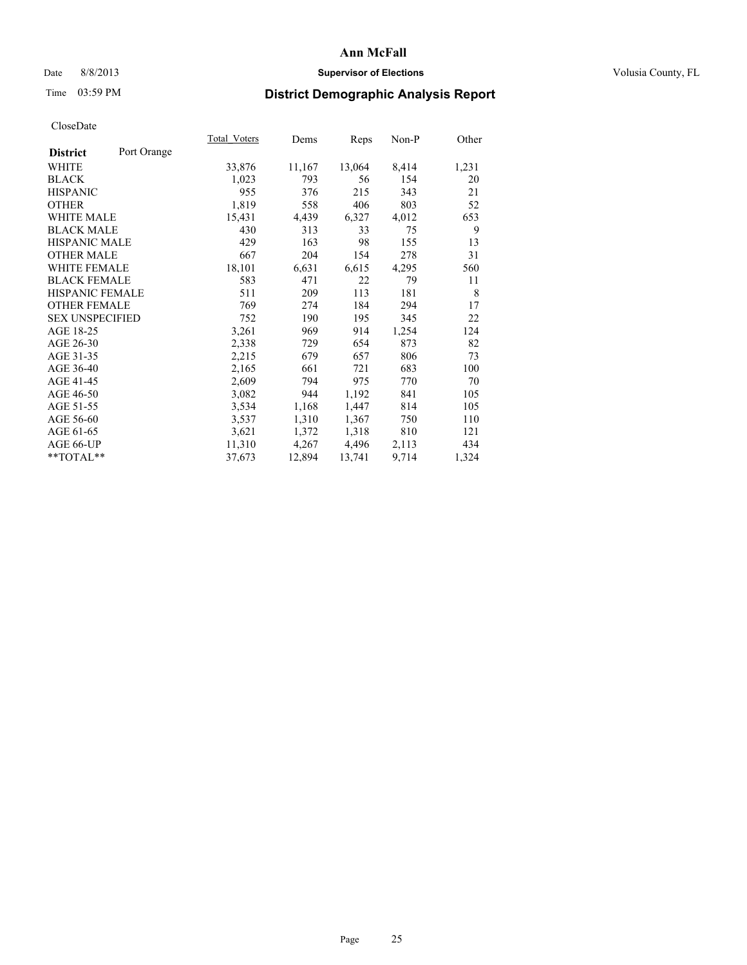## Date 8/8/2013 **Supervisor of Elections Supervisor of Elections** Volusia County, FL

# Time 03:59 PM **District Demographic Analysis Report**

|                        |             | Total Voters | Dems   | Reps   | Non-P | Other |
|------------------------|-------------|--------------|--------|--------|-------|-------|
| <b>District</b>        | Port Orange |              |        |        |       |       |
| WHITE                  |             | 33,876       | 11,167 | 13,064 | 8,414 | 1,231 |
| <b>BLACK</b>           |             | 1,023        | 793    | 56     | 154   | 20    |
| <b>HISPANIC</b>        |             | 955          | 376    | 215    | 343   | 21    |
| <b>OTHER</b>           |             | 1,819        | 558    | 406    | 803   | 52    |
| WHITE MALE             |             | 15,431       | 4,439  | 6,327  | 4,012 | 653   |
| <b>BLACK MALE</b>      |             | 430          | 313    | 33     | 75    | 9     |
| <b>HISPANIC MALE</b>   |             | 429          | 163    | 98     | 155   | 13    |
| <b>OTHER MALE</b>      |             | 667          | 204    | 154    | 278   | 31    |
| <b>WHITE FEMALE</b>    |             | 18,101       | 6,631  | 6,615  | 4,295 | 560   |
| <b>BLACK FEMALE</b>    |             | 583          | 471    | 22     | 79    | 11    |
| HISPANIC FEMALE        |             | 511          | 209    | 113    | 181   | 8     |
| <b>OTHER FEMALE</b>    |             | 769          | 274    | 184    | 294   | 17    |
| <b>SEX UNSPECIFIED</b> |             | 752          | 190    | 195    | 345   | 22    |
| AGE 18-25              |             | 3,261        | 969    | 914    | 1,254 | 124   |
| AGE 26-30              |             | 2,338        | 729    | 654    | 873   | 82    |
| AGE 31-35              |             | 2,215        | 679    | 657    | 806   | 73    |
| AGE 36-40              |             | 2,165        | 661    | 721    | 683   | 100   |
| AGE 41-45              |             | 2,609        | 794    | 975    | 770   | 70    |
| AGE 46-50              |             | 3,082        | 944    | 1,192  | 841   | 105   |
| AGE 51-55              |             | 3,534        | 1,168  | 1,447  | 814   | 105   |
| AGE 56-60              |             | 3,537        | 1,310  | 1,367  | 750   | 110   |
| AGE 61-65              |             | 3,621        | 1,372  | 1,318  | 810   | 121   |
| AGE 66-UP              |             | 11,310       | 4,267  | 4,496  | 2,113 | 434   |
| $*$ TOTAL $*$          |             | 37,673       | 12,894 | 13,741 | 9,714 | 1,324 |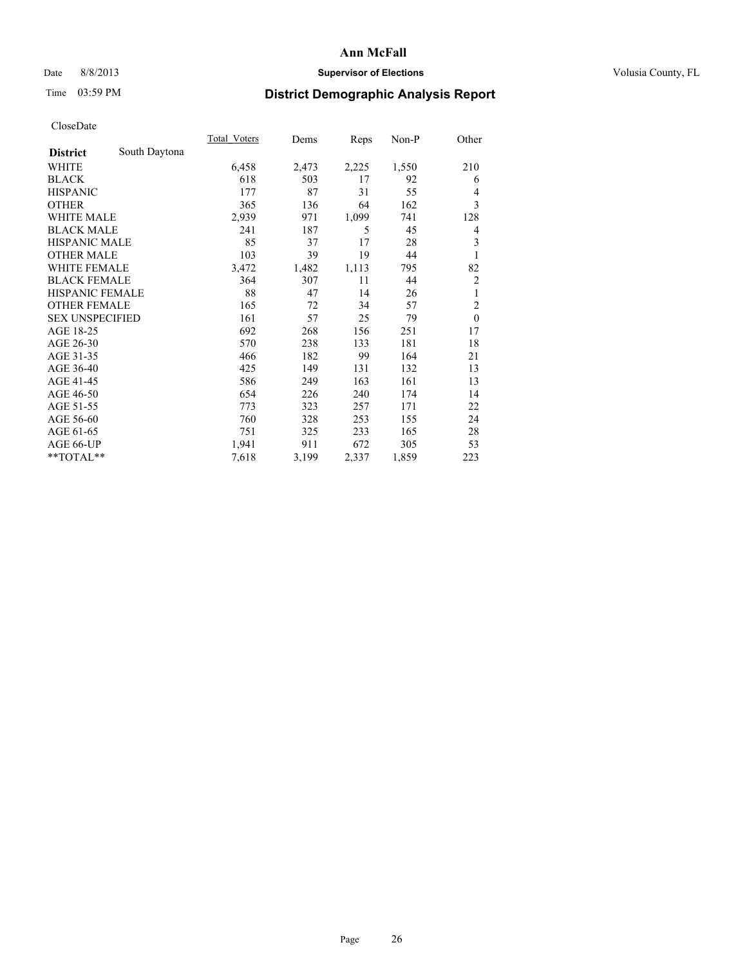## Date 8/8/2013 **Supervisor of Elections Supervisor of Elections** Volusia County, FL

# Time 03:59 PM **District Demographic Analysis Report**

|                        |               | Total Voters | Dems  | Reps  | $Non-P$ | Other          |
|------------------------|---------------|--------------|-------|-------|---------|----------------|
| <b>District</b>        | South Daytona |              |       |       |         |                |
| WHITE                  |               | 6,458        | 2,473 | 2,225 | 1,550   | 210            |
| <b>BLACK</b>           |               | 618          | 503   | 17    | 92      | 6              |
| <b>HISPANIC</b>        |               | 177          | 87    | 31    | 55      | $\overline{4}$ |
| <b>OTHER</b>           |               | 365          | 136   | 64    | 162     | 3              |
| <b>WHITE MALE</b>      |               | 2,939        | 971   | 1,099 | 741     | 128            |
| <b>BLACK MALE</b>      |               | 241          | 187   | 5     | 45      | 4              |
| <b>HISPANIC MALE</b>   |               | 85           | 37    | 17    | 28      | 3              |
| <b>OTHER MALE</b>      |               | 103          | 39    | 19    | 44      | 1              |
| <b>WHITE FEMALE</b>    |               | 3,472        | 1,482 | 1,113 | 795     | 82             |
| <b>BLACK FEMALE</b>    |               | 364          | 307   | 11    | 44      | $\overline{2}$ |
| <b>HISPANIC FEMALE</b> |               | 88           | 47    | 14    | 26      | 1              |
| <b>OTHER FEMALE</b>    |               | 165          | 72    | 34    | 57      | $\overline{c}$ |
| <b>SEX UNSPECIFIED</b> |               | 161          | 57    | 25    | 79      | $\mathbf{0}$   |
| AGE 18-25              |               | 692          | 268   | 156   | 251     | 17             |
| AGE 26-30              |               | 570          | 238   | 133   | 181     | 18             |
| AGE 31-35              |               | 466          | 182   | 99    | 164     | 21             |
| AGE 36-40              |               | 425          | 149   | 131   | 132     | 13             |
| AGE 41-45              |               | 586          | 249   | 163   | 161     | 13             |
| AGE 46-50              |               | 654          | 226   | 240   | 174     | 14             |
| AGE 51-55              |               | 773          | 323   | 257   | 171     | 22             |
| AGE 56-60              |               | 760          | 328   | 253   | 155     | 24             |
| AGE 61-65              |               | 751          | 325   | 233   | 165     | 28             |
| AGE 66-UP              |               | 1,941        | 911   | 672   | 305     | 53             |
| **TOTAL**              |               | 7,618        | 3,199 | 2,337 | 1,859   | 223            |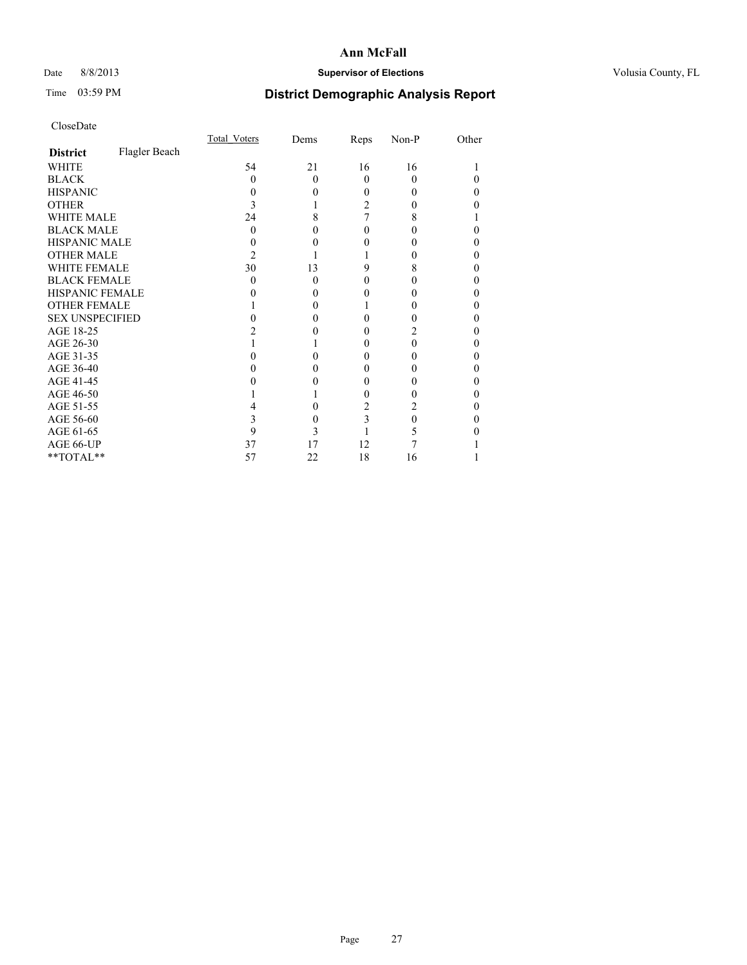## Date 8/8/2013 **Supervisor of Elections Supervisor of Elections** Volusia County, FL

# Time 03:59 PM **District Demographic Analysis Report**

|                        |               | Total Voters | Dems     | Reps     | Non-P    | Other |
|------------------------|---------------|--------------|----------|----------|----------|-------|
| <b>District</b>        | Flagler Beach |              |          |          |          |       |
| <b>WHITE</b>           |               | 54           | 21       | 16       | 16       |       |
| <b>BLACK</b>           |               | 0            | $\Omega$ | $\Omega$ | 0        |       |
| <b>HISPANIC</b>        |               | 0            | 0        | 0        | $\theta$ | 0     |
| <b>OTHER</b>           |               |              |          | 2        | 0        |       |
| <b>WHITE MALE</b>      |               | 24           | 8        | 7        | 8        |       |
| <b>BLACK MALE</b>      |               | 0            |          | 0        | 0        |       |
| <b>HISPANIC MALE</b>   |               |              |          |          |          |       |
| <b>OTHER MALE</b>      |               | 2            |          |          | 0        | 0     |
| <b>WHITE FEMALE</b>    |               | 30           | 13       | 9        | 8        |       |
| <b>BLACK FEMALE</b>    |               | 0            | $\Omega$ | 0        | $\theta$ | 0     |
| HISPANIC FEMALE        |               |              |          |          |          |       |
| <b>OTHER FEMALE</b>    |               |              | 0        |          |          |       |
| <b>SEX UNSPECIFIED</b> |               |              |          | 0        | 0        | 0     |
| AGE 18-25              |               |              |          | 0        |          |       |
| AGE 26-30              |               |              |          | 0        | 0        | 0     |
| AGE 31-35              |               |              |          | 0        | 0        |       |
| AGE 36-40              |               |              | 0        | 0        | 0        | 0     |
| AGE 41-45              |               |              |          | 0        |          |       |
| AGE 46-50              |               |              |          | 0        |          | 0     |
| AGE 51-55              |               |              |          | 2        | 2        |       |
| AGE 56-60              |               |              | 0        | 3        | 0        |       |
| AGE 61-65              |               | 9            | 3        |          | 5        |       |
| AGE 66-UP              |               | 37           | 17       | 12       |          |       |
| $**TOTAL**$            |               | 57           | 22       | 18       | 16       |       |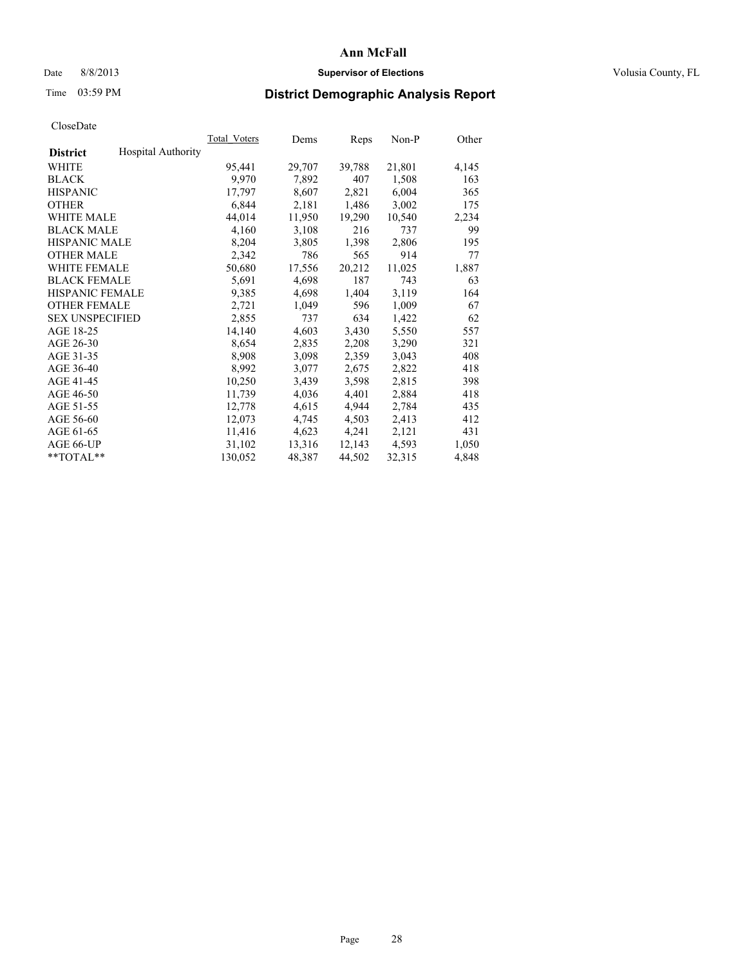## Date 8/8/2013 **Supervisor of Elections Supervisor of Elections** Volusia County, FL

# Time 03:59 PM **District Demographic Analysis Report**

|                        |                    | Total Voters | Dems   | Reps   | $Non-P$ | Other |
|------------------------|--------------------|--------------|--------|--------|---------|-------|
| <b>District</b>        | Hospital Authority |              |        |        |         |       |
| WHITE                  |                    | 95,441       | 29,707 | 39,788 | 21,801  | 4,145 |
| <b>BLACK</b>           |                    | 9,970        | 7,892  | 407    | 1,508   | 163   |
| <b>HISPANIC</b>        |                    | 17,797       | 8,607  | 2,821  | 6,004   | 365   |
| <b>OTHER</b>           |                    | 6,844        | 2,181  | 1,486  | 3,002   | 175   |
| <b>WHITE MALE</b>      |                    | 44,014       | 11,950 | 19,290 | 10,540  | 2,234 |
| <b>BLACK MALE</b>      |                    | 4,160        | 3,108  | 216    | 737     | 99    |
| <b>HISPANIC MALE</b>   |                    | 8,204        | 3,805  | 1,398  | 2,806   | 195   |
| <b>OTHER MALE</b>      |                    | 2,342        | 786    | 565    | 914     | 77    |
| WHITE FEMALE           |                    | 50,680       | 17,556 | 20,212 | 11,025  | 1,887 |
| <b>BLACK FEMALE</b>    |                    | 5,691        | 4,698  | 187    | 743     | 63    |
| <b>HISPANIC FEMALE</b> |                    | 9,385        | 4,698  | 1,404  | 3,119   | 164   |
| <b>OTHER FEMALE</b>    |                    | 2,721        | 1,049  | 596    | 1,009   | 67    |
| <b>SEX UNSPECIFIED</b> |                    | 2,855        | 737    | 634    | 1,422   | 62    |
| AGE 18-25              |                    | 14,140       | 4,603  | 3,430  | 5,550   | 557   |
| AGE 26-30              |                    | 8,654        | 2,835  | 2,208  | 3,290   | 321   |
| AGE 31-35              |                    | 8,908        | 3,098  | 2,359  | 3,043   | 408   |
| AGE 36-40              |                    | 8,992        | 3,077  | 2,675  | 2,822   | 418   |
| AGE 41-45              |                    | 10,250       | 3,439  | 3.598  | 2,815   | 398   |
| AGE 46-50              |                    | 11,739       | 4,036  | 4,401  | 2,884   | 418   |
| AGE 51-55              |                    | 12,778       | 4,615  | 4,944  | 2,784   | 435   |
| AGE 56-60              |                    | 12,073       | 4,745  | 4,503  | 2,413   | 412   |
| AGE 61-65              |                    | 11,416       | 4,623  | 4,241  | 2,121   | 431   |
| AGE 66-UP              |                    | 31,102       | 13,316 | 12,143 | 4,593   | 1,050 |
| $*$ TOTAL $*$          |                    | 130,052      | 48,387 | 44,502 | 32,315  | 4,848 |
|                        |                    |              |        |        |         |       |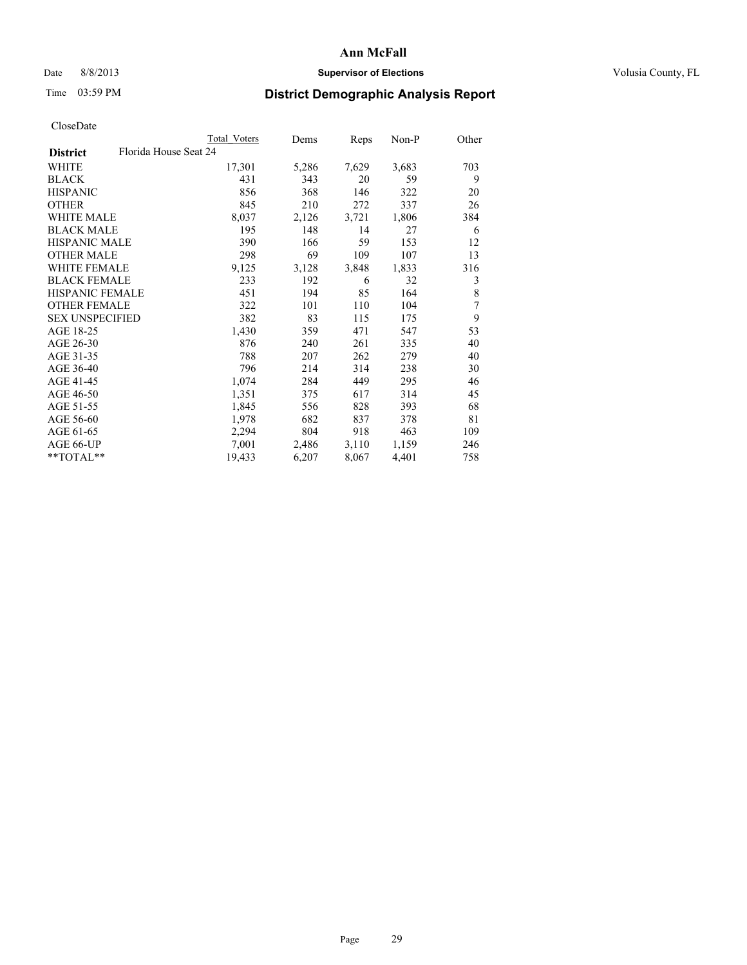## Date 8/8/2013 **Supervisor of Elections Supervisor of Elections** Volusia County, FL

# Time 03:59 PM **District Demographic Analysis Report**

|                                          | <b>Total Voters</b> | Dems  | Reps  | Non-P | Other |
|------------------------------------------|---------------------|-------|-------|-------|-------|
| Florida House Seat 24<br><b>District</b> |                     |       |       |       |       |
| WHITE                                    | 17,301              | 5,286 | 7,629 | 3,683 | 703   |
| <b>BLACK</b>                             | 431                 | 343   | 20    | 59    | 9     |
| <b>HISPANIC</b>                          | 856                 | 368   | 146   | 322   | 20    |
| <b>OTHER</b>                             | 845                 | 210   | 272   | 337   | 26    |
| <b>WHITE MALE</b>                        | 8,037               | 2,126 | 3,721 | 1,806 | 384   |
| <b>BLACK MALE</b>                        | 195                 | 148   | 14    | 27    | 6     |
| <b>HISPANIC MALE</b>                     | 390                 | 166   | 59    | 153   | 12    |
| <b>OTHER MALE</b>                        | 298                 | 69    | 109   | 107   | 13    |
| <b>WHITE FEMALE</b>                      | 9,125               | 3,128 | 3,848 | 1,833 | 316   |
| <b>BLACK FEMALE</b>                      | 233                 | 192   | 6     | 32    | 3     |
| <b>HISPANIC FEMALE</b>                   | 451                 | 194   | 85    | 164   | 8     |
| <b>OTHER FEMALE</b>                      | 322                 | 101   | 110   | 104   | 7     |
| <b>SEX UNSPECIFIED</b>                   | 382                 | 83    | 115   | 175   | 9     |
| AGE 18-25                                | 1,430               | 359   | 471   | 547   | 53    |
| AGE 26-30                                | 876                 | 240   | 261   | 335   | 40    |
| AGE 31-35                                | 788                 | 207   | 262   | 279   | 40    |
| AGE 36-40                                | 796                 | 214   | 314   | 238   | 30    |
| AGE 41-45                                | 1,074               | 284   | 449   | 295   | 46    |
| AGE 46-50                                | 1,351               | 375   | 617   | 314   | 45    |
| AGE 51-55                                | 1,845               | 556   | 828   | 393   | 68    |
| AGE 56-60                                | 1,978               | 682   | 837   | 378   | 81    |
| AGE 61-65                                | 2,294               | 804   | 918   | 463   | 109   |
| AGE 66-UP                                | 7,001               | 2,486 | 3,110 | 1,159 | 246   |
| $*$ $TOTAL**$                            | 19,433              | 6,207 | 8,067 | 4,401 | 758   |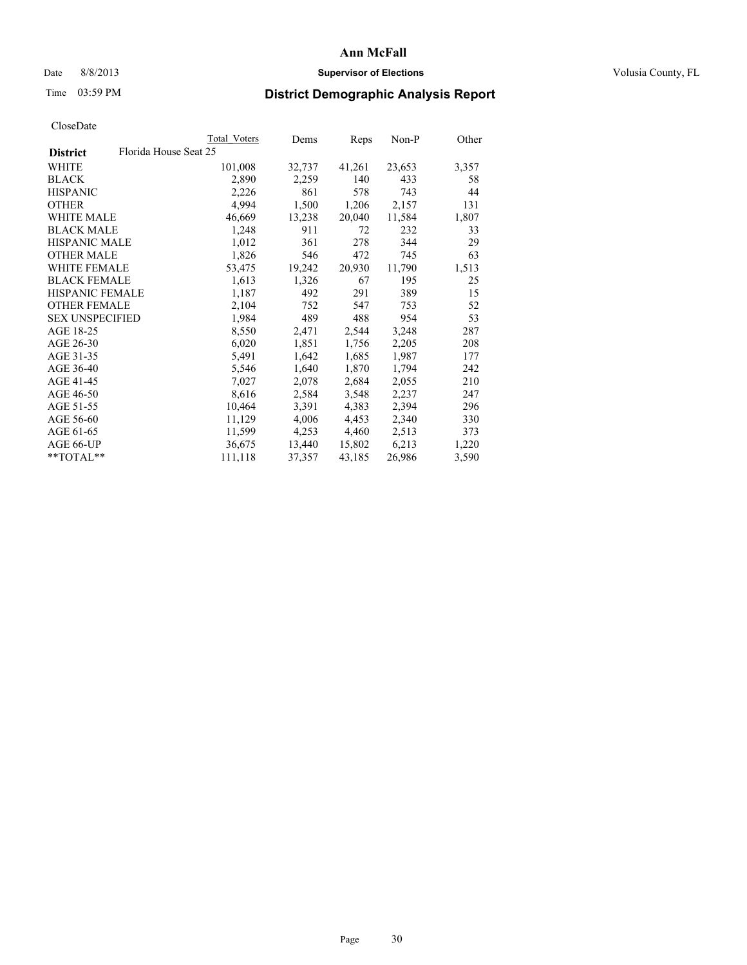### Date 8/8/2013 **Supervisor of Elections Supervisor of Elections** Volusia County, FL

# Time 03:59 PM **District Demographic Analysis Report**

| Total Voters | Dems                  | Reps   | Non-P  | Other |
|--------------|-----------------------|--------|--------|-------|
|              |                       |        |        |       |
| 101,008      | 32,737                | 41,261 | 23,653 | 3,357 |
| 2,890        | 2,259                 | 140    | 433    | 58    |
| 2,226        | 861                   | 578    | 743    | 44    |
| 4,994        | 1,500                 | 1,206  | 2,157  | 131   |
| 46,669       | 13,238                | 20,040 | 11,584 | 1,807 |
| 1,248        | 911                   | 72     | 232    | 33    |
| 1,012        | 361                   | 278    | 344    | 29    |
| 1,826        | 546                   | 472    | 745    | 63    |
| 53,475       | 19,242                | 20,930 | 11,790 | 1,513 |
| 1,613        | 1,326                 | 67     | 195    | 25    |
| 1,187        | 492                   | 291    | 389    | 15    |
| 2,104        | 752                   | 547    | 753    | 52    |
| 1,984        | 489                   | 488    | 954    | 53    |
| 8,550        | 2,471                 | 2,544  | 3,248  | 287   |
| 6,020        | 1,851                 | 1,756  | 2,205  | 208   |
| 5,491        | 1,642                 | 1,685  | 1,987  | 177   |
| 5,546        | 1,640                 | 1,870  | 1,794  | 242   |
| 7,027        | 2,078                 | 2,684  | 2,055  | 210   |
| 8,616        | 2,584                 | 3,548  | 2,237  | 247   |
| 10,464       | 3,391                 | 4,383  | 2,394  | 296   |
| 11,129       | 4,006                 | 4,453  | 2,340  | 330   |
| 11,599       | 4,253                 | 4,460  | 2,513  | 373   |
| 36,675       | 13,440                | 15,802 | 6,213  | 1,220 |
| 111,118      | 37,357                | 43,185 | 26,986 | 3,590 |
|              | Florida House Seat 25 |        |        |       |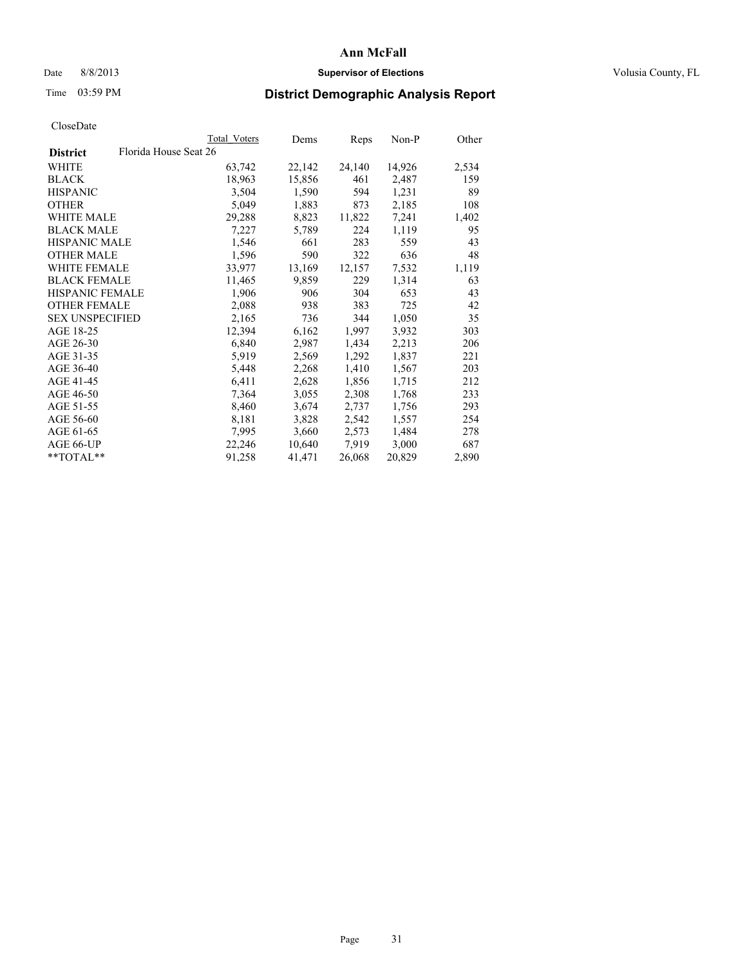### Date 8/8/2013 **Supervisor of Elections Supervisor of Elections** Volusia County, FL

# Time 03:59 PM **District Demographic Analysis Report**

|                        |                       | Total Voters | Dems   | <b>Reps</b> | Non-P  | Other |
|------------------------|-----------------------|--------------|--------|-------------|--------|-------|
| <b>District</b>        | Florida House Seat 26 |              |        |             |        |       |
| WHITE                  |                       | 63,742       | 22,142 | 24,140      | 14,926 | 2,534 |
| <b>BLACK</b>           |                       | 18,963       | 15,856 | 461         | 2,487  | 159   |
| <b>HISPANIC</b>        |                       | 3,504        | 1,590  | 594         | 1,231  | 89    |
| <b>OTHER</b>           |                       | 5,049        | 1,883  | 873         | 2,185  | 108   |
| <b>WHITE MALE</b>      |                       | 29,288       | 8,823  | 11,822      | 7,241  | 1,402 |
| <b>BLACK MALE</b>      |                       | 7,227        | 5,789  | 224         | 1,119  | 95    |
| <b>HISPANIC MALE</b>   |                       | 1,546        | 661    | 283         | 559    | 43    |
| <b>OTHER MALE</b>      |                       | 1,596        | 590    | 322         | 636    | 48    |
| <b>WHITE FEMALE</b>    |                       | 33,977       | 13,169 | 12,157      | 7,532  | 1,119 |
| <b>BLACK FEMALE</b>    |                       | 11,465       | 9,859  | 229         | 1,314  | 63    |
| <b>HISPANIC FEMALE</b> |                       | 1,906        | 906    | 304         | 653    | 43    |
| <b>OTHER FEMALE</b>    |                       | 2,088        | 938    | 383         | 725    | 42    |
| <b>SEX UNSPECIFIED</b> |                       | 2,165        | 736    | 344         | 1,050  | 35    |
| AGE 18-25              |                       | 12,394       | 6,162  | 1,997       | 3,932  | 303   |
| AGE 26-30              |                       | 6,840        | 2,987  | 1,434       | 2,213  | 206   |
| AGE 31-35              |                       | 5,919        | 2,569  | 1,292       | 1,837  | 221   |
| AGE 36-40              |                       | 5,448        | 2,268  | 1,410       | 1,567  | 203   |
| AGE 41-45              |                       | 6,411        | 2,628  | 1,856       | 1,715  | 212   |
| AGE 46-50              |                       | 7,364        | 3,055  | 2,308       | 1,768  | 233   |
| AGE 51-55              |                       | 8,460        | 3,674  | 2,737       | 1,756  | 293   |
| AGE 56-60              |                       | 8,181        | 3,828  | 2,542       | 1,557  | 254   |
| AGE 61-65              |                       | 7,995        | 3,660  | 2,573       | 1,484  | 278   |
| AGE 66-UP              |                       | 22,246       | 10,640 | 7.919       | 3,000  | 687   |
| $*$ $TOTAL**$          |                       | 91,258       | 41,471 | 26,068      | 20,829 | 2,890 |
|                        |                       |              |        |             |        |       |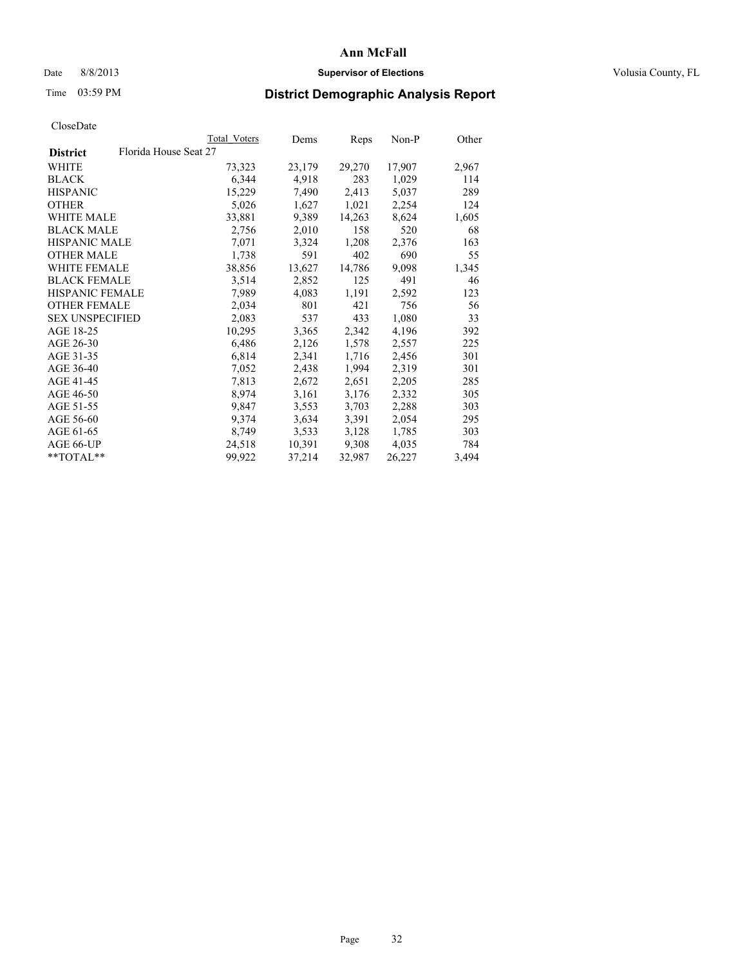## Date 8/8/2013 **Supervisor of Elections Supervisor of Elections** Volusia County, FL

# Time 03:59 PM **District Demographic Analysis Report**

| Total Voters | Dems                  | Reps   | Non-P  | Other |
|--------------|-----------------------|--------|--------|-------|
|              |                       |        |        |       |
| 73,323       | 23,179                | 29,270 | 17,907 | 2,967 |
| 6,344        | 4,918                 | 283    | 1,029  | 114   |
| 15,229       | 7,490                 | 2,413  | 5,037  | 289   |
| 5,026        | 1,627                 | 1,021  | 2,254  | 124   |
| 33,881       | 9,389                 | 14,263 | 8,624  | 1,605 |
| 2,756        | 2,010                 | 158    | 520    | 68    |
| 7,071        | 3,324                 | 1,208  | 2,376  | 163   |
| 1,738        | 591                   | 402    | 690    | 55    |
| 38,856       | 13,627                | 14,786 | 9,098  | 1,345 |
| 3,514        | 2,852                 | 125    | 491    | 46    |
| 7,989        | 4,083                 | 1,191  | 2,592  | 123   |
| 2,034        | 801                   | 421    | 756    | 56    |
| 2,083        | 537                   | 433    | 1,080  | 33    |
| 10,295       | 3,365                 | 2,342  | 4,196  | 392   |
| 6,486        | 2,126                 | 1,578  | 2,557  | 225   |
| 6,814        | 2,341                 | 1,716  | 2,456  | 301   |
| 7,052        | 2,438                 | 1,994  | 2,319  | 301   |
| 7,813        | 2,672                 | 2,651  | 2,205  | 285   |
| 8,974        | 3,161                 | 3,176  | 2,332  | 305   |
| 9,847        | 3,553                 | 3,703  | 2,288  | 303   |
| 9,374        | 3,634                 | 3,391  | 2,054  | 295   |
| 8,749        | 3,533                 | 3,128  | 1,785  | 303   |
| 24,518       | 10,391                | 9,308  | 4,035  | 784   |
| 99,922       | 37,214                | 32,987 | 26,227 | 3,494 |
|              | Florida House Seat 27 |        |        |       |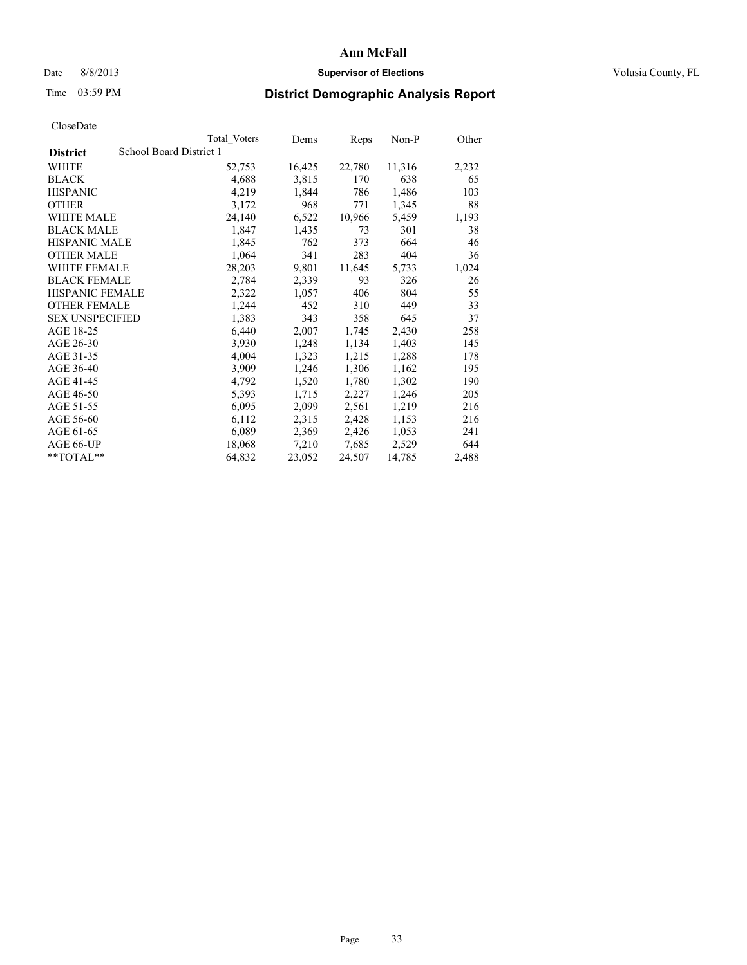### Date 8/8/2013 **Supervisor of Elections Supervisor of Elections** Volusia County, FL

# Time 03:59 PM **District Demographic Analysis Report**

|                        |                         | Total Voters | Dems   | Reps   | Non-P  | Other |
|------------------------|-------------------------|--------------|--------|--------|--------|-------|
| <b>District</b>        | School Board District 1 |              |        |        |        |       |
| WHITE                  |                         | 52,753       | 16,425 | 22,780 | 11,316 | 2,232 |
| <b>BLACK</b>           |                         | 4,688        | 3,815  | 170    | 638    | 65    |
| <b>HISPANIC</b>        |                         | 4,219        | 1,844  | 786    | 1,486  | 103   |
| <b>OTHER</b>           |                         | 3,172        | 968    | 771    | 1,345  | 88    |
| <b>WHITE MALE</b>      |                         | 24,140       | 6,522  | 10,966 | 5,459  | 1,193 |
| <b>BLACK MALE</b>      |                         | 1,847        | 1,435  | 73     | 301    | 38    |
| <b>HISPANIC MALE</b>   |                         | 1,845        | 762    | 373    | 664    | 46    |
| <b>OTHER MALE</b>      |                         | 1,064        | 341    | 283    | 404    | 36    |
| WHITE FEMALE           |                         | 28,203       | 9,801  | 11,645 | 5,733  | 1,024 |
| <b>BLACK FEMALE</b>    |                         | 2,784        | 2,339  | 93     | 326    | 26    |
| <b>HISPANIC FEMALE</b> |                         | 2,322        | 1,057  | 406    | 804    | 55    |
| <b>OTHER FEMALE</b>    |                         | 1,244        | 452    | 310    | 449    | 33    |
| <b>SEX UNSPECIFIED</b> |                         | 1,383        | 343    | 358    | 645    | 37    |
| AGE 18-25              |                         | 6,440        | 2,007  | 1,745  | 2,430  | 258   |
| AGE 26-30              |                         | 3,930        | 1,248  | 1,134  | 1,403  | 145   |
| AGE 31-35              |                         | 4,004        | 1,323  | 1,215  | 1,288  | 178   |
| AGE 36-40              |                         | 3,909        | 1,246  | 1,306  | 1,162  | 195   |
| AGE 41-45              |                         | 4,792        | 1,520  | 1,780  | 1,302  | 190   |
| AGE 46-50              |                         | 5,393        | 1,715  | 2,227  | 1,246  | 205   |
| AGE 51-55              |                         | 6,095        | 2,099  | 2,561  | 1,219  | 216   |
| AGE 56-60              |                         | 6,112        | 2,315  | 2,428  | 1,153  | 216   |
| AGE 61-65              |                         | 6,089        | 2,369  | 2,426  | 1,053  | 241   |
| AGE 66-UP              |                         | 18,068       | 7,210  | 7,685  | 2,529  | 644   |
| $*$ TOTAL $*$          |                         | 64,832       | 23,052 | 24,507 | 14,785 | 2,488 |
|                        |                         |              |        |        |        |       |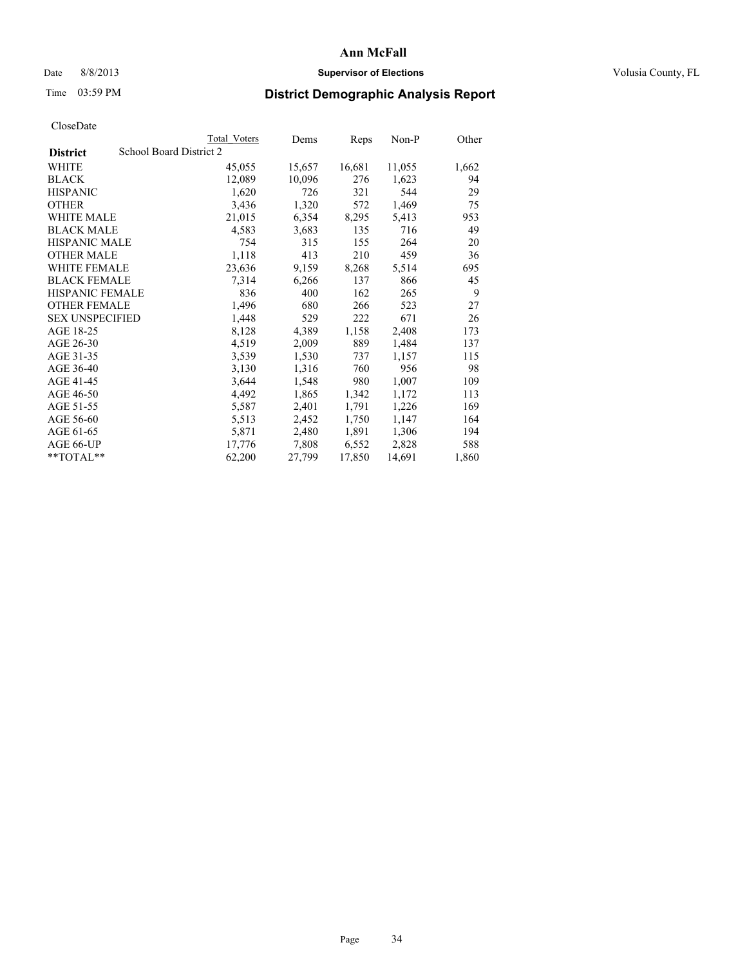## Date 8/8/2013 **Supervisor of Elections Supervisor of Elections** Volusia County, FL

# Time 03:59 PM **District Demographic Analysis Report**

|                        |                         | Total Voters | Dems   | <b>Reps</b> | Non-P  | Other |
|------------------------|-------------------------|--------------|--------|-------------|--------|-------|
| <b>District</b>        | School Board District 2 |              |        |             |        |       |
| <b>WHITE</b>           |                         | 45,055       | 15,657 | 16,681      | 11,055 | 1,662 |
| <b>BLACK</b>           |                         | 12,089       | 10,096 | 276         | 1,623  | 94    |
| <b>HISPANIC</b>        |                         | 1,620        | 726    | 321         | 544    | 29    |
| <b>OTHER</b>           |                         | 3,436        | 1,320  | 572         | 1,469  | 75    |
| <b>WHITE MALE</b>      |                         | 21,015       | 6,354  | 8,295       | 5,413  | 953   |
| <b>BLACK MALE</b>      |                         | 4,583        | 3,683  | 135         | 716    | 49    |
| <b>HISPANIC MALE</b>   |                         | 754          | 315    | 155         | 264    | 20    |
| <b>OTHER MALE</b>      |                         | 1,118        | 413    | 210         | 459    | 36    |
| WHITE FEMALE           |                         | 23,636       | 9,159  | 8,268       | 5,514  | 695   |
| <b>BLACK FEMALE</b>    |                         | 7.314        | 6,266  | 137         | 866    | 45    |
| HISPANIC FEMALE        |                         | 836          | 400    | 162         | 265    | 9     |
| <b>OTHER FEMALE</b>    |                         | 1,496        | 680    | 266         | 523    | 27    |
| <b>SEX UNSPECIFIED</b> |                         | 1,448        | 529    | 222         | 671    | 26    |
| AGE 18-25              |                         | 8,128        | 4,389  | 1,158       | 2,408  | 173   |
| AGE 26-30              |                         | 4,519        | 2,009  | 889         | 1,484  | 137   |
| AGE 31-35              |                         | 3,539        | 1,530  | 737         | 1,157  | 115   |
| AGE 36-40              |                         | 3,130        | 1,316  | 760         | 956    | 98    |
| AGE 41-45              |                         | 3,644        | 1,548  | 980         | 1,007  | 109   |
| AGE 46-50              |                         | 4,492        | 1,865  | 1,342       | 1,172  | 113   |
| AGE 51-55              |                         | 5,587        | 2,401  | 1,791       | 1,226  | 169   |
| AGE 56-60              |                         | 5,513        | 2,452  | 1,750       | 1,147  | 164   |
| AGE 61-65              |                         | 5,871        | 2,480  | 1,891       | 1,306  | 194   |
| AGE 66-UP              |                         | 17,776       | 7,808  | 6,552       | 2,828  | 588   |
| **TOTAL**              |                         | 62,200       | 27,799 | 17,850      | 14,691 | 1,860 |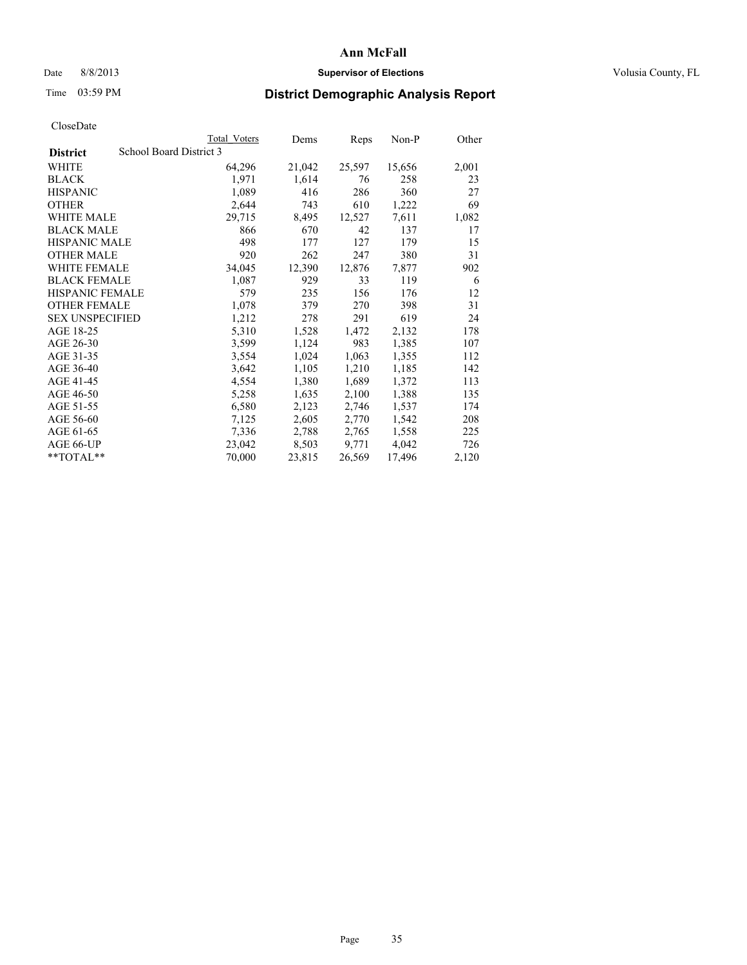## Date 8/8/2013 **Supervisor of Elections Supervisor of Elections** Volusia County, FL

# Time 03:59 PM **District Demographic Analysis Report**

|                        | Total Voters            | Dems   | Reps   | $Non-P$ | Other |
|------------------------|-------------------------|--------|--------|---------|-------|
| <b>District</b>        | School Board District 3 |        |        |         |       |
| WHITE                  | 64,296                  | 21,042 | 25,597 | 15,656  | 2,001 |
| <b>BLACK</b>           | 1,971                   | 1,614  | 76     | 258     | 23    |
| <b>HISPANIC</b>        | 1,089                   | 416    | 286    | 360     | 27    |
| <b>OTHER</b>           | 2,644                   | 743    | 610    | 1,222   | 69    |
| WHITE MALE             | 29,715                  | 8,495  | 12,527 | 7,611   | 1,082 |
| <b>BLACK MALE</b>      | 866                     | 670    | 42     | 137     | 17    |
| <b>HISPANIC MALE</b>   | 498                     | 177    | 127    | 179     | 15    |
| <b>OTHER MALE</b>      | 920                     | 262    | 247    | 380     | 31    |
| <b>WHITE FEMALE</b>    | 34,045                  | 12,390 | 12,876 | 7,877   | 902   |
| <b>BLACK FEMALE</b>    | 1,087                   | 929    | 33     | 119     | 6     |
| <b>HISPANIC FEMALE</b> | 579                     | 235    | 156    | 176     | 12    |
| <b>OTHER FEMALE</b>    | 1,078                   | 379    | 270    | 398     | 31    |
| <b>SEX UNSPECIFIED</b> | 1,212                   | 278    | 291    | 619     | 24    |
| AGE 18-25              | 5,310                   | 1,528  | 1,472  | 2,132   | 178   |
| AGE 26-30              | 3,599                   | 1,124  | 983    | 1,385   | 107   |
| AGE 31-35              | 3,554                   | 1,024  | 1,063  | 1,355   | 112   |
| AGE 36-40              | 3,642                   | 1,105  | 1,210  | 1,185   | 142   |
| AGE 41-45              | 4,554                   | 1,380  | 1,689  | 1,372   | 113   |
| AGE 46-50              | 5,258                   | 1,635  | 2,100  | 1,388   | 135   |
| AGE 51-55              | 6,580                   | 2,123  | 2,746  | 1,537   | 174   |
| AGE 56-60              | 7,125                   | 2,605  | 2,770  | 1,542   | 208   |
| AGE 61-65              | 7,336                   | 2,788  | 2,765  | 1,558   | 225   |
| AGE 66-UP              | 23,042                  | 8,503  | 9,771  | 4,042   | 726   |
| **TOTAL**              | 70,000                  | 23,815 | 26,569 | 17,496  | 2,120 |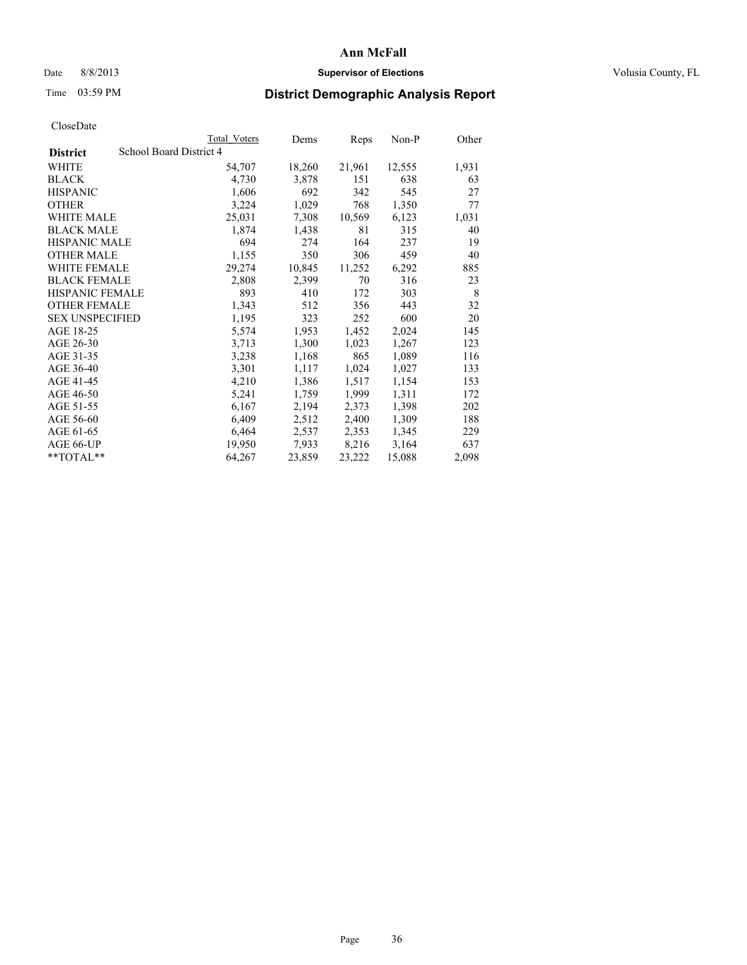## Date 8/8/2013 **Supervisor of Elections Supervisor of Elections** Volusia County, FL

# Time 03:59 PM **District Demographic Analysis Report**

|                                            | Total Voters | Dems   | Reps   | $Non-P$ | Other |
|--------------------------------------------|--------------|--------|--------|---------|-------|
| School Board District 4<br><b>District</b> |              |        |        |         |       |
| WHITE                                      | 54,707       | 18,260 | 21,961 | 12,555  | 1,931 |
| <b>BLACK</b>                               | 4,730        | 3,878  | 151    | 638     | 63    |
| <b>HISPANIC</b>                            | 1,606        | 692    | 342    | 545     | 27    |
| <b>OTHER</b>                               | 3,224        | 1,029  | 768    | 1,350   | 77    |
| <b>WHITE MALE</b>                          | 25,031       | 7,308  | 10,569 | 6,123   | 1,031 |
| <b>BLACK MALE</b>                          | 1,874        | 1,438  | 81     | 315     | 40    |
| <b>HISPANIC MALE</b>                       | 694          | 274    | 164    | 237     | 19    |
| <b>OTHER MALE</b>                          | 1,155        | 350    | 306    | 459     | 40    |
| <b>WHITE FEMALE</b>                        | 29,274       | 10,845 | 11,252 | 6,292   | 885   |
| <b>BLACK FEMALE</b>                        | 2,808        | 2,399  | 70     | 316     | 23    |
| <b>HISPANIC FEMALE</b>                     | 893          | 410    | 172    | 303     | 8     |
| <b>OTHER FEMALE</b>                        | 1,343        | 512    | 356    | 443     | 32    |
| <b>SEX UNSPECIFIED</b>                     | 1,195        | 323    | 252    | 600     | 20    |
| AGE 18-25                                  | 5,574        | 1,953  | 1,452  | 2,024   | 145   |
| AGE 26-30                                  | 3,713        | 1,300  | 1,023  | 1,267   | 123   |
| AGE 31-35                                  | 3,238        | 1,168  | 865    | 1,089   | 116   |
| AGE 36-40                                  | 3,301        | 1,117  | 1,024  | 1,027   | 133   |
| AGE 41-45                                  | 4,210        | 1,386  | 1,517  | 1,154   | 153   |
| AGE 46-50                                  | 5,241        | 1,759  | 1,999  | 1,311   | 172   |
| AGE 51-55                                  | 6,167        | 2,194  | 2,373  | 1,398   | 202   |
| AGE 56-60                                  | 6,409        | 2,512  | 2,400  | 1,309   | 188   |
| AGE 61-65                                  | 6,464        | 2,537  | 2,353  | 1,345   | 229   |
| AGE 66-UP                                  | 19,950       | 7,933  | 8,216  | 3,164   | 637   |
| **TOTAL**                                  | 64,267       | 23,859 | 23,222 | 15,088  | 2,098 |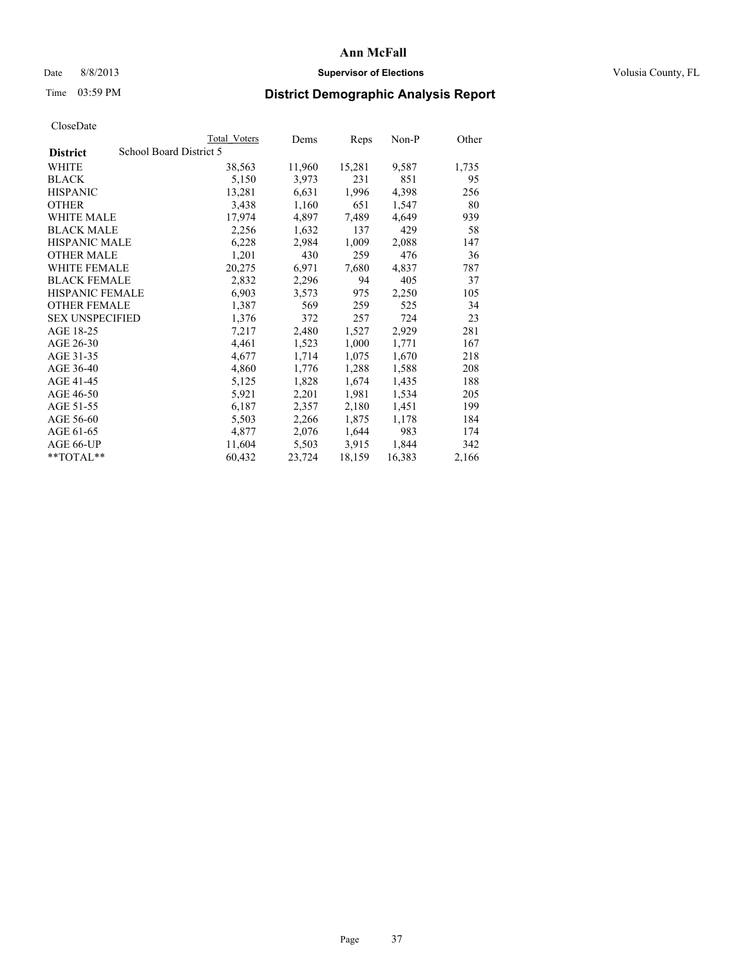## Date 8/8/2013 **Supervisor of Elections Supervisor of Elections** Volusia County, FL

# Time 03:59 PM **District Demographic Analysis Report**

|                                            | Total Voters | Dems   | Reps   | $Non-P$ | Other |
|--------------------------------------------|--------------|--------|--------|---------|-------|
| School Board District 5<br><b>District</b> |              |        |        |         |       |
| WHITE                                      | 38,563       | 11,960 | 15,281 | 9,587   | 1,735 |
| <b>BLACK</b>                               | 5,150        | 3,973  | 231    | 851     | 95    |
| <b>HISPANIC</b>                            | 13,281       | 6,631  | 1,996  | 4,398   | 256   |
| <b>OTHER</b>                               | 3,438        | 1,160  | 651    | 1,547   | 80    |
| <b>WHITE MALE</b>                          | 17,974       | 4,897  | 7.489  | 4,649   | 939   |
| <b>BLACK MALE</b>                          | 2,256        | 1,632  | 137    | 429     | 58    |
| <b>HISPANIC MALE</b>                       | 6,228        | 2,984  | 1,009  | 2,088   | 147   |
| <b>OTHER MALE</b>                          | 1,201        | 430    | 259    | 476     | 36    |
| <b>WHITE FEMALE</b>                        | 20,275       | 6,971  | 7,680  | 4,837   | 787   |
| <b>BLACK FEMALE</b>                        | 2,832        | 2,296  | 94     | 405     | 37    |
| <b>HISPANIC FEMALE</b>                     | 6,903        | 3,573  | 975    | 2,250   | 105   |
| <b>OTHER FEMALE</b>                        | 1,387        | 569    | 259    | 525     | 34    |
| <b>SEX UNSPECIFIED</b>                     | 1,376        | 372    | 257    | 724     | 23    |
| AGE 18-25                                  | 7,217        | 2,480  | 1,527  | 2,929   | 281   |
| AGE 26-30                                  | 4,461        | 1,523  | 1,000  | 1,771   | 167   |
| AGE 31-35                                  | 4,677        | 1,714  | 1,075  | 1,670   | 218   |
| AGE 36-40                                  | 4,860        | 1,776  | 1,288  | 1,588   | 208   |
| AGE 41-45                                  | 5,125        | 1,828  | 1,674  | 1,435   | 188   |
| AGE 46-50                                  | 5,921        | 2,201  | 1,981  | 1,534   | 205   |
| AGE 51-55                                  | 6,187        | 2,357  | 2,180  | 1,451   | 199   |
| AGE 56-60                                  | 5,503        | 2,266  | 1,875  | 1,178   | 184   |
| AGE 61-65                                  | 4,877        | 2,076  | 1,644  | 983     | 174   |
| AGE 66-UP                                  | 11,604       | 5,503  | 3,915  | 1,844   | 342   |
| **TOTAL**                                  | 60,432       | 23,724 | 18,159 | 16,383  | 2,166 |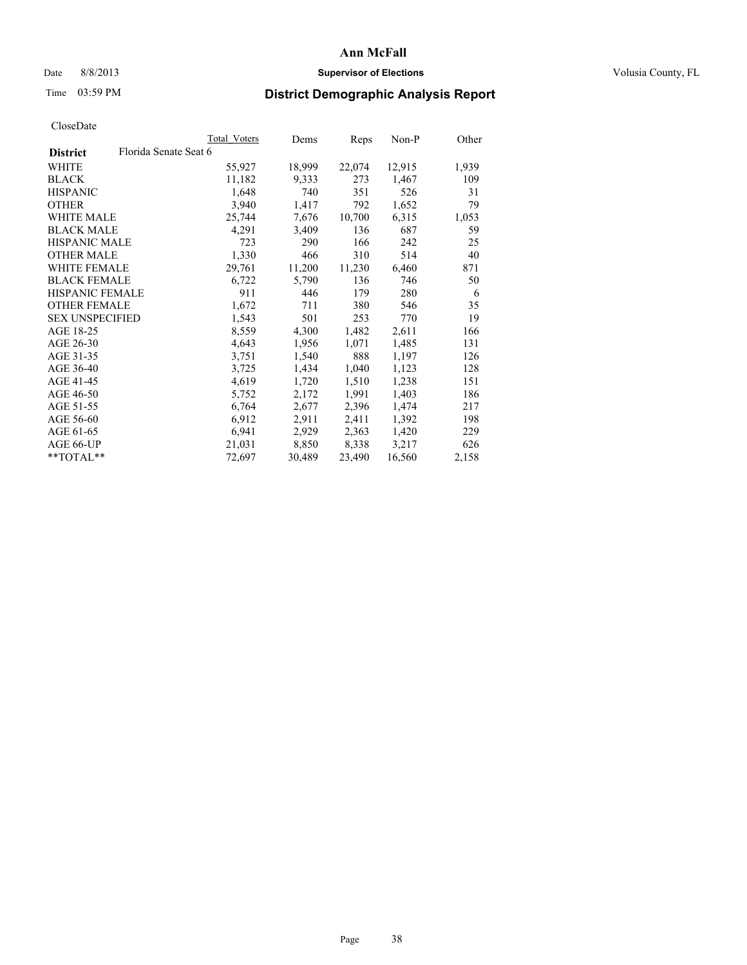## Date 8/8/2013 **Supervisor of Elections Supervisor of Elections** Volusia County, FL

# Time 03:59 PM **District Demographic Analysis Report**

|                                          | Total Voters | Dems   | Reps   | Non-P  | Other |
|------------------------------------------|--------------|--------|--------|--------|-------|
| Florida Senate Seat 6<br><b>District</b> |              |        |        |        |       |
| WHITE                                    | 55,927       | 18,999 | 22,074 | 12,915 | 1,939 |
| <b>BLACK</b>                             | 11,182       | 9,333  | 273    | 1,467  | 109   |
| <b>HISPANIC</b>                          | 1,648        | 740    | 351    | 526    | 31    |
| <b>OTHER</b>                             | 3,940        | 1,417  | 792    | 1,652  | 79    |
| <b>WHITE MALE</b>                        | 25,744       | 7,676  | 10,700 | 6,315  | 1,053 |
| <b>BLACK MALE</b>                        | 4,291        | 3,409  | 136    | 687    | 59    |
| <b>HISPANIC MALE</b>                     | 723          | 290    | 166    | 242    | 25    |
| <b>OTHER MALE</b>                        | 1,330        | 466    | 310    | 514    | 40    |
| WHITE FEMALE                             | 29,761       | 11,200 | 11,230 | 6,460  | 871   |
| <b>BLACK FEMALE</b>                      | 6,722        | 5,790  | 136    | 746    | 50    |
| <b>HISPANIC FEMALE</b>                   | 911          | 446    | 179    | 280    | 6     |
| <b>OTHER FEMALE</b>                      | 1,672        | 711    | 380    | 546    | 35    |
| <b>SEX UNSPECIFIED</b>                   | 1,543        | 501    | 253    | 770    | 19    |
| AGE 18-25                                | 8,559        | 4,300  | 1,482  | 2,611  | 166   |
| AGE 26-30                                | 4,643        | 1,956  | 1,071  | 1,485  | 131   |
| AGE 31-35                                | 3,751        | 1,540  | 888    | 1,197  | 126   |
| AGE 36-40                                | 3,725        | 1,434  | 1,040  | 1,123  | 128   |
| AGE 41-45                                | 4,619        | 1,720  | 1,510  | 1,238  | 151   |
| AGE 46-50                                | 5,752        | 2,172  | 1,991  | 1,403  | 186   |
| AGE 51-55                                | 6,764        | 2,677  | 2,396  | 1,474  | 217   |
| AGE 56-60                                | 6,912        | 2,911  | 2,411  | 1,392  | 198   |
| AGE 61-65                                | 6,941        | 2,929  | 2,363  | 1,420  | 229   |
| AGE 66-UP                                | 21,031       | 8,850  | 8,338  | 3,217  | 626   |
| **TOTAL**                                | 72,697       | 30,489 | 23,490 | 16,560 | 2,158 |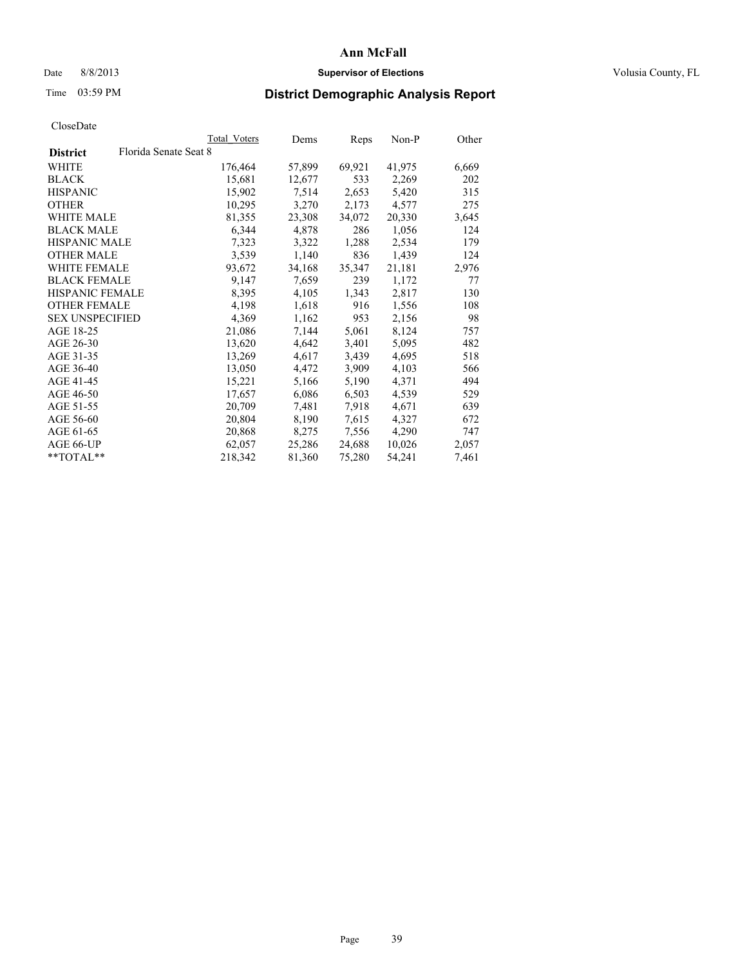## Date 8/8/2013 **Supervisor of Elections Supervisor of Elections** Volusia County, FL

# Time 03:59 PM **District Demographic Analysis Report**

| Total Voters          | Dems   | <b>Reps</b> | Non-P  | Other |
|-----------------------|--------|-------------|--------|-------|
| Florida Senate Seat 8 |        |             |        |       |
| 176,464               | 57,899 | 69,921      | 41,975 | 6,669 |
| 15,681                | 12,677 | 533         | 2,269  | 202   |
| 15,902                | 7,514  | 2,653       | 5,420  | 315   |
| 10,295                | 3,270  | 2,173       | 4,577  | 275   |
| 81,355                | 23,308 | 34,072      | 20,330 | 3,645 |
| 6,344                 | 4,878  | 286         | 1,056  | 124   |
| 7,323                 | 3,322  | 1,288       | 2,534  | 179   |
| 3,539                 | 1,140  | 836         | 1,439  | 124   |
| 93,672                | 34,168 | 35,347      | 21,181 | 2,976 |
| 9,147                 | 7,659  | 239         | 1,172  | 77    |
| 8,395                 | 4,105  | 1,343       | 2,817  | 130   |
| 4,198                 | 1,618  | 916         | 1,556  | 108   |
| 4,369                 | 1,162  | 953         | 2,156  | 98    |
| 21,086                | 7,144  | 5,061       | 8,124  | 757   |
| 13,620                | 4,642  | 3,401       | 5,095  | 482   |
| 13,269                | 4,617  | 3,439       | 4,695  | 518   |
| 13,050                | 4,472  | 3,909       | 4,103  | 566   |
| 15,221                | 5,166  | 5,190       | 4,371  | 494   |
| 17,657                | 6,086  | 6,503       | 4,539  | 529   |
| 20,709                | 7.481  | 7.918       | 4,671  | 639   |
| 20,804                | 8,190  | 7,615       | 4,327  | 672   |
| 20,868                | 8,275  | 7,556       | 4,290  | 747   |
| 62,057                | 25,286 | 24,688      | 10,026 | 2,057 |
| 218,342               | 81,360 | 75,280      | 54,241 | 7,461 |
|                       |        |             |        |       |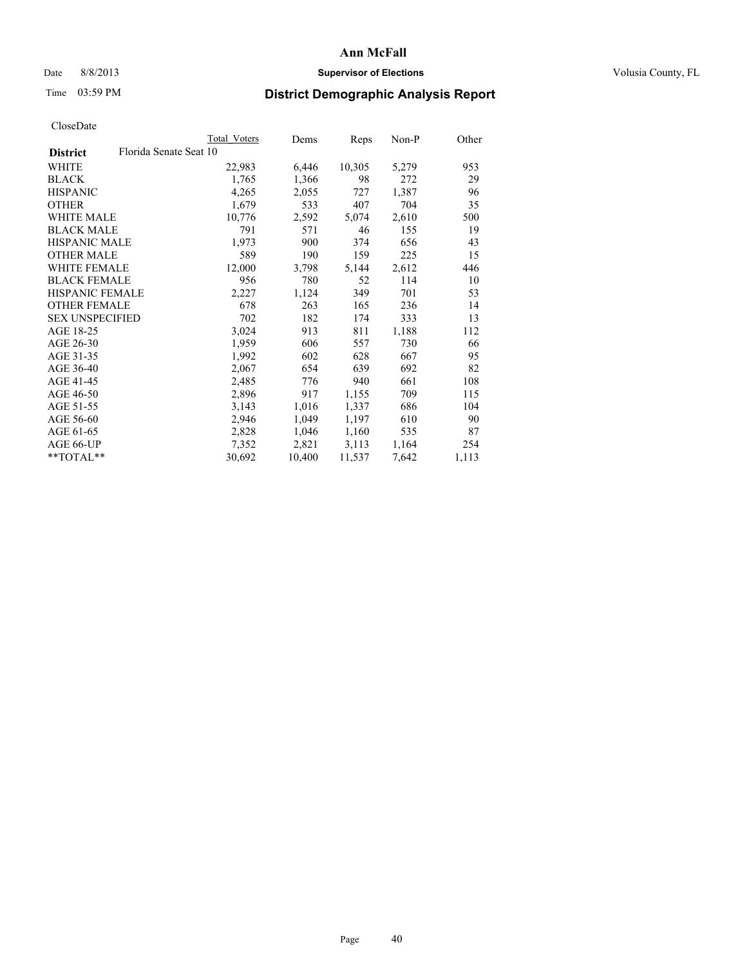## Date 8/8/2013 **Supervisor of Elections Supervisor of Elections** Volusia County, FL

# Time 03:59 PM **District Demographic Analysis Report**

|                                           | <b>Total Voters</b> | Dems   | Reps   | Non-P | Other |
|-------------------------------------------|---------------------|--------|--------|-------|-------|
| Florida Senate Seat 10<br><b>District</b> |                     |        |        |       |       |
| WHITE                                     | 22,983              | 6,446  | 10,305 | 5,279 | 953   |
| <b>BLACK</b>                              | 1,765               | 1,366  | 98     | 272   | 29    |
| <b>HISPANIC</b>                           | 4,265               | 2,055  | 727    | 1,387 | 96    |
| <b>OTHER</b>                              | 1,679               | 533    | 407    | 704   | 35    |
| WHITE MALE                                | 10,776              | 2,592  | 5,074  | 2,610 | 500   |
| <b>BLACK MALE</b>                         | 791                 | 571    | 46     | 155   | 19    |
| <b>HISPANIC MALE</b>                      | 1,973               | 900    | 374    | 656   | 43    |
| <b>OTHER MALE</b>                         | 589                 | 190    | 159    | 225   | 15    |
| <b>WHITE FEMALE</b>                       | 12,000              | 3,798  | 5,144  | 2,612 | 446   |
| <b>BLACK FEMALE</b>                       | 956                 | 780    | 52     | 114   | 10    |
| HISPANIC FEMALE                           | 2,227               | 1,124  | 349    | 701   | 53    |
| <b>OTHER FEMALE</b>                       | 678                 | 263    | 165    | 236   | 14    |
| <b>SEX UNSPECIFIED</b>                    | 702                 | 182    | 174    | 333   | 13    |
| AGE 18-25                                 | 3,024               | 913    | 811    | 1,188 | 112   |
| AGE 26-30                                 | 1,959               | 606    | 557    | 730   | 66    |
| AGE 31-35                                 | 1,992               | 602    | 628    | 667   | 95    |
| AGE 36-40                                 | 2,067               | 654    | 639    | 692   | 82    |
| AGE 41-45                                 | 2,485               | 776    | 940    | 661   | 108   |
| AGE 46-50                                 | 2,896               | 917    | 1,155  | 709   | 115   |
| AGE 51-55                                 | 3,143               | 1,016  | 1,337  | 686   | 104   |
| AGE 56-60                                 | 2,946               | 1,049  | 1,197  | 610   | 90    |
| AGE 61-65                                 | 2,828               | 1,046  | 1,160  | 535   | 87    |
| AGE 66-UP                                 | 7,352               | 2,821  | 3,113  | 1,164 | 254   |
| $*$ TOTAL $*$                             | 30,692              | 10,400 | 11,537 | 7,642 | 1,113 |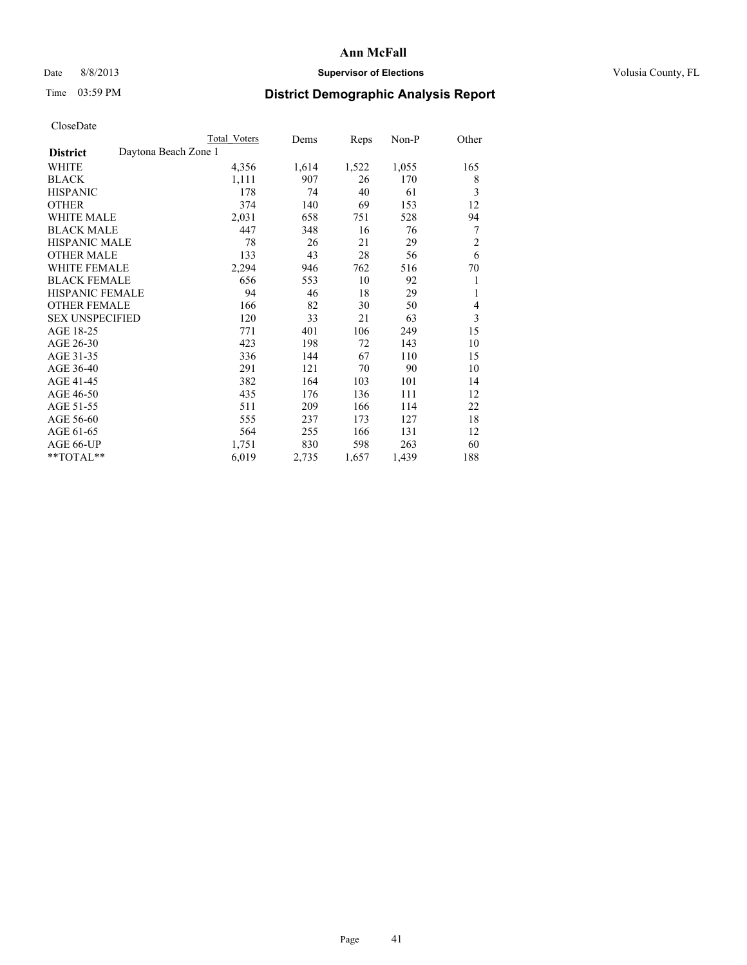# Date 8/8/2013 **Supervisor of Elections Supervisor of Elections** Volusia County, FL

# Time 03:59 PM **District Demographic Analysis Report**

|                                         | Total Voters | Dems  | Reps  | Non-P | Other          |
|-----------------------------------------|--------------|-------|-------|-------|----------------|
| Daytona Beach Zone 1<br><b>District</b> |              |       |       |       |                |
| WHITE                                   | 4,356        | 1,614 | 1,522 | 1,055 | 165            |
| <b>BLACK</b>                            | 1,111        | 907   | 26    | 170   | 8              |
| <b>HISPANIC</b>                         | 178          | 74    | 40    | 61    | 3              |
| <b>OTHER</b>                            | 374          | 140   | 69    | 153   | 12             |
| <b>WHITE MALE</b>                       | 2,031        | 658   | 751   | 528   | 94             |
| <b>BLACK MALE</b>                       | 447          | 348   | 16    | 76    | 7              |
| <b>HISPANIC MALE</b>                    | 78           | 26    | 21    | 29    | $\overline{c}$ |
| <b>OTHER MALE</b>                       | 133          | 43    | 28    | 56    | 6              |
| <b>WHITE FEMALE</b>                     | 2,294        | 946   | 762   | 516   | 70             |
| <b>BLACK FEMALE</b>                     | 656          | 553   | 10    | 92    | 1              |
| <b>HISPANIC FEMALE</b>                  | 94           | 46    | 18    | 29    | 1              |
| <b>OTHER FEMALE</b>                     | 166          | 82    | 30    | 50    | 4              |
| <b>SEX UNSPECIFIED</b>                  | 120          | 33    | 21    | 63    | 3              |
| AGE 18-25                               | 771          | 401   | 106   | 249   | 15             |
| AGE 26-30                               | 423          | 198   | 72    | 143   | 10             |
| AGE 31-35                               | 336          | 144   | 67    | 110   | 15             |
| AGE 36-40                               | 291          | 121   | 70    | 90    | 10             |
| AGE 41-45                               | 382          | 164   | 103   | 101   | 14             |
| AGE 46-50                               | 435          | 176   | 136   | 111   | 12             |
| AGE 51-55                               | 511          | 209   | 166   | 114   | 22             |
| AGE 56-60                               | 555          | 237   | 173   | 127   | 18             |
| AGE 61-65                               | 564          | 255   | 166   | 131   | 12             |
| AGE 66-UP                               | 1,751        | 830   | 598   | 263   | 60             |
| **TOTAL**                               | 6,019        | 2,735 | 1,657 | 1,439 | 188            |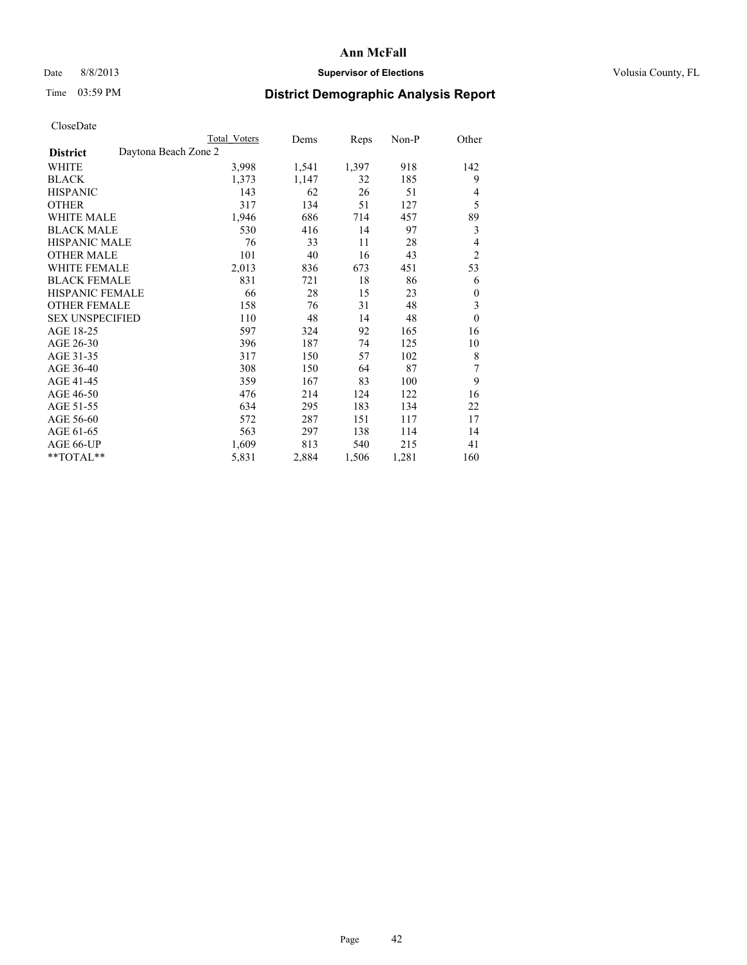# Date 8/8/2013 **Supervisor of Elections Supervisor of Elections** Volusia County, FL

# Time 03:59 PM **District Demographic Analysis Report**

|                                         | <b>Total Voters</b> | Dems  | Reps  | Non-P | Other          |
|-----------------------------------------|---------------------|-------|-------|-------|----------------|
| Daytona Beach Zone 2<br><b>District</b> |                     |       |       |       |                |
| WHITE                                   | 3,998               | 1,541 | 1,397 | 918   | 142            |
| <b>BLACK</b>                            | 1,373               | 1,147 | 32    | 185   | 9              |
| <b>HISPANIC</b>                         | 143                 | 62    | 26    | 51    | 4              |
| <b>OTHER</b>                            | 317                 | 134   | 51    | 127   | 5              |
| <b>WHITE MALE</b>                       | 1,946               | 686   | 714   | 457   | 89             |
| <b>BLACK MALE</b>                       | 530                 | 416   | 14    | 97    | 3              |
| <b>HISPANIC MALE</b>                    | 76                  | 33    | 11    | 28    | 4              |
| <b>OTHER MALE</b>                       | 101                 | 40    | 16    | 43    | $\overline{c}$ |
| <b>WHITE FEMALE</b>                     | 2,013               | 836   | 673   | 451   | 53             |
| <b>BLACK FEMALE</b>                     | 831                 | 721   | 18    | 86    | 6              |
| <b>HISPANIC FEMALE</b>                  | 66                  | 28    | 15    | 23    | $\theta$       |
| <b>OTHER FEMALE</b>                     | 158                 | 76    | 31    | 48    | 3              |
| <b>SEX UNSPECIFIED</b>                  | 110                 | 48    | 14    | 48    | $\mathbf{0}$   |
| AGE 18-25                               | 597                 | 324   | 92    | 165   | 16             |
| AGE 26-30                               | 396                 | 187   | 74    | 125   | 10             |
| AGE 31-35                               | 317                 | 150   | 57    | 102   | 8              |
| AGE 36-40                               | 308                 | 150   | 64    | 87    | 7              |
| AGE 41-45                               | 359                 | 167   | 83    | 100   | 9              |
| AGE 46-50                               | 476                 | 214   | 124   | 122   | 16             |
| AGE 51-55                               | 634                 | 295   | 183   | 134   | 22             |
| AGE 56-60                               | 572                 | 287   | 151   | 117   | 17             |
| AGE 61-65                               | 563                 | 297   | 138   | 114   | 14             |
| AGE 66-UP                               | 1,609               | 813   | 540   | 215   | 41             |
| **TOTAL**                               | 5,831               | 2,884 | 1,506 | 1,281 | 160            |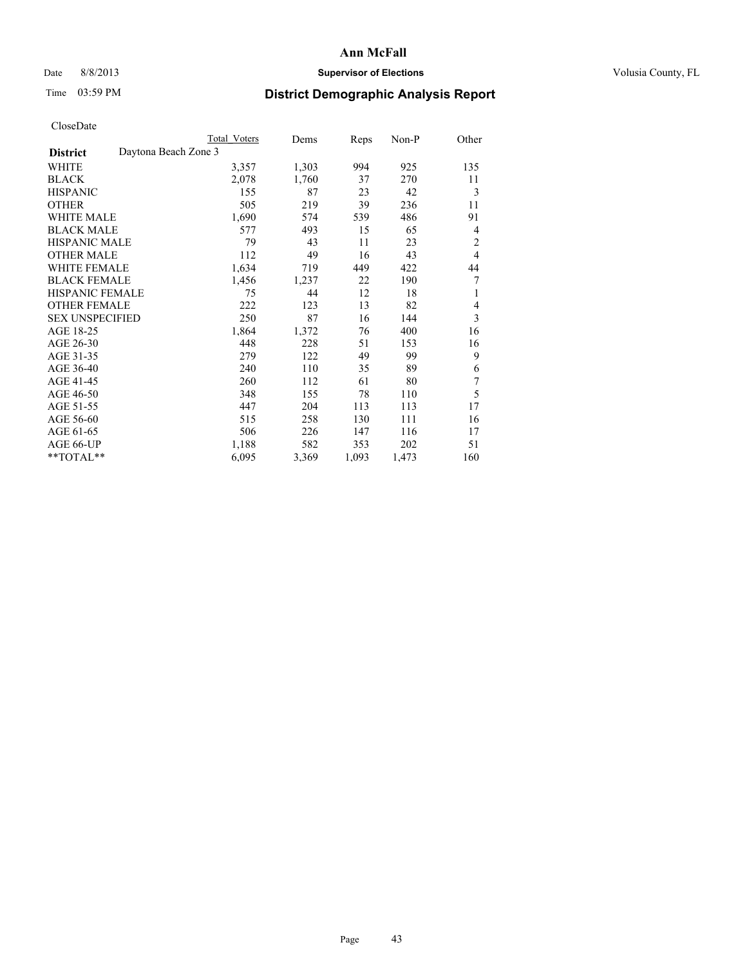# Date 8/8/2013 **Supervisor of Elections Supervisor of Elections** Volusia County, FL

# Time 03:59 PM **District Demographic Analysis Report**

|                        | Total Voters         | Dems  | <b>Reps</b> | Non-P | Other          |
|------------------------|----------------------|-------|-------------|-------|----------------|
| <b>District</b>        | Daytona Beach Zone 3 |       |             |       |                |
| <b>WHITE</b>           | 3,357                | 1,303 | 994         | 925   | 135            |
| <b>BLACK</b>           | 2,078                | 1,760 | 37          | 270   | 11             |
| <b>HISPANIC</b>        | 155                  | 87    | 23          | 42    | 3              |
| <b>OTHER</b>           | 505                  | 219   | 39          | 236   | 11             |
| WHITE MALE             | 1,690                | 574   | 539         | 486   | 91             |
| <b>BLACK MALE</b>      | 577                  | 493   | 15          | 65    | 4              |
| <b>HISPANIC MALE</b>   | 79                   | 43    | 11          | 23    | $\overline{2}$ |
| <b>OTHER MALE</b>      | 112                  | 49    | 16          | 43    | $\overline{4}$ |
| <b>WHITE FEMALE</b>    | 1,634                | 719   | 449         | 422   | 44             |
| <b>BLACK FEMALE</b>    | 1,456                | 1,237 | 22          | 190   | 7              |
| HISPANIC FEMALE        | 75                   | 44    | 12          | 18    | 1              |
| <b>OTHER FEMALE</b>    | 222                  | 123   | 13          | 82    | 4              |
| <b>SEX UNSPECIFIED</b> | 250                  | 87    | 16          | 144   | 3              |
| AGE 18-25              | 1,864                | 1,372 | 76          | 400   | 16             |
| AGE 26-30              | 448                  | 228   | 51          | 153   | 16             |
| AGE 31-35              | 279                  | 122   | 49          | 99    | 9              |
| AGE 36-40              | 240                  | 110   | 35          | 89    | 6              |
| AGE 41-45              | 260                  | 112   | 61          | 80    | 7              |
| AGE 46-50              | 348                  | 155   | 78          | 110   | 5              |
| AGE 51-55              | 447                  | 204   | 113         | 113   | 17             |
| AGE 56-60              | 515                  | 258   | 130         | 111   | 16             |
| AGE 61-65              | 506                  | 226   | 147         | 116   | 17             |
| AGE 66-UP              | 1,188                | 582   | 353         | 202   | 51             |
| **TOTAL**              | 6,095                | 3,369 | 1,093       | 1,473 | 160            |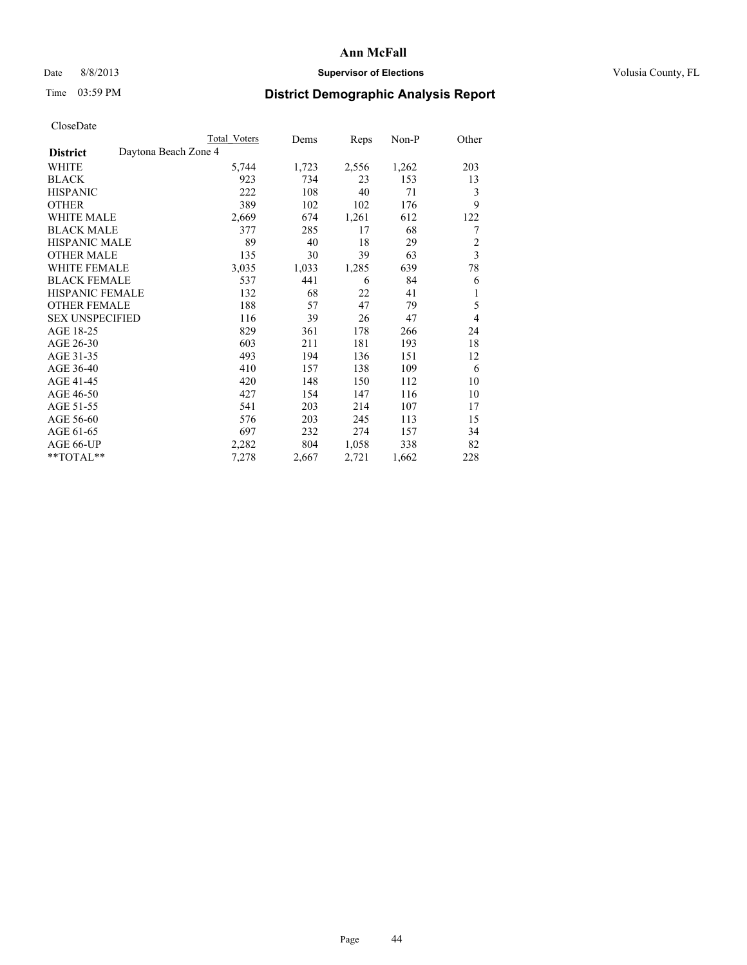## Date 8/8/2013 **Supervisor of Elections Supervisor of Elections** Volusia County, FL

# Time 03:59 PM **District Demographic Analysis Report**

|                                         | <b>Total Voters</b> | Dems  | Reps  | Non-P | Other                   |
|-----------------------------------------|---------------------|-------|-------|-------|-------------------------|
| Daytona Beach Zone 4<br><b>District</b> |                     |       |       |       |                         |
| WHITE                                   | 5,744               | 1,723 | 2,556 | 1,262 | 203                     |
| <b>BLACK</b>                            | 923                 | 734   | 23    | 153   | 13                      |
| <b>HISPANIC</b>                         | 222                 | 108   | 40    | 71    | 3                       |
| <b>OTHER</b>                            | 389                 | 102   | 102   | 176   | 9                       |
| <b>WHITE MALE</b>                       | 2,669               | 674   | 1,261 | 612   | 122                     |
| <b>BLACK MALE</b>                       | 377                 | 285   | 17    | 68    | 7                       |
| HISPANIC MALE                           | 89                  | 40    | 18    | 29    | $\overline{c}$          |
| <b>OTHER MALE</b>                       | 135                 | 30    | 39    | 63    | $\overline{\mathbf{3}}$ |
| <b>WHITE FEMALE</b>                     | 3,035               | 1,033 | 1,285 | 639   | 78                      |
| <b>BLACK FEMALE</b>                     | 537                 | 441   | 6     | 84    | 6                       |
| <b>HISPANIC FEMALE</b>                  | 132                 | 68    | 22    | 41    | 1                       |
| <b>OTHER FEMALE</b>                     | 188                 | 57    | 47    | 79    | 5                       |
| <b>SEX UNSPECIFIED</b>                  | 116                 | 39    | 26    | 47    | $\overline{4}$          |
| AGE 18-25                               | 829                 | 361   | 178   | 266   | 24                      |
| AGE 26-30                               | 603                 | 211   | 181   | 193   | 18                      |
| AGE 31-35                               | 493                 | 194   | 136   | 151   | 12                      |
| AGE 36-40                               | 410                 | 157   | 138   | 109   | 6                       |
| AGE 41-45                               | 420                 | 148   | 150   | 112   | 10                      |
| AGE 46-50                               | 427                 | 154   | 147   | 116   | 10                      |
| AGE 51-55                               | 541                 | 203   | 214   | 107   | 17                      |
| AGE 56-60                               | 576                 | 203   | 245   | 113   | 15                      |
| AGE 61-65                               | 697                 | 232   | 274   | 157   | 34                      |
| AGE 66-UP                               | 2,282               | 804   | 1,058 | 338   | 82                      |
| **TOTAL**                               | 7,278               | 2,667 | 2,721 | 1,662 | 228                     |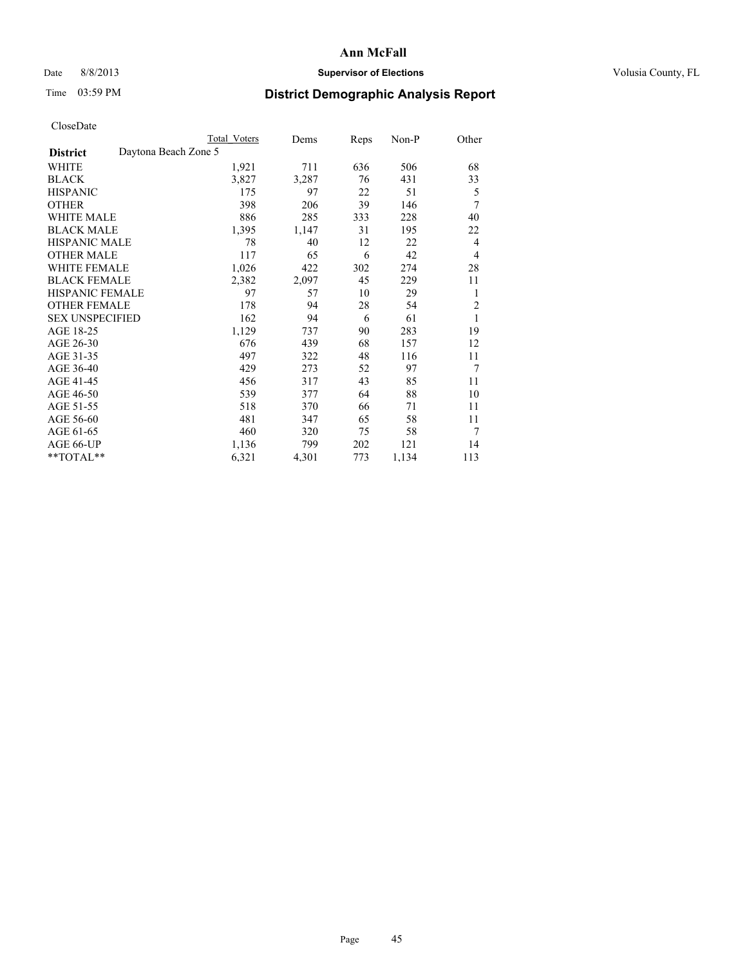# Date 8/8/2013 **Supervisor of Elections Supervisor of Elections** Volusia County, FL

# Time 03:59 PM **District Demographic Analysis Report**

|                        | Total Voters         | Dems  | <b>Reps</b> | $Non-P$ | Other          |
|------------------------|----------------------|-------|-------------|---------|----------------|
| <b>District</b>        | Daytona Beach Zone 5 |       |             |         |                |
| WHITE                  | 1,921                | 711   | 636         | 506     | 68             |
| <b>BLACK</b>           | 3,827                | 3,287 | 76          | 431     | 33             |
| <b>HISPANIC</b>        | 175                  | 97    | 22          | 51      | 5              |
| <b>OTHER</b>           | 398                  | 206   | 39          | 146     | 7              |
| <b>WHITE MALE</b>      | 886                  | 285   | 333         | 228     | 40             |
| <b>BLACK MALE</b>      | 1,395                | 1,147 | 31          | 195     | 22             |
| <b>HISPANIC MALE</b>   | 78                   | 40    | 12          | 22      | $\overline{4}$ |
| <b>OTHER MALE</b>      | 117                  | 65    | 6           | 42      | $\overline{4}$ |
| <b>WHITE FEMALE</b>    | 1,026                | 422   | 302         | 274     | 28             |
| <b>BLACK FEMALE</b>    | 2,382                | 2,097 | 45          | 229     | 11             |
| HISPANIC FEMALE        | 97                   | 57    | 10          | 29      | 1              |
| <b>OTHER FEMALE</b>    | 178                  | 94    | 28          | 54      | $\overline{c}$ |
| <b>SEX UNSPECIFIED</b> | 162                  | 94    | 6           | 61      | 1              |
| AGE 18-25              | 1,129                | 737   | 90          | 283     | 19             |
| AGE 26-30              | 676                  | 439   | 68          | 157     | 12             |
| AGE 31-35              | 497                  | 322   | 48          | 116     | 11             |
| AGE 36-40              | 429                  | 273   | 52          | 97      | 7              |
| AGE 41-45              | 456                  | 317   | 43          | 85      | 11             |
| AGE 46-50              | 539                  | 377   | 64          | 88      | 10             |
| AGE 51-55              | 518                  | 370   | 66          | 71      | 11             |
| AGE 56-60              | 481                  | 347   | 65          | 58      | 11             |
| AGE 61-65              | 460                  | 320   | 75          | 58      | 7              |
| AGE 66-UP              | 1,136                | 799   | 202         | 121     | 14             |
| **TOTAL**              | 6,321                | 4,301 | 773         | 1,134   | 113            |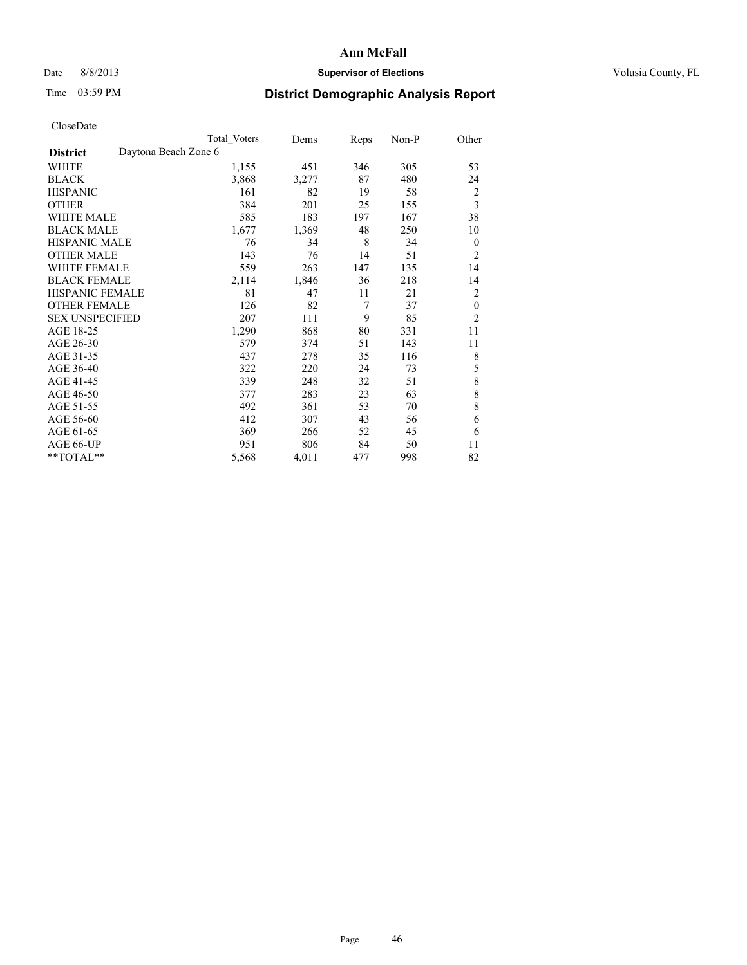# Date 8/8/2013 **Supervisor of Elections Supervisor of Elections** Volusia County, FL

# Time 03:59 PM **District Demographic Analysis Report**

|                        |                      | <b>Total Voters</b> | Dems  | Reps | Non-P | Other          |
|------------------------|----------------------|---------------------|-------|------|-------|----------------|
| <b>District</b>        | Daytona Beach Zone 6 |                     |       |      |       |                |
| WHITE                  |                      | 1,155               | 451   | 346  | 305   | 53             |
| <b>BLACK</b>           |                      | 3,868               | 3,277 | 87   | 480   | 24             |
| <b>HISPANIC</b>        |                      | 161                 | 82    | 19   | 58    | 2              |
| <b>OTHER</b>           |                      | 384                 | 201   | 25   | 155   | 3              |
| <b>WHITE MALE</b>      |                      | 585                 | 183   | 197  | 167   | 38             |
| <b>BLACK MALE</b>      |                      | 1,677               | 1,369 | 48   | 250   | 10             |
| <b>HISPANIC MALE</b>   |                      | 76                  | 34    | 8    | 34    | $\mathbf{0}$   |
| <b>OTHER MALE</b>      |                      | 143                 | 76    | 14   | 51    | 2              |
| <b>WHITE FEMALE</b>    |                      | 559                 | 263   | 147  | 135   | 14             |
| <b>BLACK FEMALE</b>    |                      | 2,114               | 1,846 | 36   | 218   | 14             |
| <b>HISPANIC FEMALE</b> |                      | 81                  | 47    | 11   | 21    | $\overline{c}$ |
| <b>OTHER FEMALE</b>    |                      | 126                 | 82    | 7    | 37    | $\theta$       |
| <b>SEX UNSPECIFIED</b> |                      | 207                 | 111   | 9    | 85    | $\overline{2}$ |
| AGE 18-25              |                      | 1,290               | 868   | 80   | 331   | 11             |
| AGE 26-30              |                      | 579                 | 374   | 51   | 143   | 11             |
| AGE 31-35              |                      | 437                 | 278   | 35   | 116   | 8              |
| AGE 36-40              |                      | 322                 | 220   | 24   | 73    | 5              |
| AGE 41-45              |                      | 339                 | 248   | 32   | 51    | 8              |
| AGE 46-50              |                      | 377                 | 283   | 23   | 63    | 8              |
| AGE 51-55              |                      | 492                 | 361   | 53   | 70    | 8              |
| AGE 56-60              |                      | 412                 | 307   | 43   | 56    | 6              |
| AGE 61-65              |                      | 369                 | 266   | 52   | 45    | 6              |
| AGE 66-UP              |                      | 951                 | 806   | 84   | 50    | 11             |
| $*$ TOTAL $**$         |                      | 5,568               | 4,011 | 477  | 998   | 82             |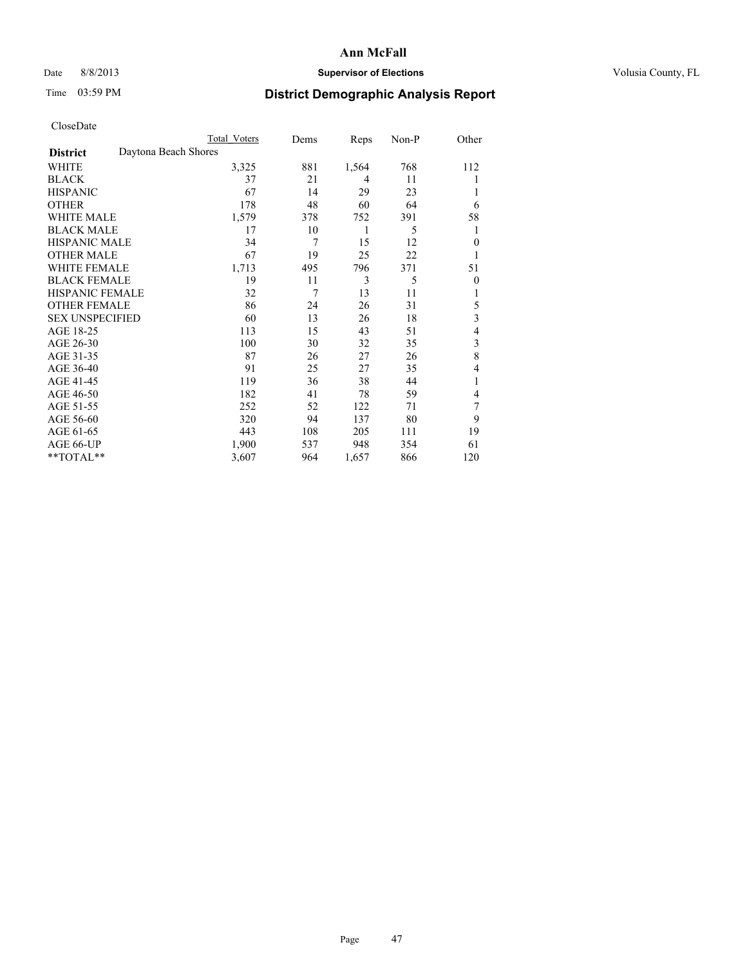# Date 8/8/2013 **Supervisor of Elections Supervisor of Elections** Volusia County, FL

# Time 03:59 PM **District Demographic Analysis Report**

|                                         | <b>Total Voters</b> | Dems | Reps  | Non-P | Other          |
|-----------------------------------------|---------------------|------|-------|-------|----------------|
| Daytona Beach Shores<br><b>District</b> |                     |      |       |       |                |
| WHITE                                   | 3,325               | 881  | 1,564 | 768   | 112            |
| <b>BLACK</b>                            | 37                  | 21   | 4     | 11    | 1              |
| <b>HISPANIC</b>                         | 67                  | 14   | 29    | 23    | 1              |
| <b>OTHER</b>                            | 178                 | 48   | 60    | 64    | 6              |
| WHITE MALE                              | 1,579               | 378  | 752   | 391   | 58             |
| <b>BLACK MALE</b>                       | 17                  | 10   | 1     | 5     | 1              |
| <b>HISPANIC MALE</b>                    | 34                  | 7    | 15    | 12    | $\mathbf{0}$   |
| <b>OTHER MALE</b>                       | 67                  | 19   | 25    | 22    | 1              |
| WHITE FEMALE                            | 1,713               | 495  | 796   | 371   | 51             |
| <b>BLACK FEMALE</b>                     | 19                  | 11   | 3     | 5     | $\overline{0}$ |
| <b>HISPANIC FEMALE</b>                  | 32                  | 7    | 13    | 11    | 1              |
| <b>OTHER FEMALE</b>                     | 86                  | 24   | 26    | 31    | 5              |
| <b>SEX UNSPECIFIED</b>                  | 60                  | 13   | 26    | 18    | 3              |
| AGE 18-25                               | 113                 | 15   | 43    | 51    | 4              |
| AGE 26-30                               | 100                 | 30   | 32    | 35    | 3              |
| AGE 31-35                               | 87                  | 26   | 27    | 26    | 8              |
| AGE 36-40                               | 91                  | 25   | 27    | 35    | 4              |
| AGE 41-45                               | 119                 | 36   | 38    | 44    | 1              |
| AGE 46-50                               | 182                 | 41   | 78    | 59    | 4              |
| AGE 51-55                               | 252                 | 52   | 122   | 71    | 7              |
| AGE 56-60                               | 320                 | 94   | 137   | 80    | 9              |
| AGE 61-65                               | 443                 | 108  | 205   | 111   | 19             |
| AGE 66-UP                               | 1,900               | 537  | 948   | 354   | 61             |
| **TOTAL**                               | 3,607               | 964  | 1,657 | 866   | 120            |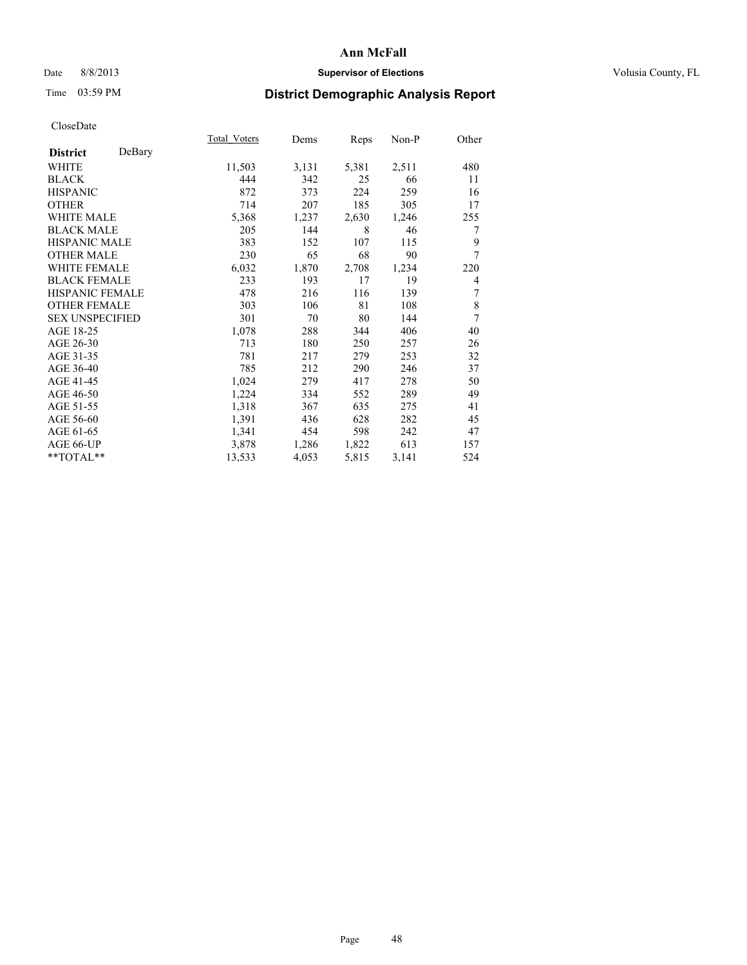## Date 8/8/2013 **Supervisor of Elections Supervisor of Elections** Volusia County, FL

# Time 03:59 PM **District Demographic Analysis Report**

|                        |        | Total Voters | Dems  | Reps  | Non-P | Other |
|------------------------|--------|--------------|-------|-------|-------|-------|
| <b>District</b>        | DeBary |              |       |       |       |       |
| <b>WHITE</b>           |        | 11,503       | 3,131 | 5,381 | 2,511 | 480   |
| <b>BLACK</b>           |        | 444          | 342   | 25    | 66    | 11    |
| <b>HISPANIC</b>        |        | 872          | 373   | 224   | 259   | 16    |
| <b>OTHER</b>           |        | 714          | 207   | 185   | 305   | 17    |
| <b>WHITE MALE</b>      |        | 5,368        | 1,237 | 2,630 | 1,246 | 255   |
| <b>BLACK MALE</b>      |        | 205          | 144   | 8     | 46    | 7     |
| HISPANIC MALE          |        | 383          | 152   | 107   | 115   | 9     |
| <b>OTHER MALE</b>      |        | 230          | 65    | 68    | 90    | 7     |
| <b>WHITE FEMALE</b>    |        | 6,032        | 1,870 | 2,708 | 1,234 | 220   |
| <b>BLACK FEMALE</b>    |        | 233          | 193   | 17    | 19    | 4     |
| <b>HISPANIC FEMALE</b> |        | 478          | 216   | 116   | 139   | 7     |
| <b>OTHER FEMALE</b>    |        | 303          | 106   | 81    | 108   | 8     |
| <b>SEX UNSPECIFIED</b> |        | 301          | 70    | 80    | 144   | 7     |
| AGE 18-25              |        | 1,078        | 288   | 344   | 406   | 40    |
| AGE 26-30              |        | 713          | 180   | 250   | 257   | 26    |
| AGE 31-35              |        | 781          | 217   | 279   | 253   | 32    |
| AGE 36-40              |        | 785          | 212   | 290   | 246   | 37    |
| AGE 41-45              |        | 1,024        | 279   | 417   | 278   | 50    |
| AGE 46-50              |        | 1,224        | 334   | 552   | 289   | 49    |
| AGE 51-55              |        | 1,318        | 367   | 635   | 275   | 41    |
| AGE 56-60              |        | 1,391        | 436   | 628   | 282   | 45    |
| AGE 61-65              |        | 1,341        | 454   | 598   | 242   | 47    |
| AGE 66-UP              |        | 3,878        | 1,286 | 1,822 | 613   | 157   |
| **TOTAL**              |        | 13,533       | 4,053 | 5,815 | 3,141 | 524   |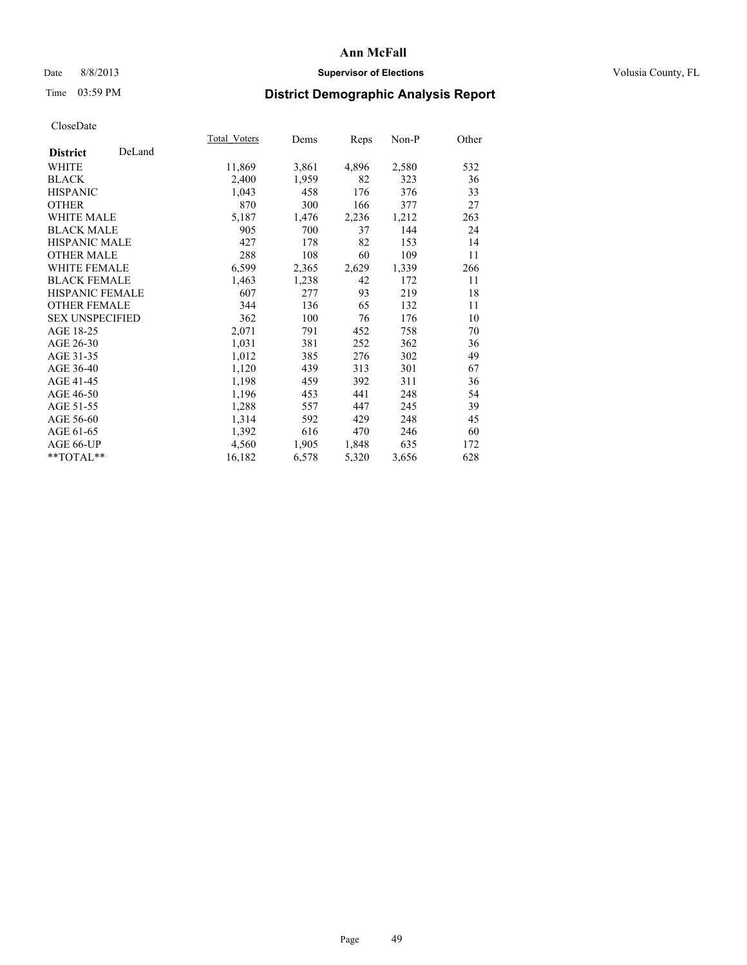## Date 8/8/2013 **Supervisor of Elections Supervisor of Elections** Volusia County, FL

# Time 03:59 PM **District Demographic Analysis Report**

|                        |        | Total Voters | Dems  | <b>Reps</b> | Non-P | Other |
|------------------------|--------|--------------|-------|-------------|-------|-------|
| <b>District</b>        | DeLand |              |       |             |       |       |
| WHITE                  |        | 11,869       | 3,861 | 4,896       | 2,580 | 532   |
| <b>BLACK</b>           |        | 2,400        | 1,959 | 82          | 323   | 36    |
| <b>HISPANIC</b>        |        | 1,043        | 458   | 176         | 376   | 33    |
| <b>OTHER</b>           |        | 870          | 300   | 166         | 377   | 27    |
| WHITE MALE             |        | 5,187        | 1,476 | 2,236       | 1,212 | 263   |
| <b>BLACK MALE</b>      |        | 905          | 700   | 37          | 144   | 24    |
| <b>HISPANIC MALE</b>   |        | 427          | 178   | 82          | 153   | 14    |
| <b>OTHER MALE</b>      |        | 288          | 108   | 60          | 109   | 11    |
| WHITE FEMALE           |        | 6,599        | 2,365 | 2,629       | 1,339 | 266   |
| <b>BLACK FEMALE</b>    |        | 1,463        | 1,238 | 42          | 172   | 11    |
| <b>HISPANIC FEMALE</b> |        | 607          | 277   | 93          | 219   | 18    |
| <b>OTHER FEMALE</b>    |        | 344          | 136   | 65          | 132   | 11    |
| <b>SEX UNSPECIFIED</b> |        | 362          | 100   | 76          | 176   | 10    |
| AGE 18-25              |        | 2,071        | 791   | 452         | 758   | 70    |
| AGE 26-30              |        | 1,031        | 381   | 252         | 362   | 36    |
| AGE 31-35              |        | 1,012        | 385   | 276         | 302   | 49    |
| AGE 36-40              |        | 1,120        | 439   | 313         | 301   | 67    |
| AGE 41-45              |        | 1,198        | 459   | 392         | 311   | 36    |
| AGE 46-50              |        | 1,196        | 453   | 441         | 248   | 54    |
| AGE 51-55              |        | 1,288        | 557   | 447         | 245   | 39    |
| AGE 56-60              |        | 1,314        | 592   | 429         | 248   | 45    |
| AGE 61-65              |        | 1,392        | 616   | 470         | 246   | 60    |
| AGE 66-UP              |        | 4,560        | 1,905 | 1,848       | 635   | 172   |
| **TOTAL**              |        | 16,182       | 6,578 | 5,320       | 3,656 | 628   |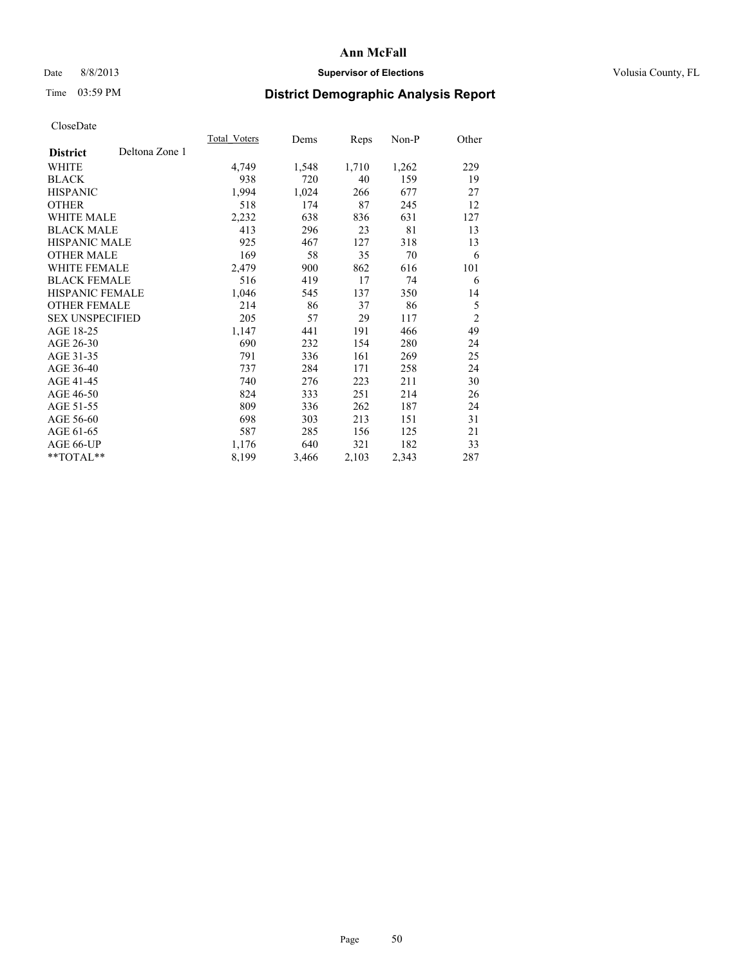# Date 8/8/2013 **Supervisor of Elections Supervisor of Elections** Volusia County, FL

# Time 03:59 PM **District Demographic Analysis Report**

|                                   | <b>Total Voters</b> | Dems  | Reps  | $Non-P$ | Other          |
|-----------------------------------|---------------------|-------|-------|---------|----------------|
| Deltona Zone 1<br><b>District</b> |                     |       |       |         |                |
| WHITE                             | 4,749               | 1,548 | 1,710 | 1,262   | 229            |
| <b>BLACK</b>                      | 938                 | 720   | 40    | 159     | 19             |
| <b>HISPANIC</b>                   | 1,994               | 1,024 | 266   | 677     | 27             |
| <b>OTHER</b>                      | 518                 | 174   | 87    | 245     | 12             |
| WHITE MALE                        | 2,232               | 638   | 836   | 631     | 127            |
| <b>BLACK MALE</b>                 | 413                 | 296   | 23    | 81      | 13             |
| <b>HISPANIC MALE</b>              | 925                 | 467   | 127   | 318     | 13             |
| <b>OTHER MALE</b>                 | 169                 | 58    | 35    | 70      | 6              |
| WHITE FEMALE                      | 2,479               | 900   | 862   | 616     | 101            |
| <b>BLACK FEMALE</b>               | 516                 | 419   | 17    | 74      | 6              |
| HISPANIC FEMALE                   | 1,046               | 545   | 137   | 350     | 14             |
| <b>OTHER FEMALE</b>               | 214                 | 86    | 37    | 86      | 5              |
| <b>SEX UNSPECIFIED</b>            | 205                 | 57    | 29    | 117     | $\overline{2}$ |
| AGE 18-25                         | 1,147               | 441   | 191   | 466     | 49             |
| AGE 26-30                         | 690                 | 232   | 154   | 280     | 24             |
| AGE 31-35                         | 791                 | 336   | 161   | 269     | 25             |
| AGE 36-40                         | 737                 | 284   | 171   | 258     | 24             |
| AGE 41-45                         | 740                 | 276   | 223   | 211     | 30             |
| AGE 46-50                         | 824                 | 333   | 251   | 214     | 26             |
| AGE 51-55                         | 809                 | 336   | 262   | 187     | 24             |
| AGE 56-60                         | 698                 | 303   | 213   | 151     | 31             |
| AGE 61-65                         | 587                 | 285   | 156   | 125     | 21             |
| AGE 66-UP                         | 1,176               | 640   | 321   | 182     | 33             |
| **TOTAL**                         | 8,199               | 3,466 | 2,103 | 2,343   | 287            |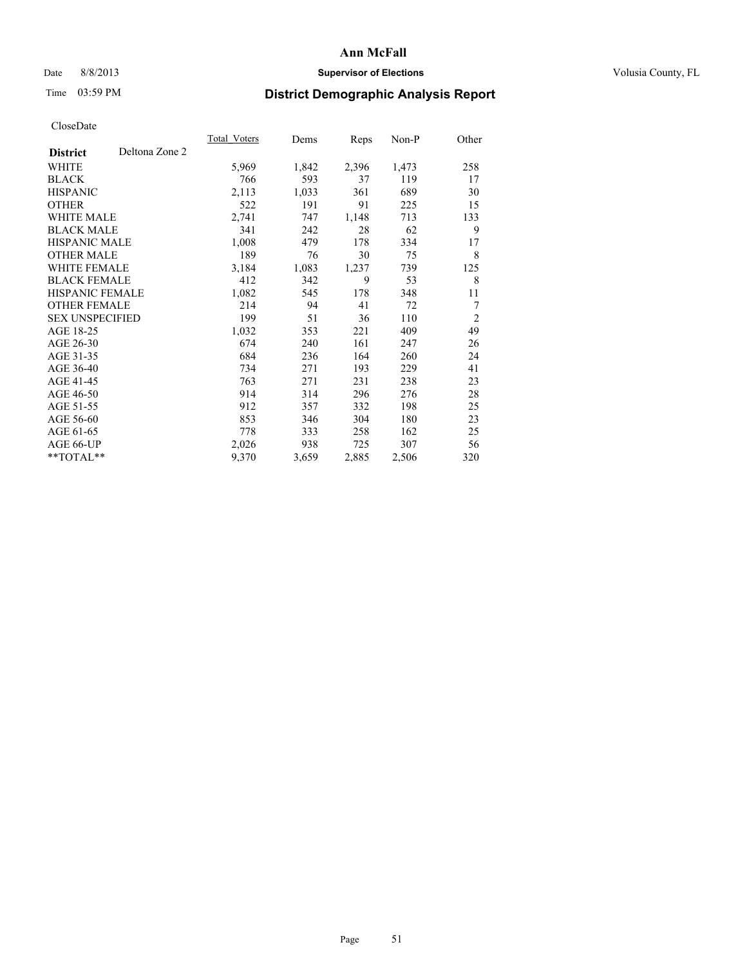# Date 8/8/2013 **Supervisor of Elections Supervisor of Elections** Volusia County, FL

# Time 03:59 PM **District Demographic Analysis Report**

|                        |                | Total Voters | Dems  | Reps  | Non-P | Other          |
|------------------------|----------------|--------------|-------|-------|-------|----------------|
| <b>District</b>        | Deltona Zone 2 |              |       |       |       |                |
| WHITE                  |                | 5,969        | 1,842 | 2,396 | 1,473 | 258            |
| <b>BLACK</b>           |                | 766          | 593   | 37    | 119   | 17             |
| <b>HISPANIC</b>        |                | 2,113        | 1,033 | 361   | 689   | 30             |
| <b>OTHER</b>           |                | 522          | 191   | 91    | 225   | 15             |
| <b>WHITE MALE</b>      |                | 2,741        | 747   | 1,148 | 713   | 133            |
| <b>BLACK MALE</b>      |                | 341          | 242   | 28    | 62    | 9              |
| <b>HISPANIC MALE</b>   |                | 1,008        | 479   | 178   | 334   | 17             |
| <b>OTHER MALE</b>      |                | 189          | 76    | 30    | 75    | 8              |
| <b>WHITE FEMALE</b>    |                | 3,184        | 1,083 | 1,237 | 739   | 125            |
| <b>BLACK FEMALE</b>    |                | 412          | 342   | 9     | 53    | 8              |
| <b>HISPANIC FEMALE</b> |                | 1,082        | 545   | 178   | 348   | 11             |
| <b>OTHER FEMALE</b>    |                | 214          | 94    | 41    | 72    | 7              |
| <b>SEX UNSPECIFIED</b> |                | 199          | 51    | 36    | 110   | $\overline{2}$ |
| AGE 18-25              |                | 1,032        | 353   | 221   | 409   | 49             |
| AGE 26-30              |                | 674          | 240   | 161   | 247   | 26             |
| AGE 31-35              |                | 684          | 236   | 164   | 260   | 24             |
| AGE 36-40              |                | 734          | 271   | 193   | 229   | 41             |
| AGE 41-45              |                | 763          | 271   | 231   | 238   | 23             |
| AGE 46-50              |                | 914          | 314   | 296   | 276   | 28             |
| AGE 51-55              |                | 912          | 357   | 332   | 198   | 25             |
| AGE 56-60              |                | 853          | 346   | 304   | 180   | 23             |
| AGE 61-65              |                | 778          | 333   | 258   | 162   | 25             |
| AGE 66-UP              |                | 2,026        | 938   | 725   | 307   | 56             |
| **TOTAL**              |                | 9,370        | 3,659 | 2,885 | 2,506 | 320            |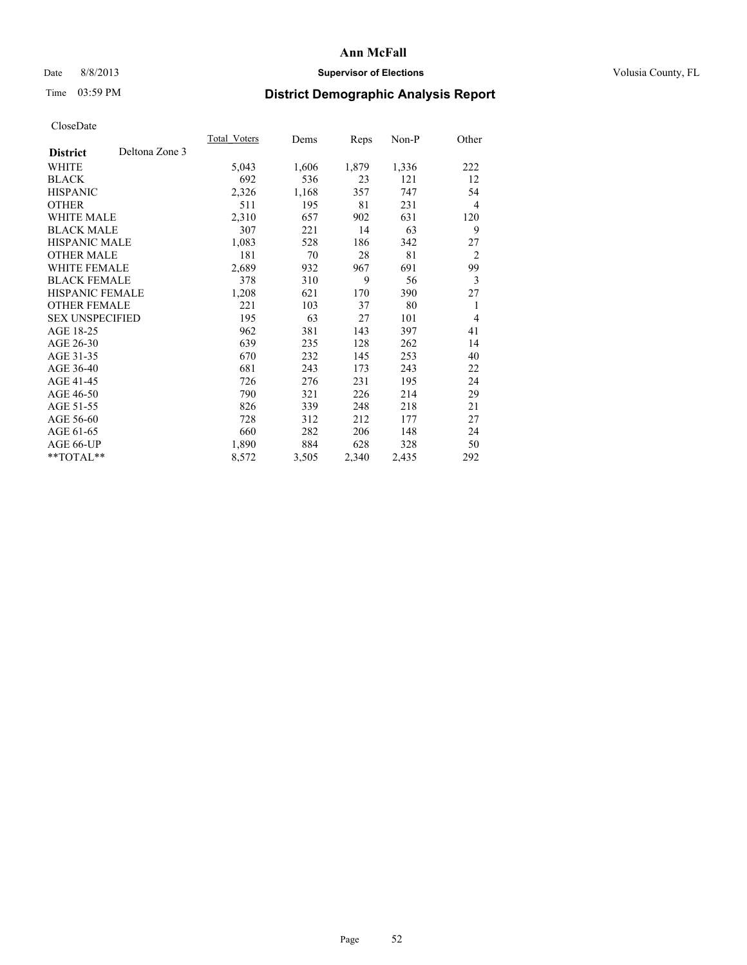# Date 8/8/2013 **Supervisor of Elections Supervisor of Elections** Volusia County, FL

# Time 03:59 PM **District Demographic Analysis Report**

|                        |                | Total Voters | Dems  | Reps  | Non-P | Other          |
|------------------------|----------------|--------------|-------|-------|-------|----------------|
| <b>District</b>        | Deltona Zone 3 |              |       |       |       |                |
| WHITE                  |                | 5,043        | 1,606 | 1,879 | 1,336 | 222            |
| <b>BLACK</b>           |                | 692          | 536   | 23    | 121   | 12             |
| <b>HISPANIC</b>        |                | 2,326        | 1,168 | 357   | 747   | 54             |
| <b>OTHER</b>           |                | 511          | 195   | 81    | 231   | $\overline{4}$ |
| <b>WHITE MALE</b>      |                | 2,310        | 657   | 902   | 631   | 120            |
| <b>BLACK MALE</b>      |                | 307          | 221   | 14    | 63    | 9              |
| <b>HISPANIC MALE</b>   |                | 1,083        | 528   | 186   | 342   | 27             |
| <b>OTHER MALE</b>      |                | 181          | 70    | 28    | 81    | $\overline{2}$ |
| <b>WHITE FEMALE</b>    |                | 2,689        | 932   | 967   | 691   | 99             |
| <b>BLACK FEMALE</b>    |                | 378          | 310   | 9     | 56    | 3              |
| <b>HISPANIC FEMALE</b> |                | 1,208        | 621   | 170   | 390   | 27             |
| <b>OTHER FEMALE</b>    |                | 221          | 103   | 37    | 80    | 1              |
| <b>SEX UNSPECIFIED</b> |                | 195          | 63    | 27    | 101   | $\overline{4}$ |
| AGE 18-25              |                | 962          | 381   | 143   | 397   | 41             |
| AGE 26-30              |                | 639          | 235   | 128   | 262   | 14             |
| AGE 31-35              |                | 670          | 232   | 145   | 253   | 40             |
| AGE 36-40              |                | 681          | 243   | 173   | 243   | 22             |
| AGE 41-45              |                | 726          | 276   | 231   | 195   | 24             |
| AGE 46-50              |                | 790          | 321   | 226   | 214   | 29             |
| AGE 51-55              |                | 826          | 339   | 248   | 218   | 21             |
| AGE 56-60              |                | 728          | 312   | 212   | 177   | 27             |
| AGE 61-65              |                | 660          | 282   | 206   | 148   | 24             |
| AGE 66-UP              |                | 1,890        | 884   | 628   | 328   | 50             |
| **TOTAL**              |                | 8,572        | 3,505 | 2,340 | 2,435 | 292            |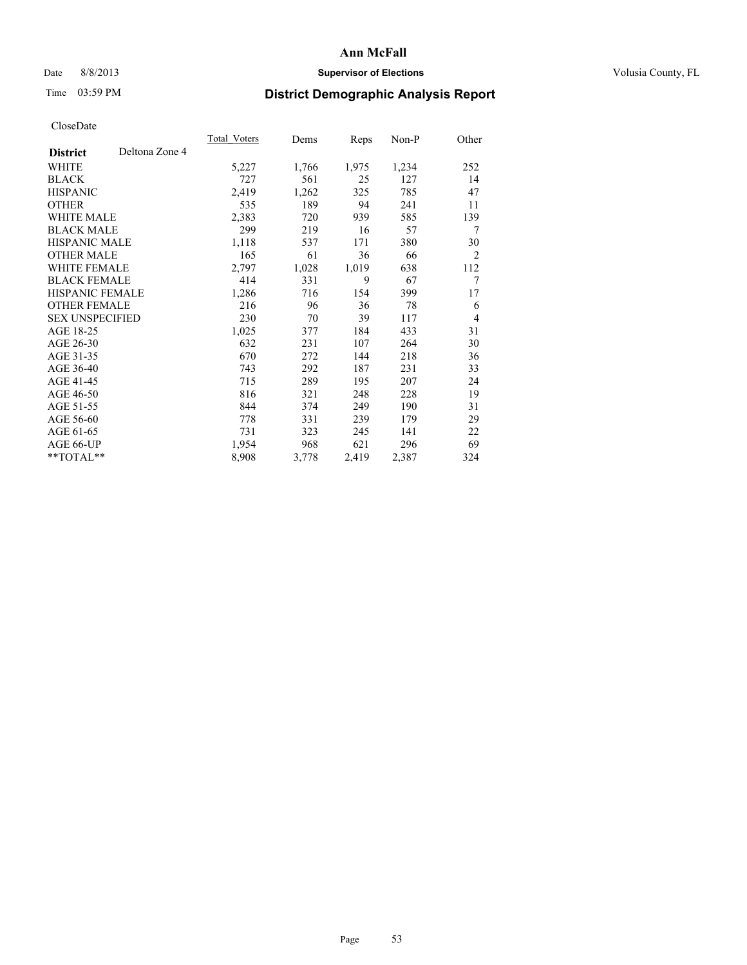# Date 8/8/2013 **Supervisor of Elections Supervisor of Elections** Volusia County, FL

# Time 03:59 PM **District Demographic Analysis Report**

|                        |                | Total Voters | Dems  | Reps  | Non-P | Other          |
|------------------------|----------------|--------------|-------|-------|-------|----------------|
| <b>District</b>        | Deltona Zone 4 |              |       |       |       |                |
| WHITE                  |                | 5,227        | 1,766 | 1,975 | 1,234 | 252            |
| <b>BLACK</b>           |                | 727          | 561   | 25    | 127   | 14             |
| <b>HISPANIC</b>        |                | 2,419        | 1,262 | 325   | 785   | 47             |
| <b>OTHER</b>           |                | 535          | 189   | 94    | 241   | 11             |
| <b>WHITE MALE</b>      |                | 2,383        | 720   | 939   | 585   | 139            |
| <b>BLACK MALE</b>      |                | 299          | 219   | 16    | 57    | 7              |
| <b>HISPANIC MALE</b>   |                | 1,118        | 537   | 171   | 380   | 30             |
| <b>OTHER MALE</b>      |                | 165          | 61    | 36    | 66    | $\overline{c}$ |
| <b>WHITE FEMALE</b>    |                | 2,797        | 1,028 | 1,019 | 638   | 112            |
| <b>BLACK FEMALE</b>    |                | 414          | 331   | 9     | 67    | 7              |
| HISPANIC FEMALE        |                | 1,286        | 716   | 154   | 399   | 17             |
| <b>OTHER FEMALE</b>    |                | 216          | 96    | 36    | 78    | 6              |
| <b>SEX UNSPECIFIED</b> |                | 230          | 70    | 39    | 117   | 4              |
| AGE 18-25              |                | 1,025        | 377   | 184   | 433   | 31             |
| AGE 26-30              |                | 632          | 231   | 107   | 264   | 30             |
| AGE 31-35              |                | 670          | 272   | 144   | 218   | 36             |
| AGE 36-40              |                | 743          | 292   | 187   | 231   | 33             |
| AGE 41-45              |                | 715          | 289   | 195   | 207   | 24             |
| AGE 46-50              |                | 816          | 321   | 248   | 228   | 19             |
| AGE 51-55              |                | 844          | 374   | 249   | 190   | 31             |
| AGE 56-60              |                | 778          | 331   | 239   | 179   | 29             |
| AGE 61-65              |                | 731          | 323   | 245   | 141   | 22             |
| AGE 66-UP              |                | 1,954        | 968   | 621   | 296   | 69             |
| **TOTAL**              |                | 8,908        | 3,778 | 2,419 | 2,387 | 324            |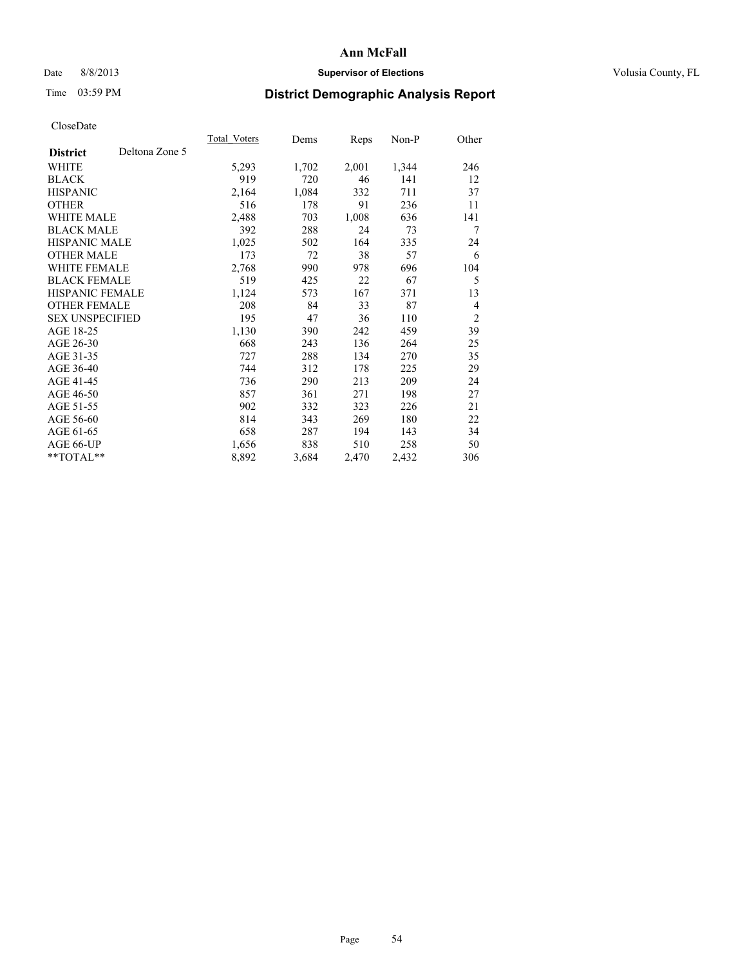# Date 8/8/2013 **Supervisor of Elections Supervisor of Elections** Volusia County, FL

# Time 03:59 PM **District Demographic Analysis Report**

|                        |                | <b>Total Voters</b> | Dems  | Reps  | Non-P | Other          |
|------------------------|----------------|---------------------|-------|-------|-------|----------------|
| <b>District</b>        | Deltona Zone 5 |                     |       |       |       |                |
| WHITE                  |                | 5,293               | 1,702 | 2,001 | 1,344 | 246            |
| <b>BLACK</b>           |                | 919                 | 720   | 46    | 141   | 12             |
| <b>HISPANIC</b>        |                | 2,164               | 1,084 | 332   | 711   | 37             |
| <b>OTHER</b>           |                | 516                 | 178   | 91    | 236   | 11             |
| WHITE MALE             |                | 2,488               | 703   | 1,008 | 636   | 141            |
| <b>BLACK MALE</b>      |                | 392                 | 288   | 24    | 73    | 7              |
| <b>HISPANIC MALE</b>   |                | 1,025               | 502   | 164   | 335   | 24             |
| <b>OTHER MALE</b>      |                | 173                 | 72    | 38    | 57    | 6              |
| <b>WHITE FEMALE</b>    |                | 2,768               | 990   | 978   | 696   | 104            |
| <b>BLACK FEMALE</b>    |                | 519                 | 425   | 22    | 67    | 5              |
| HISPANIC FEMALE        |                | 1,124               | 573   | 167   | 371   | 13             |
| <b>OTHER FEMALE</b>    |                | 208                 | 84    | 33    | 87    | 4              |
| <b>SEX UNSPECIFIED</b> |                | 195                 | 47    | 36    | 110   | $\overline{2}$ |
| AGE 18-25              |                | 1,130               | 390   | 242   | 459   | 39             |
| AGE 26-30              |                | 668                 | 243   | 136   | 264   | 25             |
| AGE 31-35              |                | 727                 | 288   | 134   | 270   | 35             |
| AGE 36-40              |                | 744                 | 312   | 178   | 225   | 29             |
| AGE 41-45              |                | 736                 | 290   | 213   | 209   | 24             |
| AGE 46-50              |                | 857                 | 361   | 271   | 198   | 27             |
| AGE 51-55              |                | 902                 | 332   | 323   | 226   | 21             |
| AGE 56-60              |                | 814                 | 343   | 269   | 180   | 22             |
| AGE 61-65              |                | 658                 | 287   | 194   | 143   | 34             |
| AGE 66-UP              |                | 1,656               | 838   | 510   | 258   | 50             |
| **TOTAL**              |                | 8,892               | 3,684 | 2,470 | 2,432 | 306            |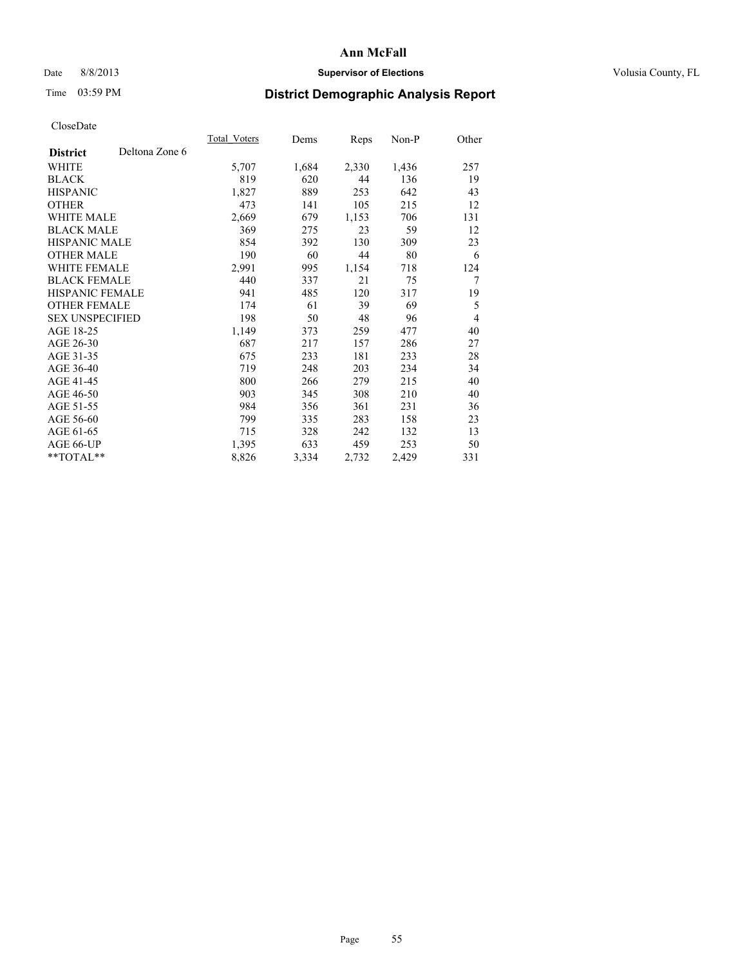# Date 8/8/2013 **Supervisor of Elections Supervisor of Elections** Volusia County, FL

# Time 03:59 PM **District Demographic Analysis Report**

|                        |                | <b>Total Voters</b> | Dems  | <b>Reps</b> | Non-P | Other |
|------------------------|----------------|---------------------|-------|-------------|-------|-------|
| <b>District</b>        | Deltona Zone 6 |                     |       |             |       |       |
| WHITE                  |                | 5,707               | 1,684 | 2,330       | 1,436 | 257   |
| <b>BLACK</b>           |                | 819                 | 620   | 44          | 136   | 19    |
| <b>HISPANIC</b>        |                | 1,827               | 889   | 253         | 642   | 43    |
| <b>OTHER</b>           |                | 473                 | 141   | 105         | 215   | 12    |
| WHITE MALE             |                | 2,669               | 679   | 1,153       | 706   | 131   |
| <b>BLACK MALE</b>      |                | 369                 | 275   | 23          | 59    | 12    |
| <b>HISPANIC MALE</b>   |                | 854                 | 392   | 130         | 309   | 23    |
| <b>OTHER MALE</b>      |                | 190                 | 60    | 44          | 80    | 6     |
| <b>WHITE FEMALE</b>    |                | 2,991               | 995   | 1,154       | 718   | 124   |
| <b>BLACK FEMALE</b>    |                | 440                 | 337   | 21          | 75    | 7     |
| HISPANIC FEMALE        |                | 941                 | 485   | 120         | 317   | 19    |
| <b>OTHER FEMALE</b>    |                | 174                 | 61    | 39          | 69    | 5     |
| <b>SEX UNSPECIFIED</b> |                | 198                 | 50    | 48          | 96    | 4     |
| AGE 18-25              |                | 1,149               | 373   | 259         | 477   | 40    |
| AGE 26-30              |                | 687                 | 217   | 157         | 286   | 27    |
| AGE 31-35              |                | 675                 | 233   | 181         | 233   | 28    |
| AGE 36-40              |                | 719                 | 248   | 203         | 234   | 34    |
| AGE 41-45              |                | 800                 | 266   | 279         | 215   | 40    |
| AGE 46-50              |                | 903                 | 345   | 308         | 210   | 40    |
| AGE 51-55              |                | 984                 | 356   | 361         | 231   | 36    |
| AGE 56-60              |                | 799                 | 335   | 283         | 158   | 23    |
| AGE 61-65              |                | 715                 | 328   | 242         | 132   | 13    |
| AGE 66-UP              |                | 1,395               | 633   | 459         | 253   | 50    |
| **TOTAL**              |                | 8,826               | 3,334 | 2,732       | 2,429 | 331   |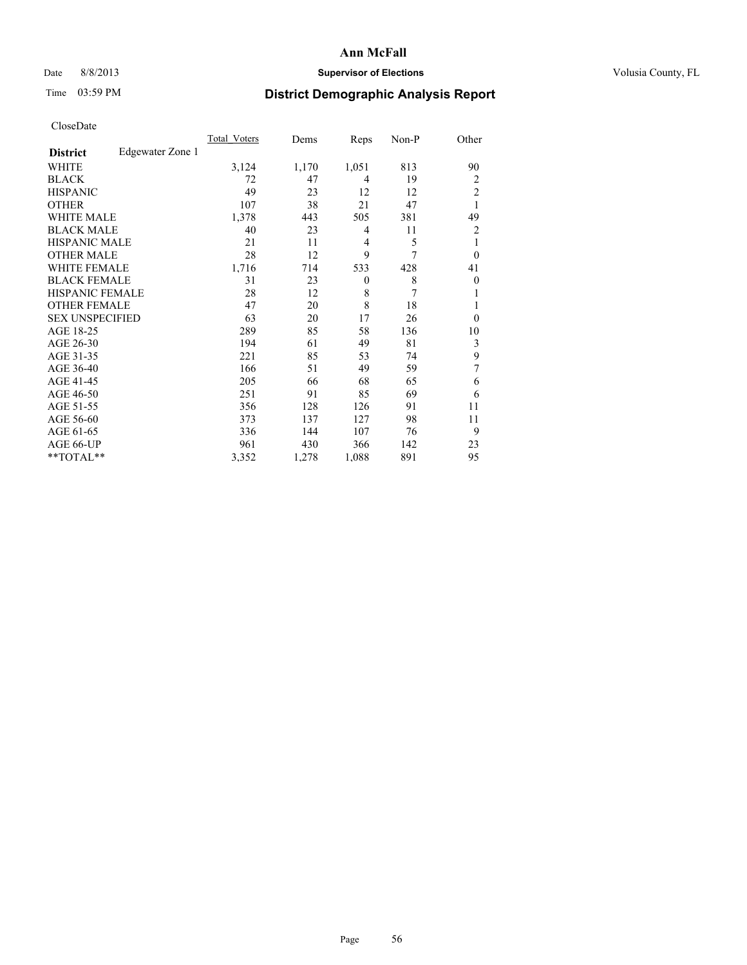# Date 8/8/2013 **Supervisor of Elections Supervisor of Elections** Volusia County, FL

# Time 03:59 PM **District Demographic Analysis Report**

|                                     | <b>Total Voters</b> | Dems  | Reps         | Non-P | Other          |
|-------------------------------------|---------------------|-------|--------------|-------|----------------|
| Edgewater Zone 1<br><b>District</b> |                     |       |              |       |                |
| <b>WHITE</b>                        | 3,124               | 1,170 | 1,051        | 813   | 90             |
| <b>BLACK</b>                        | 72                  | 47    | 4            | 19    | 2              |
| <b>HISPANIC</b>                     | 49                  | 23    | 12           | 12    | $\overline{c}$ |
| <b>OTHER</b>                        | 107                 | 38    | 21           | 47    | 1              |
| <b>WHITE MALE</b>                   | 1,378               | 443   | 505          | 381   | 49             |
| <b>BLACK MALE</b>                   | 40                  | 23    | 4            | 11    | $\overline{2}$ |
| <b>HISPANIC MALE</b>                | 21                  | 11    | 4            | 5     | 1              |
| <b>OTHER MALE</b>                   | 28                  | 12    | 9            | 7     | $\theta$       |
| <b>WHITE FEMALE</b>                 | 1,716               | 714   | 533          | 428   | 41             |
| <b>BLACK FEMALE</b>                 | 31                  | 23    | $\mathbf{0}$ | 8     | $\theta$       |
| <b>HISPANIC FEMALE</b>              | 28                  | 12    | 8            | 7     | 1              |
| <b>OTHER FEMALE</b>                 | 47                  | 20    | 8            | 18    | 1              |
| <b>SEX UNSPECIFIED</b>              | 63                  | 20    | 17           | 26    | $\theta$       |
| AGE 18-25                           | 289                 | 85    | 58           | 136   | 10             |
| AGE 26-30                           | 194                 | 61    | 49           | 81    | 3              |
| AGE 31-35                           | 221                 | 85    | 53           | 74    | 9              |
| AGE 36-40                           | 166                 | 51    | 49           | 59    | 7              |
| AGE 41-45                           | 205                 | 66    | 68           | 65    | 6              |
| AGE 46-50                           | 251                 | 91    | 85           | 69    | 6              |
| AGE 51-55                           | 356                 | 128   | 126          | 91    | 11             |
| AGE 56-60                           | 373                 | 137   | 127          | 98    | 11             |
| AGE 61-65                           | 336                 | 144   | 107          | 76    | 9              |
| AGE 66-UP                           | 961                 | 430   | 366          | 142   | 23             |
| **TOTAL**                           | 3,352               | 1,278 | 1,088        | 891   | 95             |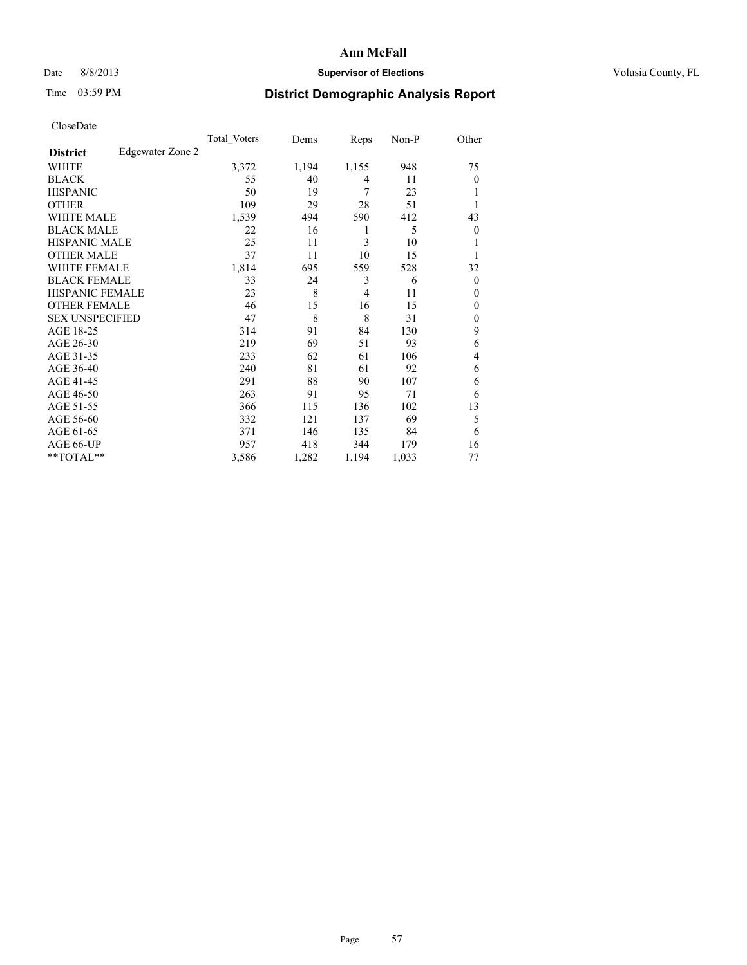# Date 8/8/2013 **Supervisor of Elections Supervisor of Elections** Volusia County, FL

# Time 03:59 PM **District Demographic Analysis Report**

|                        |                  | <b>Total Voters</b> | Dems  | Reps           | Non-P | Other          |
|------------------------|------------------|---------------------|-------|----------------|-------|----------------|
| <b>District</b>        | Edgewater Zone 2 |                     |       |                |       |                |
| WHITE                  |                  | 3,372               | 1,194 | 1,155          | 948   | 75             |
| <b>BLACK</b>           |                  | 55                  | 40    | 4              | 11    | $\theta$       |
| <b>HISPANIC</b>        |                  | 50                  | 19    | 7              | 23    | 1              |
| <b>OTHER</b>           |                  | 109                 | 29    | 28             | 51    | 1              |
| WHITE MALE             |                  | 1,539               | 494   | 590            | 412   | 43             |
| <b>BLACK MALE</b>      |                  | 22                  | 16    | 1              | 5     | $\overline{0}$ |
| <b>HISPANIC MALE</b>   |                  | 25                  | 11    | 3              | 10    | 1              |
| <b>OTHER MALE</b>      |                  | 37                  | 11    | 10             | 15    | 1              |
| <b>WHITE FEMALE</b>    |                  | 1,814               | 695   | 559            | 528   | 32             |
| <b>BLACK FEMALE</b>    |                  | 33                  | 24    | 3              | 6     | $\Omega$       |
| <b>HISPANIC FEMALE</b> |                  | 23                  | 8     | $\overline{4}$ | 11    | $\theta$       |
| <b>OTHER FEMALE</b>    |                  | 46                  | 15    | 16             | 15    | $\theta$       |
| <b>SEX UNSPECIFIED</b> |                  | 47                  | 8     | 8              | 31    | $\mathbf{0}$   |
| AGE 18-25              |                  | 314                 | 91    | 84             | 130   | 9              |
| AGE 26-30              |                  | 219                 | 69    | 51             | 93    | 6              |
| AGE 31-35              |                  | 233                 | 62    | 61             | 106   | 4              |
| AGE 36-40              |                  | 240                 | 81    | 61             | 92    | 6              |
| AGE 41-45              |                  | 291                 | 88    | 90             | 107   | 6              |
| AGE 46-50              |                  | 263                 | 91    | 95             | 71    | 6              |
| AGE 51-55              |                  | 366                 | 115   | 136            | 102   | 13             |
| AGE 56-60              |                  | 332                 | 121   | 137            | 69    | 5              |
| AGE 61-65              |                  | 371                 | 146   | 135            | 84    | 6              |
| AGE 66-UP              |                  | 957                 | 418   | 344            | 179   | 16             |
| **TOTAL**              |                  | 3,586               | 1,282 | 1,194          | 1,033 | 77             |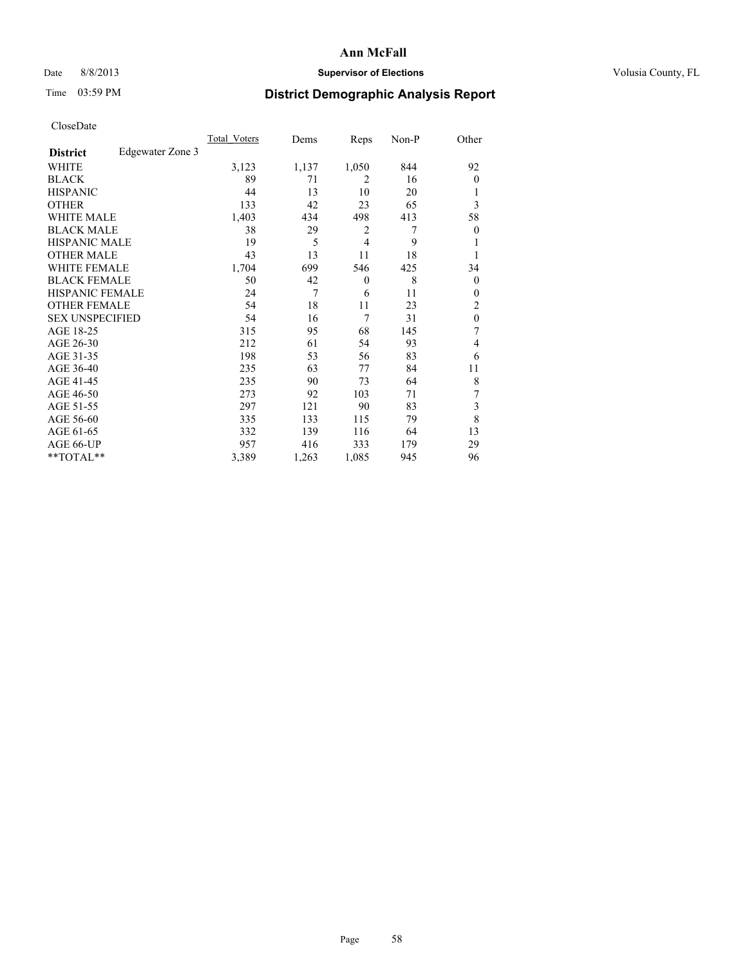# Date 8/8/2013 **Supervisor of Elections Supervisor of Elections** Volusia County, FL

# Time 03:59 PM **District Demographic Analysis Report**

|                        |                  | <b>Total Voters</b> | Dems  | Reps         | Non-P | Other            |
|------------------------|------------------|---------------------|-------|--------------|-------|------------------|
| <b>District</b>        | Edgewater Zone 3 |                     |       |              |       |                  |
| WHITE                  |                  | 3,123               | 1,137 | 1,050        | 844   | 92               |
| <b>BLACK</b>           |                  | 89                  | 71    | 2            | 16    | $\theta$         |
| <b>HISPANIC</b>        |                  | 44                  | 13    | 10           | 20    | 1                |
| <b>OTHER</b>           |                  | 133                 | 42    | 23           | 65    | 3                |
| WHITE MALE             |                  | 1,403               | 434   | 498          | 413   | 58               |
| <b>BLACK MALE</b>      |                  | 38                  | 29    | 2            | 7     | $\boldsymbol{0}$ |
| <b>HISPANIC MALE</b>   |                  | 19                  | 5     | 4            | 9     | 1                |
| <b>OTHER MALE</b>      |                  | 43                  | 13    | 11           | 18    | 1                |
| <b>WHITE FEMALE</b>    |                  | 1,704               | 699   | 546          | 425   | 34               |
| <b>BLACK FEMALE</b>    |                  | 50                  | 42    | $\mathbf{0}$ | 8     | $\overline{0}$   |
| <b>HISPANIC FEMALE</b> |                  | 24                  | 7     | 6            | 11    | $\theta$         |
| <b>OTHER FEMALE</b>    |                  | 54                  | 18    | 11           | 23    | 2                |
| <b>SEX UNSPECIFIED</b> |                  | 54                  | 16    | 7            | 31    | $\mathbf{0}$     |
| AGE 18-25              |                  | 315                 | 95    | 68           | 145   | 7                |
| AGE 26-30              |                  | 212                 | 61    | 54           | 93    | 4                |
| AGE 31-35              |                  | 198                 | 53    | 56           | 83    | 6                |
| AGE 36-40              |                  | 235                 | 63    | 77           | 84    | 11               |
| AGE 41-45              |                  | 235                 | 90    | 73           | 64    | 8                |
| AGE 46-50              |                  | 273                 | 92    | 103          | 71    | 7                |
| AGE 51-55              |                  | 297                 | 121   | 90           | 83    | 3                |
| AGE 56-60              |                  | 335                 | 133   | 115          | 79    | 8                |
| AGE 61-65              |                  | 332                 | 139   | 116          | 64    | 13               |
| AGE 66-UP              |                  | 957                 | 416   | 333          | 179   | 29               |
| **TOTAL**              |                  | 3,389               | 1,263 | 1,085        | 945   | 96               |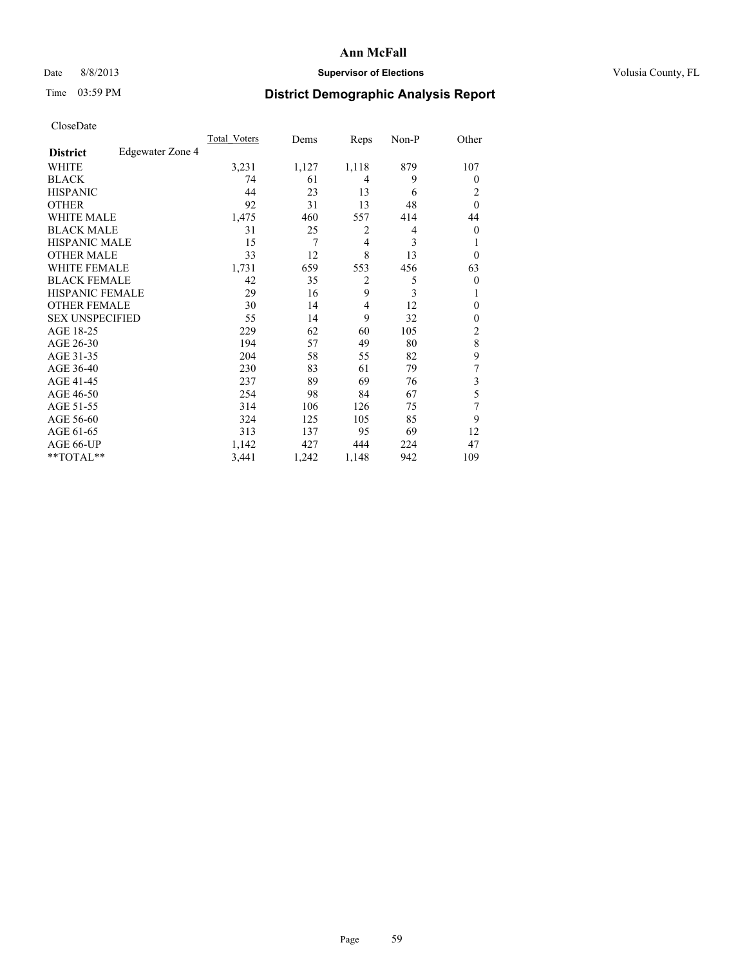# Date 8/8/2013 **Supervisor of Elections Supervisor of Elections** Volusia County, FL

# Time 03:59 PM **District Demographic Analysis Report**

|                        |                  | <b>Total Voters</b> | Dems  | Reps           | Non-P | Other          |
|------------------------|------------------|---------------------|-------|----------------|-------|----------------|
| <b>District</b>        | Edgewater Zone 4 |                     |       |                |       |                |
| WHITE                  |                  | 3,231               | 1,127 | 1,118          | 879   | 107            |
| <b>BLACK</b>           |                  | 74                  | 61    | 4              | 9     | $\theta$       |
| <b>HISPANIC</b>        |                  | 44                  | 23    | 13             | 6     | 2              |
| <b>OTHER</b>           |                  | 92                  | 31    | 13             | 48    | $\theta$       |
| WHITE MALE             |                  | 1,475               | 460   | 557            | 414   | 44             |
| <b>BLACK MALE</b>      |                  | 31                  | 25    | 2              | 4     | $\overline{0}$ |
| <b>HISPANIC MALE</b>   |                  | 15                  | 7     | 4              | 3     | 1              |
| <b>OTHER MALE</b>      |                  | 33                  | 12    | 8              | 13    | $\Omega$       |
| <b>WHITE FEMALE</b>    |                  | 1,731               | 659   | 553            | 456   | 63             |
| <b>BLACK FEMALE</b>    |                  | 42                  | 35    | $\overline{c}$ | 5     | $\overline{0}$ |
| <b>HISPANIC FEMALE</b> |                  | 29                  | 16    | 9              | 3     | 1              |
| <b>OTHER FEMALE</b>    |                  | 30                  | 14    | 4              | 12    | $\theta$       |
| <b>SEX UNSPECIFIED</b> |                  | 55                  | 14    | 9              | 32    | $\theta$       |
| AGE 18-25              |                  | 229                 | 62    | 60             | 105   | $\overline{c}$ |
| AGE 26-30              |                  | 194                 | 57    | 49             | 80    | 8              |
| AGE 31-35              |                  | 204                 | 58    | 55             | 82    | 9              |
| AGE 36-40              |                  | 230                 | 83    | 61             | 79    | 7              |
| AGE 41-45              |                  | 237                 | 89    | 69             | 76    | 3              |
| AGE 46-50              |                  | 254                 | 98    | 84             | 67    | 5              |
| AGE 51-55              |                  | 314                 | 106   | 126            | 75    | 7              |
| AGE 56-60              |                  | 324                 | 125   | 105            | 85    | 9              |
| AGE 61-65              |                  | 313                 | 137   | 95             | 69    | 12             |
| AGE 66-UP              |                  | 1,142               | 427   | 444            | 224   | 47             |
| **TOTAL**              |                  | 3,441               | 1,242 | 1,148          | 942   | 109            |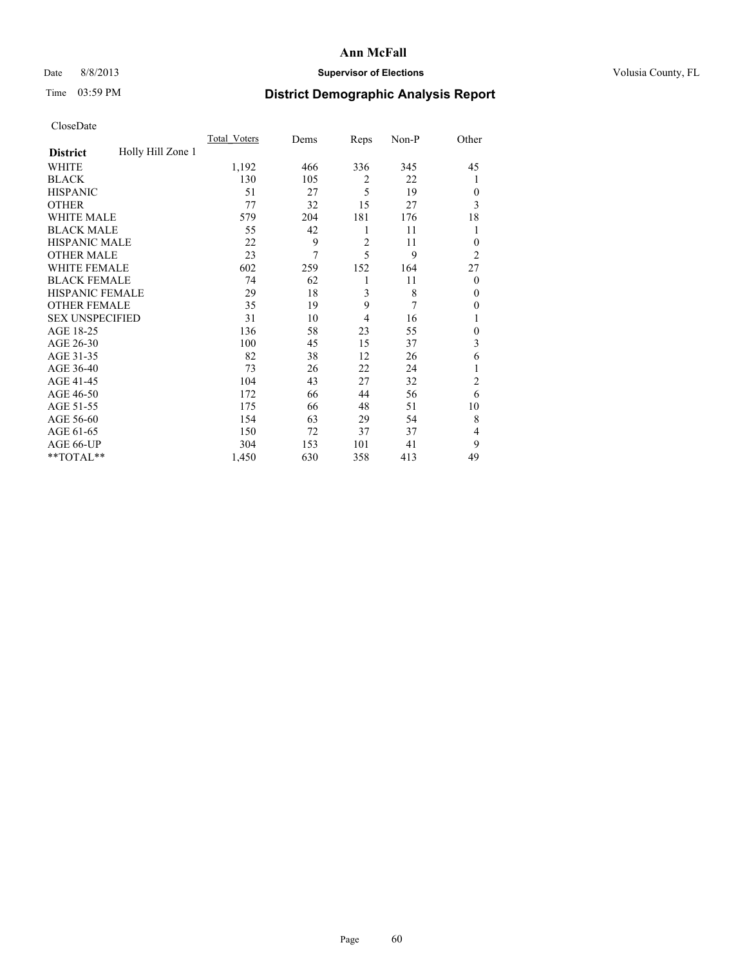# Date 8/8/2013 **Supervisor of Elections Supervisor of Elections** Volusia County, FL

# Time 03:59 PM **District Demographic Analysis Report**

|                        |                   | <b>Total Voters</b> | Dems | Reps           | Non-P | Other          |
|------------------------|-------------------|---------------------|------|----------------|-------|----------------|
| <b>District</b>        | Holly Hill Zone 1 |                     |      |                |       |                |
| WHITE                  |                   | 1,192               | 466  | 336            | 345   | 45             |
| <b>BLACK</b>           |                   | 130                 | 105  | 2              | 22    | 1              |
| <b>HISPANIC</b>        |                   | 51                  | 27   | 5              | 19    | $\Omega$       |
| <b>OTHER</b>           |                   | 77                  | 32   | 15             | 27    | 3              |
| WHITE MALE             |                   | 579                 | 204  | 181            | 176   | 18             |
| <b>BLACK MALE</b>      |                   | 55                  | 42   | 1              | 11    | 1              |
| <b>HISPANIC MALE</b>   |                   | 22                  | 9    | $\overline{2}$ | 11    | $\overline{0}$ |
| <b>OTHER MALE</b>      |                   | 23                  | 7    | 5              | 9     | $\overline{2}$ |
| WHITE FEMALE           |                   | 602                 | 259  | 152            | 164   | 27             |
| <b>BLACK FEMALE</b>    |                   | 74                  | 62   | 1              | 11    | $\overline{0}$ |
| <b>HISPANIC FEMALE</b> |                   | 29                  | 18   | 3              | 8     | $\theta$       |
| <b>OTHER FEMALE</b>    |                   | 35                  | 19   | 9              | 7     | $\Omega$       |
| <b>SEX UNSPECIFIED</b> |                   | 31                  | 10   | 4              | 16    | 1              |
| AGE 18-25              |                   | 136                 | 58   | 23             | 55    | $\theta$       |
| AGE 26-30              |                   | 100                 | 45   | 15             | 37    | 3              |
| AGE 31-35              |                   | 82                  | 38   | 12             | 26    | 6              |
| AGE 36-40              |                   | 73                  | 26   | 22             | 24    | 1              |
| AGE 41-45              |                   | 104                 | 43   | 27             | 32    | $\overline{c}$ |
| AGE 46-50              |                   | 172                 | 66   | 44             | 56    | 6              |
| AGE 51-55              |                   | 175                 | 66   | 48             | 51    | 10             |
| AGE 56-60              |                   | 154                 | 63   | 29             | 54    | 8              |
| AGE 61-65              |                   | 150                 | 72   | 37             | 37    | 4              |
| AGE 66-UP              |                   | 304                 | 153  | 101            | 41    | 9              |
| **TOTAL**              |                   | 1,450               | 630  | 358            | 413   | 49             |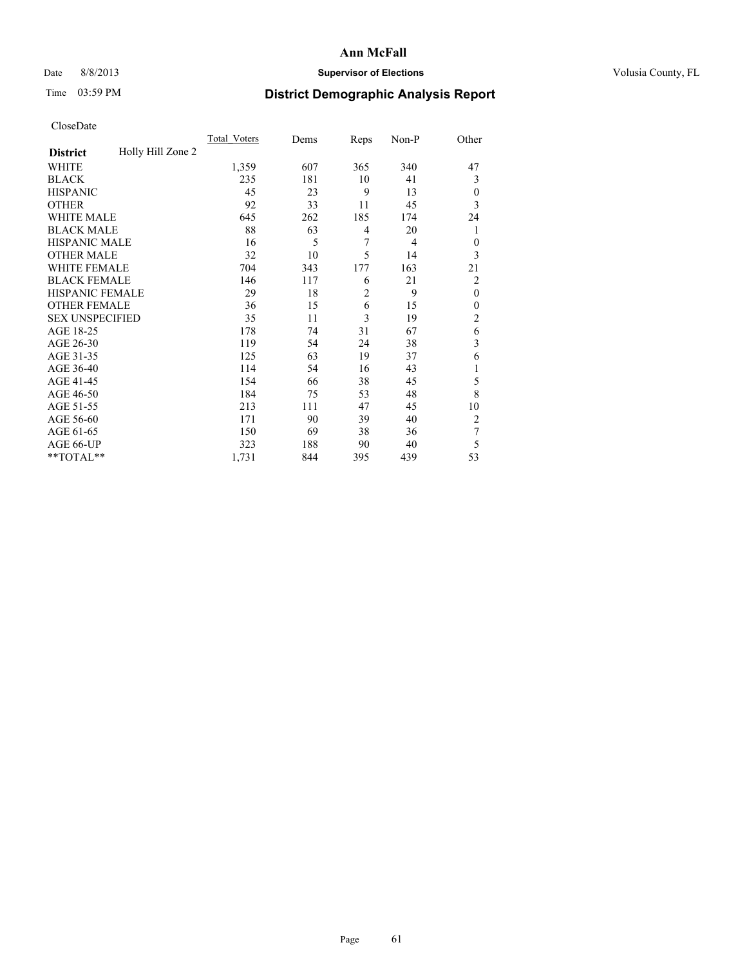# Date 8/8/2013 **Supervisor of Elections Supervisor of Elections** Volusia County, FL

# Time 03:59 PM **District Demographic Analysis Report**

|                        |                   | <b>Total Voters</b> | Dems | Reps           | Non-P          | Other          |
|------------------------|-------------------|---------------------|------|----------------|----------------|----------------|
| <b>District</b>        | Holly Hill Zone 2 |                     |      |                |                |                |
| WHITE                  |                   | 1,359               | 607  | 365            | 340            | 47             |
| <b>BLACK</b>           |                   | 235                 | 181  | 10             | 41             | 3              |
| <b>HISPANIC</b>        |                   | 45                  | 23   | 9              | 13             | $\overline{0}$ |
| <b>OTHER</b>           |                   | 92                  | 33   | 11             | 45             | 3              |
| WHITE MALE             |                   | 645                 | 262  | 185            | 174            | 24             |
| <b>BLACK MALE</b>      |                   | 88                  | 63   | 4              | 20             | 1              |
| <b>HISPANIC MALE</b>   |                   | 16                  | 5    | 7              | $\overline{4}$ | $\theta$       |
| <b>OTHER MALE</b>      |                   | 32                  | 10   | 5              | 14             | 3              |
| WHITE FEMALE           |                   | 704                 | 343  | 177            | 163            | 21             |
| <b>BLACK FEMALE</b>    |                   | 146                 | 117  | 6              | 21             | $\overline{2}$ |
| <b>HISPANIC FEMALE</b> |                   | 29                  | 18   | $\overline{2}$ | 9              | $\theta$       |
| <b>OTHER FEMALE</b>    |                   | 36                  | 15   | 6              | 15             | $\Omega$       |
| <b>SEX UNSPECIFIED</b> |                   | 35                  | 11   | 3              | 19             | $\overline{2}$ |
| AGE 18-25              |                   | 178                 | 74   | 31             | 67             | 6              |
| AGE 26-30              |                   | 119                 | 54   | 24             | 38             | 3              |
| AGE 31-35              |                   | 125                 | 63   | 19             | 37             | 6              |
| AGE 36-40              |                   | 114                 | 54   | 16             | 43             | 1              |
| AGE 41-45              |                   | 154                 | 66   | 38             | 45             | 5              |
| AGE 46-50              |                   | 184                 | 75   | 53             | 48             | 8              |
| AGE 51-55              |                   | 213                 | 111  | 47             | 45             | 10             |
| AGE 56-60              |                   | 171                 | 90   | 39             | 40             | $\overline{2}$ |
| AGE 61-65              |                   | 150                 | 69   | 38             | 36             | 7              |
| AGE 66-UP              |                   | 323                 | 188  | 90             | 40             | 5              |
| **TOTAL**              |                   | 1,731               | 844  | 395            | 439            | 53             |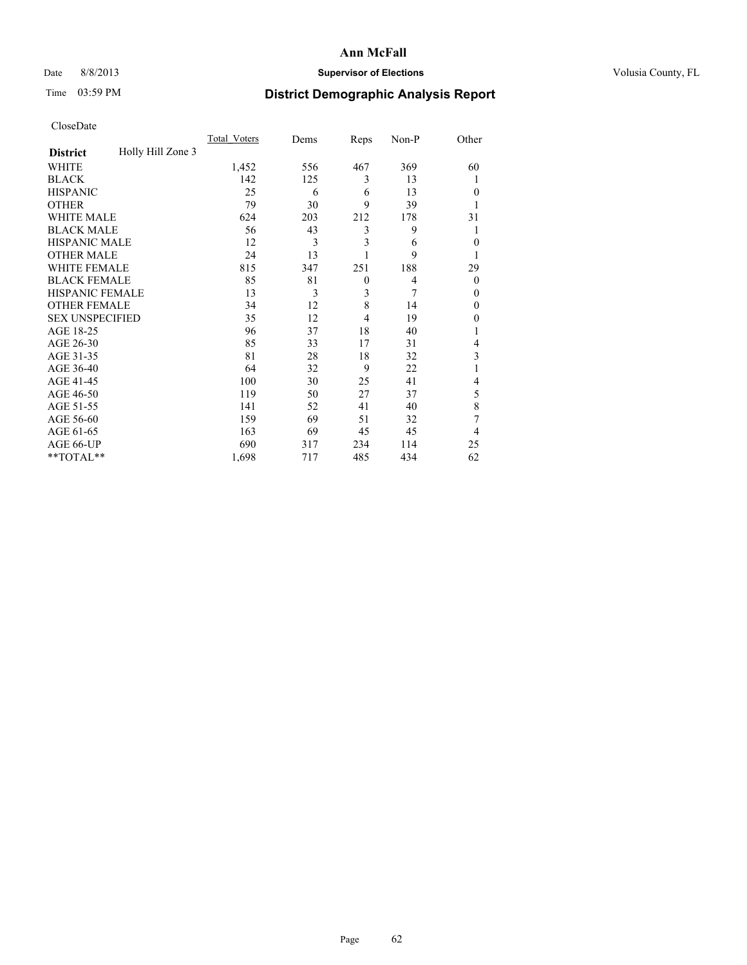# Date 8/8/2013 **Supervisor of Elections Supervisor of Elections** Volusia County, FL

# Time 03:59 PM **District Demographic Analysis Report**

|                        |                   | <b>Total Voters</b> | Dems | Reps         | Non-P | Other    |
|------------------------|-------------------|---------------------|------|--------------|-------|----------|
| <b>District</b>        | Holly Hill Zone 3 |                     |      |              |       |          |
| WHITE                  |                   | 1,452               | 556  | 467          | 369   | 60       |
| <b>BLACK</b>           |                   | 142                 | 125  | 3            | 13    | 1        |
| <b>HISPANIC</b>        |                   | 25                  | 6    | 6            | 13    | $\theta$ |
| <b>OTHER</b>           |                   | 79                  | 30   | 9            | 39    |          |
| WHITE MALE             |                   | 624                 | 203  | 212          | 178   | 31       |
| <b>BLACK MALE</b>      |                   | 56                  | 43   | 3            | 9     |          |
| <b>HISPANIC MALE</b>   |                   | 12                  | 3    | 3            | 6     | $\theta$ |
| <b>OTHER MALE</b>      |                   | 24                  | 13   |              | 9     | 1        |
| <b>WHITE FEMALE</b>    |                   | 815                 | 347  | 251          | 188   | 29       |
| <b>BLACK FEMALE</b>    |                   | 85                  | 81   | $\mathbf{0}$ | 4     | $\theta$ |
| <b>HISPANIC FEMALE</b> |                   | 13                  | 3    | 3            | 7     | $\theta$ |
| <b>OTHER FEMALE</b>    |                   | 34                  | 12   | 8            | 14    | $\theta$ |
| <b>SEX UNSPECIFIED</b> |                   | 35                  | 12   | 4            | 19    | $\theta$ |
| AGE 18-25              |                   | 96                  | 37   | 18           | 40    |          |
| AGE 26-30              |                   | 85                  | 33   | 17           | 31    | 4        |
| AGE 31-35              |                   | 81                  | 28   | 18           | 32    | 3        |
| AGE 36-40              |                   | 64                  | 32   | 9            | 22    |          |
| AGE 41-45              |                   | 100                 | 30   | 25           | 41    | 4        |
| AGE 46-50              |                   | 119                 | 50   | 27           | 37    | 5        |
| AGE 51-55              |                   | 141                 | 52   | 41           | 40    | 8        |
| AGE 56-60              |                   | 159                 | 69   | 51           | 32    | 7        |
| AGE 61-65              |                   | 163                 | 69   | 45           | 45    | 4        |
| AGE 66-UP              |                   | 690                 | 317  | 234          | 114   | 25       |
| **TOTAL**              |                   | 1,698               | 717  | 485          | 434   | 62       |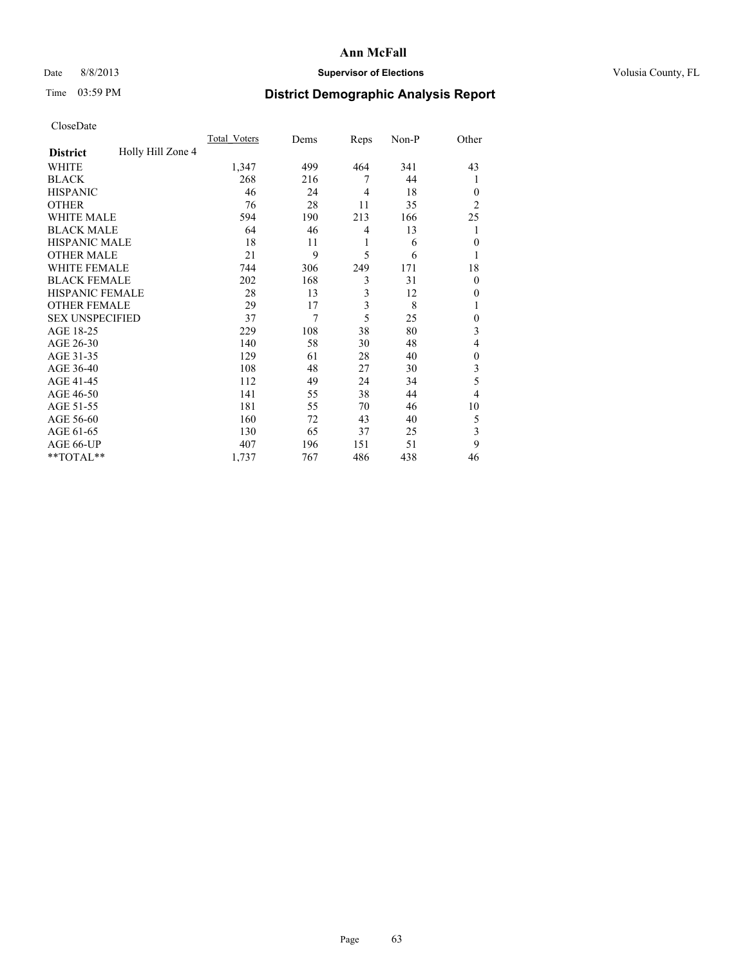# Date 8/8/2013 **Supervisor of Elections Supervisor of Elections** Volusia County, FL

# Time 03:59 PM **District Demographic Analysis Report**

|                        |                   | <b>Total Voters</b> | Dems | Reps           | Non-P | Other          |
|------------------------|-------------------|---------------------|------|----------------|-------|----------------|
| <b>District</b>        | Holly Hill Zone 4 |                     |      |                |       |                |
| WHITE                  |                   | 1,347               | 499  | 464            | 341   | 43             |
| <b>BLACK</b>           |                   | 268                 | 216  | 7              | 44    | 1              |
| <b>HISPANIC</b>        |                   | 46                  | 24   | $\overline{4}$ | 18    | $\Omega$       |
| <b>OTHER</b>           |                   | 76                  | 28   | 11             | 35    | $\overline{2}$ |
| WHITE MALE             |                   | 594                 | 190  | 213            | 166   | 25             |
| <b>BLACK MALE</b>      |                   | 64                  | 46   | 4              | 13    | 1              |
| <b>HISPANIC MALE</b>   |                   | 18                  | 11   | 1              | 6     | $\overline{0}$ |
| <b>OTHER MALE</b>      |                   | 21                  | 9    | 5              | 6     | 1              |
| WHITE FEMALE           |                   | 744                 | 306  | 249            | 171   | 18             |
| <b>BLACK FEMALE</b>    |                   | 202                 | 168  | 3              | 31    | $\overline{0}$ |
| <b>HISPANIC FEMALE</b> |                   | 28                  | 13   | 3              | 12    | $\Omega$       |
| <b>OTHER FEMALE</b>    |                   | 29                  | 17   | 3              | 8     |                |
| <b>SEX UNSPECIFIED</b> |                   | 37                  | 7    | 5              | 25    | $\theta$       |
| AGE 18-25              |                   | 229                 | 108  | 38             | 80    | 3              |
| AGE 26-30              |                   | 140                 | 58   | 30             | 48    | 4              |
| AGE 31-35              |                   | 129                 | 61   | 28             | 40    | $\theta$       |
| AGE 36-40              |                   | 108                 | 48   | 27             | 30    | 3              |
| AGE 41-45              |                   | 112                 | 49   | 24             | 34    | 5              |
| AGE 46-50              |                   | 141                 | 55   | 38             | 44    | $\overline{4}$ |
| AGE 51-55              |                   | 181                 | 55   | 70             | 46    | 10             |
| AGE 56-60              |                   | 160                 | 72   | 43             | 40    | 5              |
| AGE 61-65              |                   | 130                 | 65   | 37             | 25    | 3              |
| AGE 66-UP              |                   | 407                 | 196  | 151            | 51    | 9              |
| **TOTAL**              |                   | 1,737               | 767  | 486            | 438   | 46             |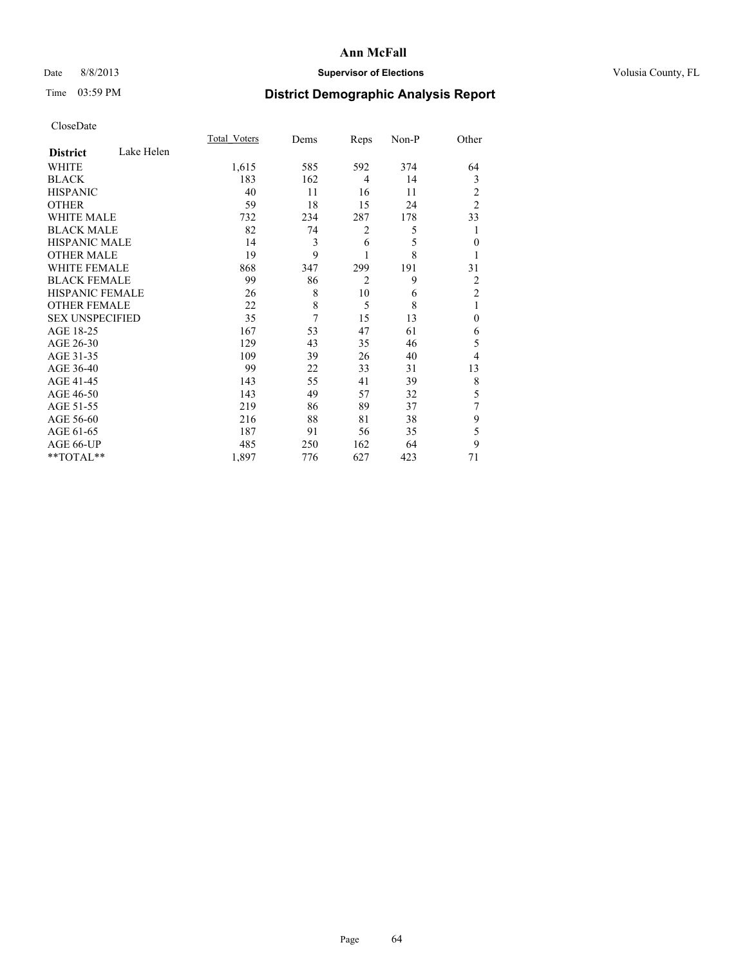# Date 8/8/2013 **Supervisor of Elections Supervisor of Elections** Volusia County, FL

# Time 03:59 PM **District Demographic Analysis Report**

|                        |            | <b>Total Voters</b> | Dems | Reps           | Non-P | Other          |
|------------------------|------------|---------------------|------|----------------|-------|----------------|
| <b>District</b>        | Lake Helen |                     |      |                |       |                |
| <b>WHITE</b>           |            | 1,615               | 585  | 592            | 374   | 64             |
| <b>BLACK</b>           |            | 183                 | 162  | 4              | 14    | 3              |
| <b>HISPANIC</b>        |            | 40                  | 11   | 16             | 11    | $\overline{c}$ |
| <b>OTHER</b>           |            | 59                  | 18   | 15             | 24    | $\overline{2}$ |
| WHITE MALE             |            | 732                 | 234  | 287            | 178   | 33             |
| <b>BLACK MALE</b>      |            | 82                  | 74   | $\overline{2}$ | 5     | 1              |
| <b>HISPANIC MALE</b>   |            | 14                  | 3    | 6              | 5     | $\mathbf{0}$   |
| <b>OTHER MALE</b>      |            | 19                  | 9    |                | 8     | 1              |
| <b>WHITE FEMALE</b>    |            | 868                 | 347  | 299            | 191   | 31             |
| <b>BLACK FEMALE</b>    |            | 99                  | 86   | $\overline{2}$ | 9     | 2              |
| HISPANIC FEMALE        |            | 26                  | 8    | 10             | 6     | $\overline{c}$ |
| <b>OTHER FEMALE</b>    |            | 22                  | 8    | 5              | 8     | 1              |
| <b>SEX UNSPECIFIED</b> |            | 35                  | 7    | 15             | 13    | $\theta$       |
| AGE 18-25              |            | 167                 | 53   | 47             | 61    | 6              |
| AGE 26-30              |            | 129                 | 43   | 35             | 46    | 5              |
| AGE 31-35              |            | 109                 | 39   | 26             | 40    | 4              |
| AGE 36-40              |            | 99                  | 22   | 33             | 31    | 13             |
| AGE 41-45              |            | 143                 | 55   | 41             | 39    | 8              |
| AGE 46-50              |            | 143                 | 49   | 57             | 32    | 5              |
| AGE 51-55              |            | 219                 | 86   | 89             | 37    | 7              |
| AGE 56-60              |            | 216                 | 88   | 81             | 38    | 9              |
| AGE 61-65              |            | 187                 | 91   | 56             | 35    | 5              |
| AGE 66-UP              |            | 485                 | 250  | 162            | 64    | 9              |
| **TOTAL**              |            | 1,897               | 776  | 627            | 423   | 71             |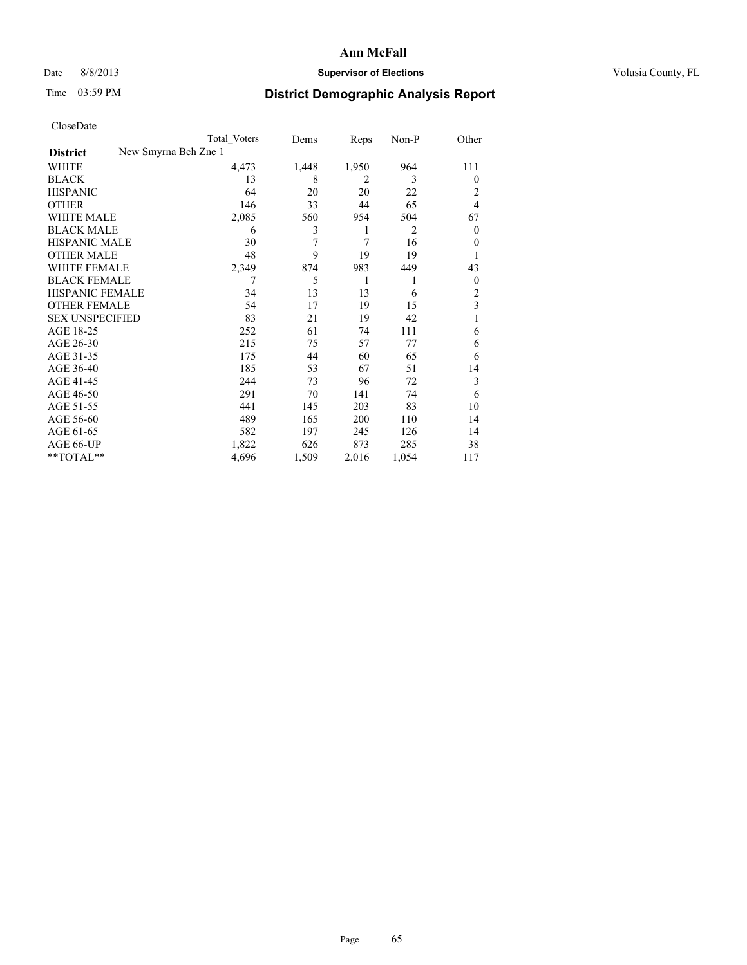# Date 8/8/2013 **Supervisor of Elections Supervisor of Elections** Volusia County, FL

|                        | Total Voters         | Dems  | Reps  | $Non-P$ | Other          |
|------------------------|----------------------|-------|-------|---------|----------------|
| <b>District</b>        | New Smyrna Bch Zne 1 |       |       |         |                |
| WHITE                  | 4,473                | 1,448 | 1,950 | 964     | 111            |
| <b>BLACK</b>           | 13                   | 8     | 2     | 3       | $\theta$       |
| <b>HISPANIC</b>        | 64                   | 20    | 20    | 22      | 2              |
| <b>OTHER</b>           | 146                  | 33    | 44    | 65      | 4              |
| <b>WHITE MALE</b>      | 2,085                | 560   | 954   | 504     | 67             |
| <b>BLACK MALE</b>      | 6                    | 3     | 1     | 2       | $\overline{0}$ |
| <b>HISPANIC MALE</b>   | 30                   | 7     | 7     | 16      | 0              |
| <b>OTHER MALE</b>      | 48                   | 9     | 19    | 19      | 1              |
| <b>WHITE FEMALE</b>    | 2,349                | 874   | 983   | 449     | 43             |
| <b>BLACK FEMALE</b>    | 7                    | 5     | 1     | 1       | $\overline{0}$ |
| HISPANIC FEMALE        | 34                   | 13    | 13    | 6       | 2              |
| <b>OTHER FEMALE</b>    | 54                   | 17    | 19    | 15      | 3              |
| <b>SEX UNSPECIFIED</b> | 83                   | 21    | 19    | 42      | 1              |
| AGE 18-25              | 252                  | 61    | 74    | 111     | 6              |
| AGE 26-30              | 215                  | 75    | 57    | 77      | 6              |
| AGE 31-35              | 175                  | 44    | 60    | 65      | 6              |
| AGE 36-40              | 185                  | 53    | 67    | 51      | 14             |
| AGE 41-45              | 244                  | 73    | 96    | 72      | 3              |
| AGE 46-50              | 291                  | 70    | 141   | 74      | 6              |
| AGE 51-55              | 441                  | 145   | 203   | 83      | 10             |
| AGE 56-60              | 489                  | 165   | 200   | 110     | 14             |
| AGE 61-65              | 582                  | 197   | 245   | 126     | 14             |
| AGE 66-UP              | 1,822                | 626   | 873   | 285     | 38             |
| **TOTAL**              | 4,696                | 1,509 | 2,016 | 1,054   | 117            |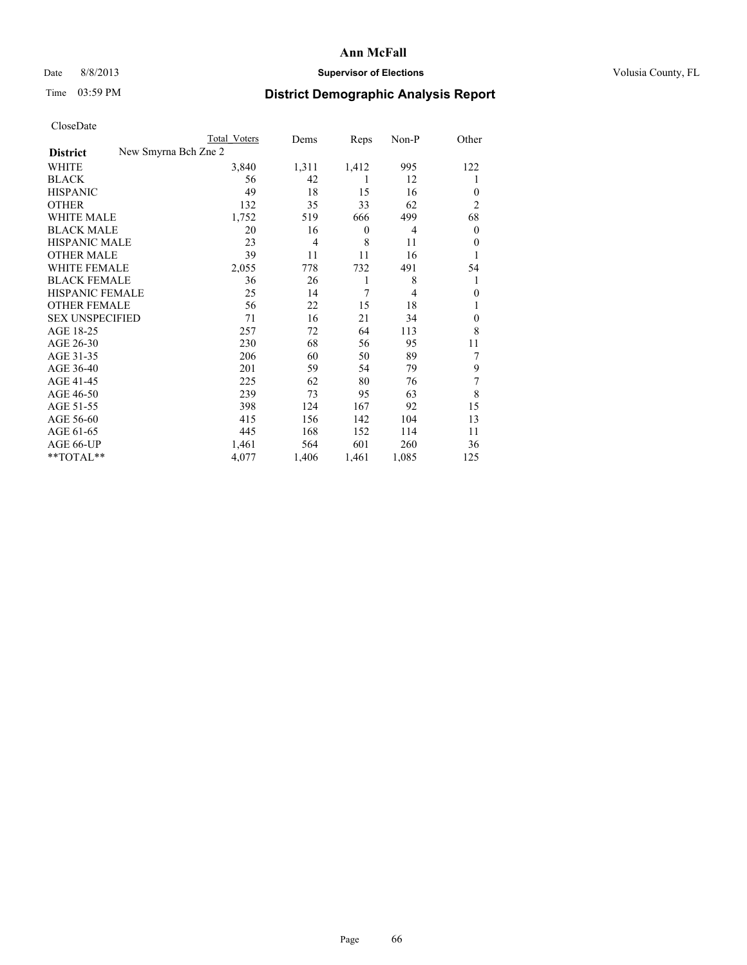# Date 8/8/2013 **Supervisor of Elections Supervisor of Elections** Volusia County, FL

|                        |                      | <b>Total Voters</b> | Dems  | Reps             | Non-P          | Other          |
|------------------------|----------------------|---------------------|-------|------------------|----------------|----------------|
| <b>District</b>        | New Smyrna Bch Zne 2 |                     |       |                  |                |                |
| WHITE                  |                      | 3,840               | 1,311 | 1,412            | 995            | 122            |
| <b>BLACK</b>           |                      | 56                  | 42    | 1                | 12             | 1              |
| <b>HISPANIC</b>        |                      | 49                  | 18    | 15               | 16             | $\theta$       |
| <b>OTHER</b>           |                      | 132                 | 35    | 33               | 62             | $\overline{2}$ |
| WHITE MALE             |                      | 1,752               | 519   | 666              | 499            | 68             |
| <b>BLACK MALE</b>      |                      | 20                  | 16    | $\boldsymbol{0}$ | 4              | $\mathbf{0}$   |
| <b>HISPANIC MALE</b>   |                      | 23                  | 4     | 8                | 11             | $\theta$       |
| <b>OTHER MALE</b>      |                      | 39                  | 11    | 11               | 16             | 1              |
| <b>WHITE FEMALE</b>    |                      | 2,055               | 778   | 732              | 491            | 54             |
| <b>BLACK FEMALE</b>    |                      | 36                  | 26    | 1                | 8              | 1              |
| HISPANIC FEMALE        |                      | 25                  | 14    | 7                | $\overline{4}$ | $\theta$       |
| <b>OTHER FEMALE</b>    |                      | 56                  | 22    | 15               | 18             |                |
| <b>SEX UNSPECIFIED</b> |                      | 71                  | 16    | 21               | 34             | $\theta$       |
| AGE 18-25              |                      | 257                 | 72    | 64               | 113            | 8              |
| AGE 26-30              |                      | 230                 | 68    | 56               | 95             | 11             |
| AGE 31-35              |                      | 206                 | 60    | 50               | 89             | 7              |
| AGE 36-40              |                      | 201                 | 59    | 54               | 79             | 9              |
| AGE 41-45              |                      | 225                 | 62    | 80               | 76             | 7              |
| AGE 46-50              |                      | 239                 | 73    | 95               | 63             | 8              |
| AGE 51-55              |                      | 398                 | 124   | 167              | 92             | 15             |
| AGE 56-60              |                      | 415                 | 156   | 142              | 104            | 13             |
| AGE 61-65              |                      | 445                 | 168   | 152              | 114            | 11             |
| AGE 66-UP              |                      | 1,461               | 564   | 601              | 260            | 36             |
| **TOTAL**              |                      | 4,077               | 1,406 | 1,461            | 1,085          | 125            |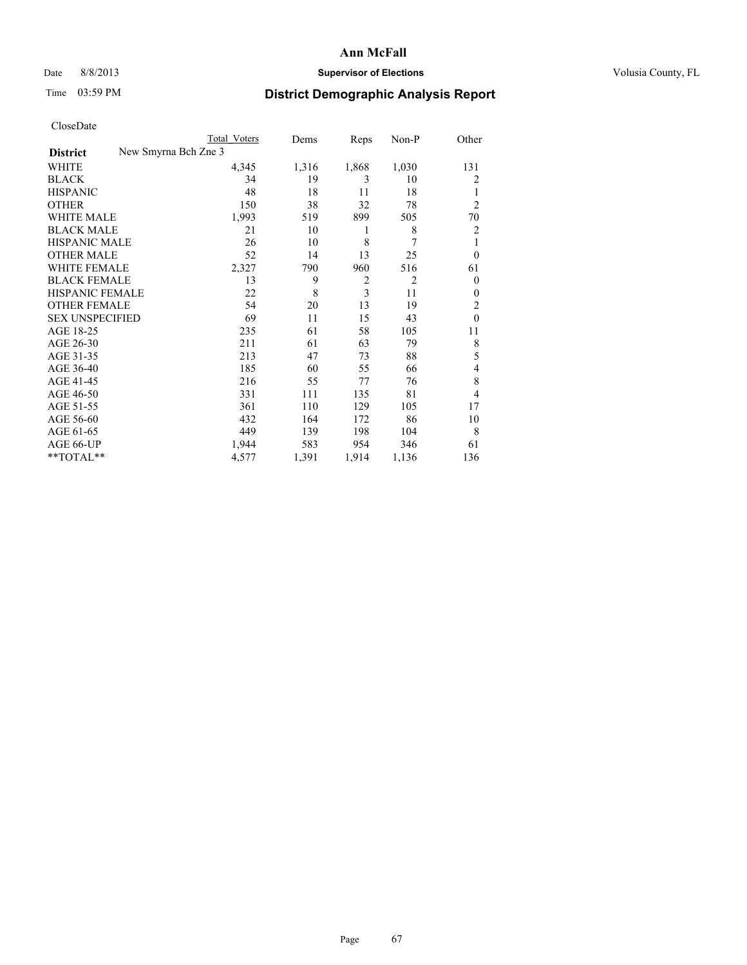# Date 8/8/2013 **Supervisor of Elections Supervisor of Elections** Volusia County, FL

|                        |                      | <b>Total Voters</b> | Dems  | Reps           | Non-P          | Other          |
|------------------------|----------------------|---------------------|-------|----------------|----------------|----------------|
| <b>District</b>        | New Smyrna Bch Zne 3 |                     |       |                |                |                |
| WHITE                  |                      | 4,345               | 1,316 | 1,868          | 1,030          | 131            |
| <b>BLACK</b>           |                      | 34                  | 19    | 3              | 10             | 2              |
| <b>HISPANIC</b>        |                      | 48                  | 18    | 11             | 18             | 1              |
| <b>OTHER</b>           |                      | 150                 | 38    | 32             | 78             | $\overline{2}$ |
| WHITE MALE             |                      | 1,993               | 519   | 899            | 505            | 70             |
| <b>BLACK MALE</b>      |                      | 21                  | 10    | 1              | 8              | 2              |
| <b>HISPANIC MALE</b>   |                      | 26                  | 10    | 8              | 7              | 1              |
| <b>OTHER MALE</b>      |                      | 52                  | 14    | 13             | 25             | $\overline{0}$ |
| <b>WHITE FEMALE</b>    |                      | 2,327               | 790   | 960            | 516            | 61             |
| <b>BLACK FEMALE</b>    |                      | 13                  | 9     | $\overline{2}$ | $\overline{2}$ | $\overline{0}$ |
| HISPANIC FEMALE        |                      | 22                  | 8     | $\overline{3}$ | 11             | $\theta$       |
| <b>OTHER FEMALE</b>    |                      | 54                  | 20    | 13             | 19             | 2              |
| <b>SEX UNSPECIFIED</b> |                      | 69                  | 11    | 15             | 43             | $\theta$       |
| AGE 18-25              |                      | 235                 | 61    | 58             | 105            | 11             |
| AGE 26-30              |                      | 211                 | 61    | 63             | 79             | 8              |
| AGE 31-35              |                      | 213                 | 47    | 73             | 88             | 5              |
| AGE 36-40              |                      | 185                 | 60    | 55             | 66             | 4              |
| AGE 41-45              |                      | 216                 | 55    | 77             | 76             | 8              |
| AGE 46-50              |                      | 331                 | 111   | 135            | 81             | 4              |
| AGE 51-55              |                      | 361                 | 110   | 129            | 105            | 17             |
| AGE 56-60              |                      | 432                 | 164   | 172            | 86             | 10             |
| AGE 61-65              |                      | 449                 | 139   | 198            | 104            | 8              |
| AGE 66-UP              |                      | 1,944               | 583   | 954            | 346            | 61             |
| **TOTAL**              |                      | 4,577               | 1,391 | 1,914          | 1,136          | 136            |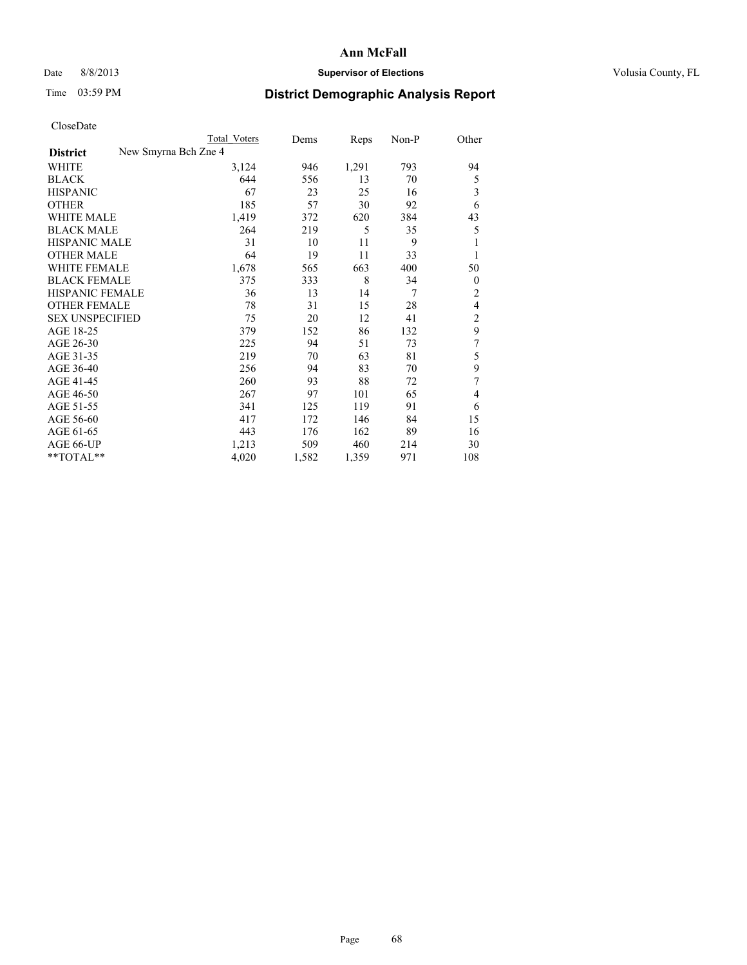# Date 8/8/2013 **Supervisor of Elections Supervisor of Elections** Volusia County, FL

|                        | Total Voters         | Dems  | Reps  | Non-P | Other          |
|------------------------|----------------------|-------|-------|-------|----------------|
| <b>District</b>        | New Smyrna Bch Zne 4 |       |       |       |                |
| WHITE                  | 3,124                | 946   | 1,291 | 793   | 94             |
| <b>BLACK</b>           | 644                  | 556   | 13    | 70    | 5              |
| <b>HISPANIC</b>        | 67                   | 23    | 25    | 16    | 3              |
| <b>OTHER</b>           | 185                  | 57    | 30    | 92    | 6              |
| WHITE MALE             | 1,419                | 372   | 620   | 384   | 43             |
| <b>BLACK MALE</b>      | 264                  | 219   | 5     | 35    | 5              |
| <b>HISPANIC MALE</b>   | 31                   | 10    | 11    | 9     |                |
| <b>OTHER MALE</b>      | 64                   | 19    | 11    | 33    | 1              |
| <b>WHITE FEMALE</b>    | 1,678                | 565   | 663   | 400   | 50             |
| <b>BLACK FEMALE</b>    | 375                  | 333   | 8     | 34    | $\overline{0}$ |
| HISPANIC FEMALE        | 36                   | 13    | 14    | 7     | $\overline{2}$ |
| <b>OTHER FEMALE</b>    | 78                   | 31    | 15    | 28    | 4              |
| <b>SEX UNSPECIFIED</b> | 75                   | 20    | 12    | 41    | $\overline{c}$ |
| AGE 18-25              | 379                  | 152   | 86    | 132   | 9              |
| AGE 26-30              | 225                  | 94    | 51    | 73    | 7              |
| AGE 31-35              | 219                  | 70    | 63    | 81    | 5              |
| AGE 36-40              | 256                  | 94    | 83    | 70    | 9              |
| AGE 41-45              | 260                  | 93    | 88    | 72    | 7              |
| AGE 46-50              | 267                  | 97    | 101   | 65    | 4              |
| AGE 51-55              | 341                  | 125   | 119   | 91    | 6              |
| AGE 56-60              | 417                  | 172   | 146   | 84    | 15             |
| AGE 61-65              | 443                  | 176   | 162   | 89    | 16             |
| AGE 66-UP              | 1,213                | 509   | 460   | 214   | 30             |
| **TOTAL**              | 4,020                | 1,582 | 1,359 | 971   | 108            |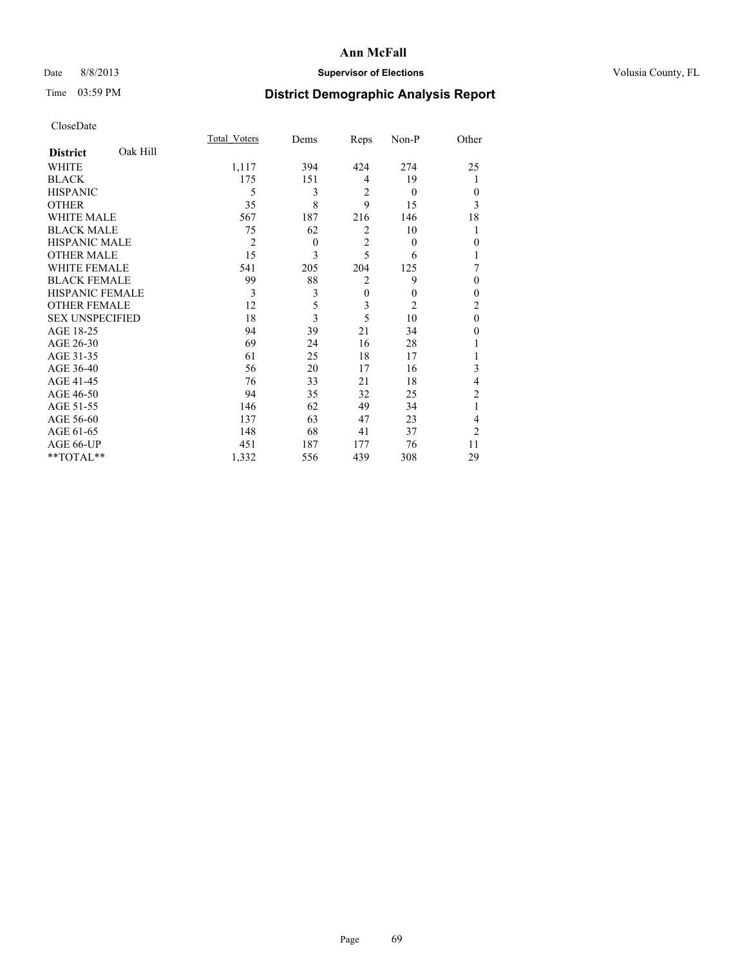# Date 8/8/2013 **Supervisor of Elections Supervisor of Elections** Volusia County, FL

# Time 03:59 PM **District Demographic Analysis Report**

|                        |          | Total Voters   | Dems     | Reps           | Non-P          | Other          |
|------------------------|----------|----------------|----------|----------------|----------------|----------------|
| <b>District</b>        | Oak Hill |                |          |                |                |                |
| WHITE                  |          | 1,117          | 394      | 424            | 274            | 25             |
| <b>BLACK</b>           |          | 175            | 151      | $\overline{4}$ | 19             |                |
| <b>HISPANIC</b>        |          | 5              | 3        | $\overline{2}$ | $\overline{0}$ | $\theta$       |
| <b>OTHER</b>           |          | 35             | 8        | 9              | 15             | 3              |
| WHITE MALE             |          | 567            | 187      | 216            | 146            | 18             |
| <b>BLACK MALE</b>      |          | 75             | 62       | $\overline{2}$ | 10             | 1              |
| <b>HISPANIC MALE</b>   |          | $\overline{2}$ | $\theta$ | $\overline{2}$ | $\theta$       | $\mathbf{0}$   |
| <b>OTHER MALE</b>      |          | 15             | 3        | 5              | 6              | 1              |
| WHITE FEMALE           |          | 541            | 205      | 204            | 125            | 7              |
| <b>BLACK FEMALE</b>    |          | 99             | 88       | $\overline{2}$ | 9              | $\theta$       |
| <b>HISPANIC FEMALE</b> |          | 3              | 3        | $\mathbf{0}$   | $\theta$       | $\theta$       |
| <b>OTHER FEMALE</b>    |          | 12             | 5        | 3              | $\overline{2}$ | $\overline{c}$ |
| <b>SEX UNSPECIFIED</b> |          | 18             | 3        | 5              | 10             | $\mathbf{0}$   |
| AGE 18-25              |          | 94             | 39       | 21             | 34             | $\theta$       |
| AGE 26-30              |          | 69             | 24       | 16             | 28             |                |
| AGE 31-35              |          | 61             | 25       | 18             | 17             |                |
| AGE 36-40              |          | 56             | 20       | 17             | 16             | 3              |
| AGE 41-45              |          | 76             | 33       | 21             | 18             | 4              |
| AGE 46-50              |          | 94             | 35       | 32             | 25             | 2              |
| AGE 51-55              |          | 146            | 62       | 49             | 34             | 1              |
| AGE 56-60              |          | 137            | 63       | 47             | 23             | 4              |
| AGE 61-65              |          | 148            | 68       | 41             | 37             | $\overline{2}$ |
| AGE 66-UP              |          | 451            | 187      | 177            | 76             | 11             |
| **TOTAL**              |          | 1,332          | 556      | 439            | 308            | 29             |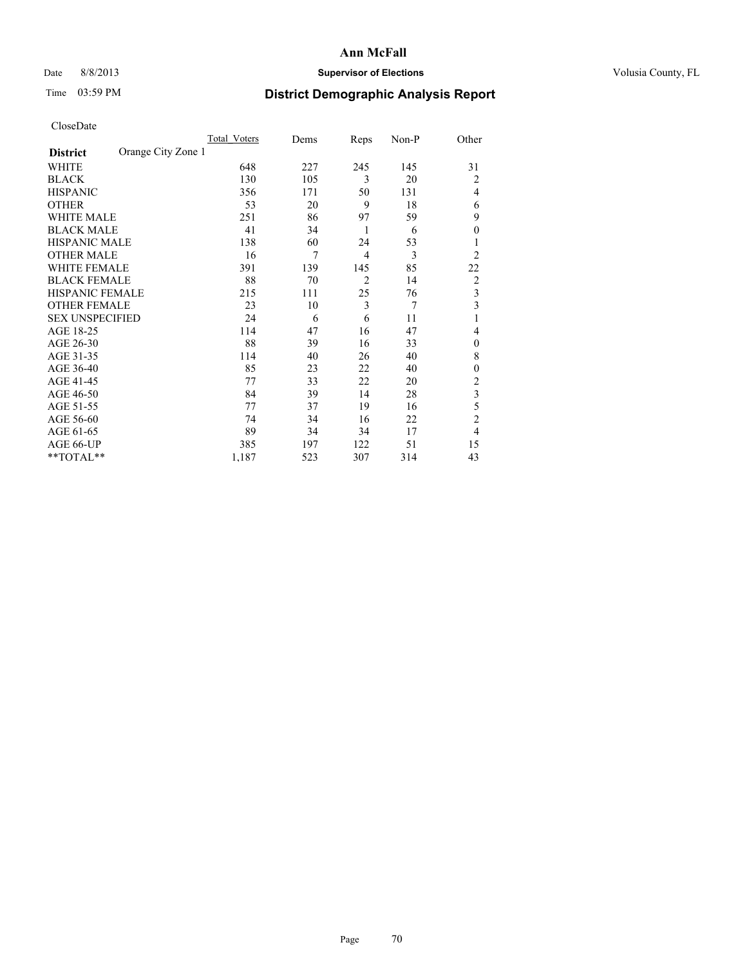# Date 8/8/2013 **Supervisor of Elections Supervisor of Elections** Volusia County, FL

# Time 03:59 PM **District Demographic Analysis Report**

|                        |                    | Total Voters | Dems | Reps           | Non-P | Other          |
|------------------------|--------------------|--------------|------|----------------|-------|----------------|
| <b>District</b>        | Orange City Zone 1 |              |      |                |       |                |
| WHITE                  |                    | 648          | 227  | 245            | 145   | 31             |
| <b>BLACK</b>           |                    | 130          | 105  | 3              | 20    | $\overline{2}$ |
| <b>HISPANIC</b>        |                    | 356          | 171  | 50             | 131   | $\overline{4}$ |
| <b>OTHER</b>           |                    | 53           | 20   | 9              | 18    | 6              |
| WHITE MALE             |                    | 251          | 86   | 97             | 59    | 9              |
| <b>BLACK MALE</b>      |                    | 41           | 34   | 1              | 6     | $\overline{0}$ |
| <b>HISPANIC MALE</b>   |                    | 138          | 60   | 24             | 53    |                |
| <b>OTHER MALE</b>      |                    | 16           | 7    | $\overline{4}$ | 3     | $\overline{2}$ |
| WHITE FEMALE           |                    | 391          | 139  | 145            | 85    | 22             |
| <b>BLACK FEMALE</b>    |                    | 88           | 70   | $\overline{2}$ | 14    | $\overline{2}$ |
| <b>HISPANIC FEMALE</b> |                    | 215          | 111  | 25             | 76    | 3              |
| <b>OTHER FEMALE</b>    |                    | 23           | 10   | 3              | 7     | 3              |
| <b>SEX UNSPECIFIED</b> |                    | 24           | 6    | 6              | 11    | 1              |
| AGE 18-25              |                    | 114          | 47   | 16             | 47    | 4              |
| AGE 26-30              |                    | 88           | 39   | 16             | 33    | $\mathbf{0}$   |
| AGE 31-35              |                    | 114          | 40   | 26             | 40    | 8              |
| AGE 36-40              |                    | 85           | 23   | 22             | 40    | $\overline{0}$ |
| AGE 41-45              |                    | 77           | 33   | 22             | 20    | $\overline{2}$ |
| AGE 46-50              |                    | 84           | 39   | 14             | 28    | 3              |
| AGE 51-55              |                    | 77           | 37   | 19             | 16    | 5              |
| AGE 56-60              |                    | 74           | 34   | 16             | 22    | $\overline{c}$ |
| AGE 61-65              |                    | 89           | 34   | 34             | 17    | $\overline{4}$ |
| AGE 66-UP              |                    | 385          | 197  | 122            | 51    | 15             |
| **TOTAL**              |                    | 1,187        | 523  | 307            | 314   | 43             |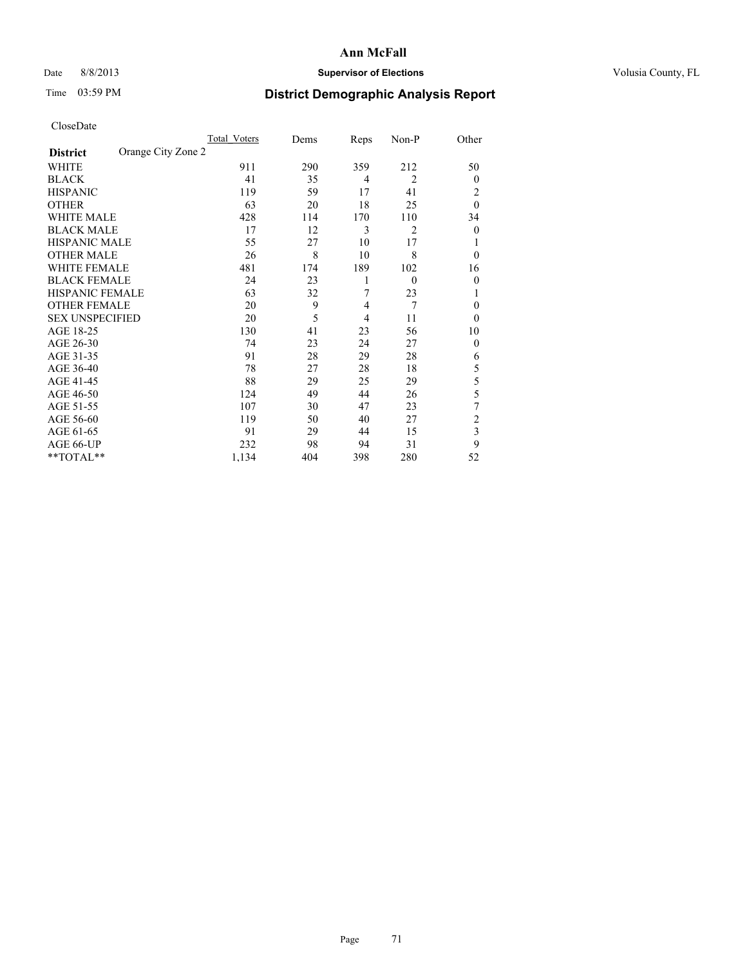# Date 8/8/2013 **Supervisor of Elections Supervisor of Elections** Volusia County, FL

# Time 03:59 PM **District Demographic Analysis Report**

|                        |                    | <b>Total Voters</b> | Dems | Reps           | Non-P          | Other          |
|------------------------|--------------------|---------------------|------|----------------|----------------|----------------|
| <b>District</b>        | Orange City Zone 2 |                     |      |                |                |                |
| WHITE                  |                    | 911                 | 290  | 359            | 212            | 50             |
| <b>BLACK</b>           |                    | 41                  | 35   | 4              | $\overline{2}$ | $\overline{0}$ |
| <b>HISPANIC</b>        |                    | 119                 | 59   | 17             | 41             | 2              |
| <b>OTHER</b>           |                    | 63                  | 20   | 18             | 25             | $\theta$       |
| WHITE MALE             |                    | 428                 | 114  | 170            | 110            | 34             |
| <b>BLACK MALE</b>      |                    | 17                  | 12   | 3              | $\overline{2}$ | $\overline{0}$ |
| <b>HISPANIC MALE</b>   |                    | 55                  | 27   | 10             | 17             |                |
| <b>OTHER MALE</b>      |                    | 26                  | 8    | 10             | 8              | $\theta$       |
| <b>WHITE FEMALE</b>    |                    | 481                 | 174  | 189            | 102            | 16             |
| <b>BLACK FEMALE</b>    |                    | 24                  | 23   | 1              | $\theta$       | $\theta$       |
| <b>HISPANIC FEMALE</b> |                    | 63                  | 32   | 7              | 23             | 1              |
| <b>OTHER FEMALE</b>    |                    | 20                  | 9    | 4              | $\overline{7}$ | $\theta$       |
| <b>SEX UNSPECIFIED</b> |                    | 20                  | 5    | $\overline{4}$ | 11             | $\theta$       |
| AGE 18-25              |                    | 130                 | 41   | 23             | 56             | 10             |
| AGE 26-30              |                    | 74                  | 23   | 24             | 27             | $\theta$       |
| AGE 31-35              |                    | 91                  | 28   | 29             | 28             | 6              |
| AGE 36-40              |                    | 78                  | 27   | 28             | 18             | 5              |
| AGE 41-45              |                    | 88                  | 29   | 25             | 29             | 5              |
| AGE 46-50              |                    | 124                 | 49   | 44             | 26             | 5              |
| AGE 51-55              |                    | 107                 | 30   | 47             | 23             | 7              |
| AGE 56-60              |                    | 119                 | 50   | 40             | 27             | $\overline{c}$ |
| AGE 61-65              |                    | 91                  | 29   | 44             | 15             | 3              |
| AGE 66-UP              |                    | 232                 | 98   | 94             | 31             | 9              |
| **TOTAL**              |                    | 1,134               | 404  | 398            | 280            | 52             |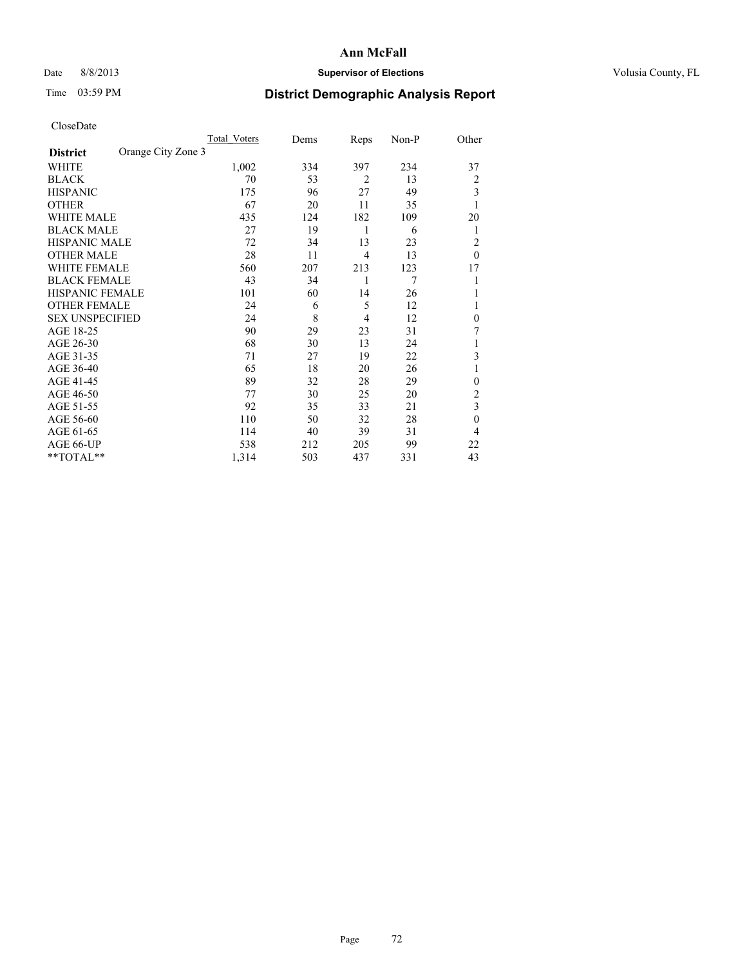# Date 8/8/2013 **Supervisor of Elections Supervisor of Elections** Volusia County, FL

# Time 03:59 PM **District Demographic Analysis Report**

|                        |                    | <b>Total Voters</b> | Dems | Reps           | Non-P | Other        |
|------------------------|--------------------|---------------------|------|----------------|-------|--------------|
| <b>District</b>        | Orange City Zone 3 |                     |      |                |       |              |
| WHITE                  |                    | 1,002               | 334  | 397            | 234   | 37           |
| <b>BLACK</b>           |                    | 70                  | 53   | $\overline{2}$ | 13    | 2            |
| <b>HISPANIC</b>        |                    | 175                 | 96   | 27             | 49    | 3            |
| <b>OTHER</b>           |                    | 67                  | 20   | 11             | 35    | 1            |
| WHITE MALE             |                    | 435                 | 124  | 182            | 109   | 20           |
| <b>BLACK MALE</b>      |                    | 27                  | 19   | 1              | 6     | 1            |
| <b>HISPANIC MALE</b>   |                    | 72                  | 34   | 13             | 23    | 2            |
| <b>OTHER MALE</b>      |                    | 28                  | 11   | $\overline{4}$ | 13    | $\theta$     |
| <b>WHITE FEMALE</b>    |                    | 560                 | 207  | 213            | 123   | 17           |
| <b>BLACK FEMALE</b>    |                    | 43                  | 34   | 1              | 7     |              |
| <b>HISPANIC FEMALE</b> |                    | 101                 | 60   | 14             | 26    |              |
| <b>OTHER FEMALE</b>    |                    | 24                  | 6    | 5              | 12    |              |
| <b>SEX UNSPECIFIED</b> |                    | 24                  | 8    | $\overline{4}$ | 12    | $\mathbf{0}$ |
| AGE 18-25              |                    | 90                  | 29   | 23             | 31    | 7            |
| AGE 26-30              |                    | 68                  | 30   | 13             | 24    | 1            |
| AGE 31-35              |                    | 71                  | 27   | 19             | 22    | 3            |
| AGE 36-40              |                    | 65                  | 18   | 20             | 26    | 1            |
| AGE 41-45              |                    | 89                  | 32   | 28             | 29    | $\theta$     |
| AGE 46-50              |                    | 77                  | 30   | 25             | 20    | 2            |
| AGE 51-55              |                    | 92                  | 35   | 33             | 21    | 3            |
| AGE 56-60              |                    | 110                 | 50   | 32             | 28    | $\mathbf{0}$ |
| AGE 61-65              |                    | 114                 | 40   | 39             | 31    | 4            |
| AGE 66-UP              |                    | 538                 | 212  | 205            | 99    | 22           |
| **TOTAL**              |                    | 1,314               | 503  | 437            | 331   | 43           |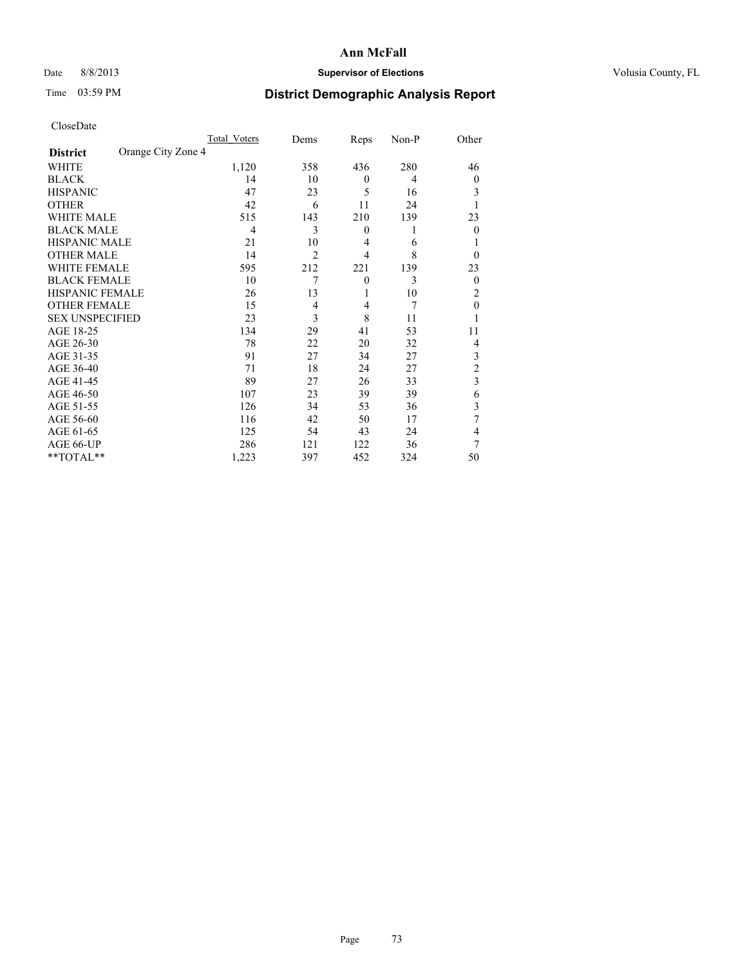## Date 8/8/2013 **Supervisor of Elections Supervisor of Elections** Volusia County, FL

# Time 03:59 PM **District Demographic Analysis Report**

|                        |                    | <b>Total Voters</b> | Dems           | Reps           | Non-P | Other          |
|------------------------|--------------------|---------------------|----------------|----------------|-------|----------------|
| <b>District</b>        | Orange City Zone 4 |                     |                |                |       |                |
| WHITE                  |                    | 1,120               | 358            | 436            | 280   | 46             |
| <b>BLACK</b>           |                    | 14                  | 10             | $\theta$       | 4     | $\overline{0}$ |
| <b>HISPANIC</b>        |                    | 47                  | 23             | 5              | 16    | 3              |
| <b>OTHER</b>           |                    | 42                  | 6              | 11             | 24    |                |
| WHITE MALE             |                    | 515                 | 143            | 210            | 139   | 23             |
| <b>BLACK MALE</b>      |                    | 4                   | 3              | $\mathbf{0}$   | 1     | $\Omega$       |
| <b>HISPANIC MALE</b>   |                    | 21                  | 10             | 4              | 6     |                |
| <b>OTHER MALE</b>      |                    | 14                  | $\overline{2}$ | $\overline{4}$ | 8     | $\Omega$       |
| <b>WHITE FEMALE</b>    |                    | 595                 | 212            | 221            | 139   | 23             |
| <b>BLACK FEMALE</b>    |                    | 10                  | 7              | $\overline{0}$ | 3     | $\overline{0}$ |
| <b>HISPANIC FEMALE</b> |                    | 26                  | 13             | 1              | 10    | 2              |
| <b>OTHER FEMALE</b>    |                    | 15                  | $\overline{4}$ | 4              | 7     | $\theta$       |
| <b>SEX UNSPECIFIED</b> |                    | 23                  | 3              | 8              | 11    |                |
| AGE 18-25              |                    | 134                 | 29             | 41             | 53    | 11             |
| AGE 26-30              |                    | 78                  | 22             | 20             | 32    | 4              |
| AGE 31-35              |                    | 91                  | 27             | 34             | 27    | 3              |
| AGE 36-40              |                    | 71                  | 18             | 24             | 27    | $\overline{c}$ |
| AGE 41-45              |                    | 89                  | 27             | 26             | 33    | 3              |
| AGE 46-50              |                    | 107                 | 23             | 39             | 39    | 6              |
| AGE 51-55              |                    | 126                 | 34             | 53             | 36    | 3              |
| AGE 56-60              |                    | 116                 | 42             | 50             | 17    | 7              |
| AGE 61-65              |                    | 125                 | 54             | 43             | 24    | 4              |
| AGE 66-UP              |                    | 286                 | 121            | 122            | 36    | 7              |
| **TOTAL**              |                    | 1,223               | 397            | 452            | 324   | 50             |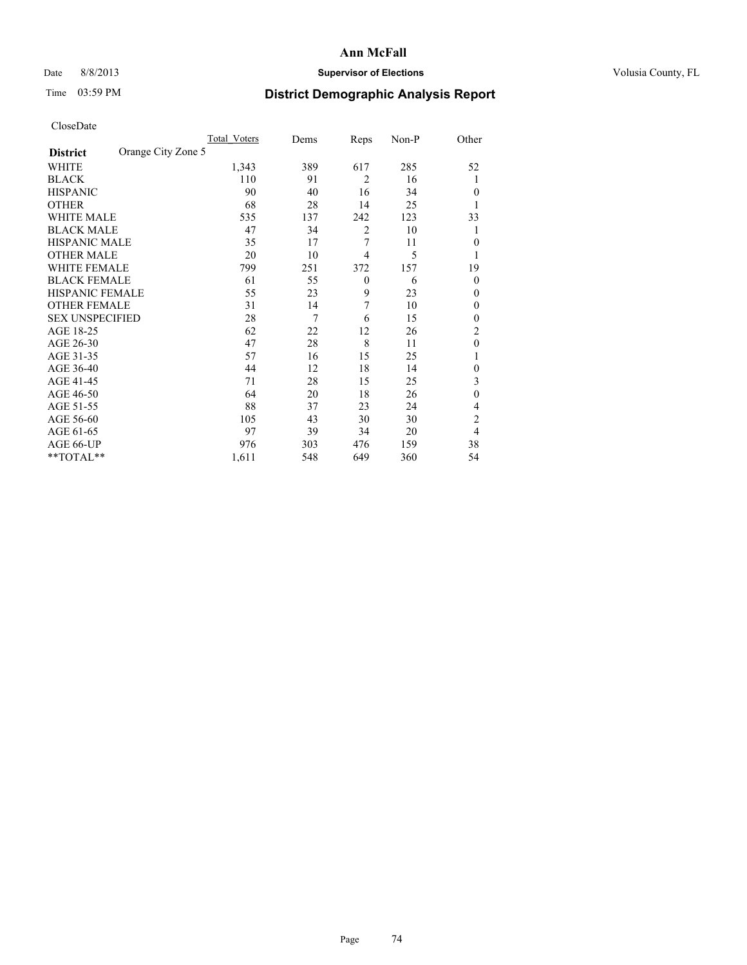## Date 8/8/2013 **Supervisor of Elections Supervisor of Elections** Volusia County, FL

# Time 03:59 PM **District Demographic Analysis Report**

|                        |                    | <b>Total Voters</b> | Dems | Reps           | Non-P | Other          |
|------------------------|--------------------|---------------------|------|----------------|-------|----------------|
| <b>District</b>        | Orange City Zone 5 |                     |      |                |       |                |
| WHITE                  |                    | 1,343               | 389  | 617            | 285   | 52             |
| <b>BLACK</b>           |                    | 110                 | 91   | $\overline{2}$ | 16    | 1              |
| <b>HISPANIC</b>        |                    | 90                  | 40   | 16             | 34    | $\theta$       |
| <b>OTHER</b>           |                    | 68                  | 28   | 14             | 25    | 1              |
| WHITE MALE             |                    | 535                 | 137  | 242            | 123   | 33             |
| <b>BLACK MALE</b>      |                    | 47                  | 34   | $\overline{2}$ | 10    | 1              |
| <b>HISPANIC MALE</b>   |                    | 35                  | 17   | 7              | 11    | $\mathbf{0}$   |
| <b>OTHER MALE</b>      |                    | 20                  | 10   | 4              | 5     | 1              |
| WHITE FEMALE           |                    | 799                 | 251  | 372            | 157   | 19             |
| <b>BLACK FEMALE</b>    |                    | 61                  | 55   | $\mathbf{0}$   | 6     | $\theta$       |
| <b>HISPANIC FEMALE</b> |                    | 55                  | 23   | 9              | 23    | $\theta$       |
| <b>OTHER FEMALE</b>    |                    | 31                  | 14   | 7              | 10    | $\theta$       |
| <b>SEX UNSPECIFIED</b> |                    | 28                  | 7    | 6              | 15    | $\mathbf{0}$   |
| AGE 18-25              |                    | 62                  | 22   | 12             | 26    | $\overline{c}$ |
| AGE 26-30              |                    | 47                  | 28   | 8              | 11    | $\theta$       |
| AGE 31-35              |                    | 57                  | 16   | 15             | 25    | 1              |
| AGE 36-40              |                    | 44                  | 12   | 18             | 14    | $\theta$       |
| AGE 41-45              |                    | 71                  | 28   | 15             | 25    | 3              |
| AGE 46-50              |                    | 64                  | 20   | 18             | 26    | $\theta$       |
| AGE 51-55              |                    | 88                  | 37   | 23             | 24    | 4              |
| AGE 56-60              |                    | 105                 | 43   | 30             | 30    | $\overline{c}$ |
| AGE 61-65              |                    | 97                  | 39   | 34             | 20    | 4              |
| AGE 66-UP              |                    | 976                 | 303  | 476            | 159   | 38             |
| **TOTAL**              |                    | 1,611               | 548  | 649            | 360   | 54             |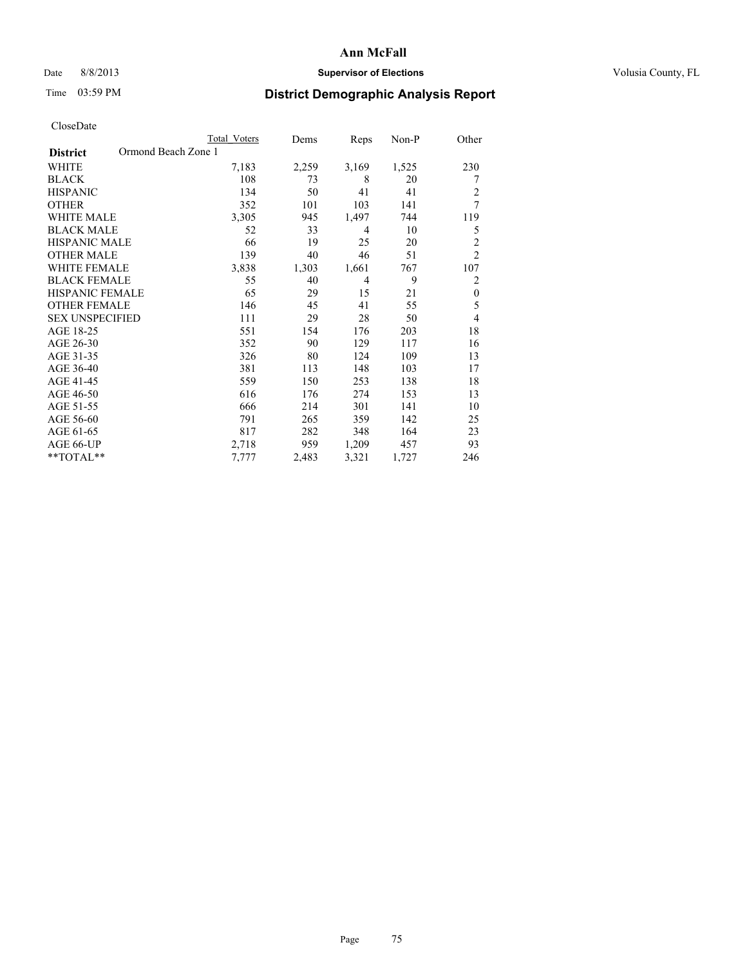#### Date 8/8/2013 **Supervisor of Elections Supervisor of Elections** Volusia County, FL

## Time 03:59 PM **District Demographic Analysis Report**

|                        | <b>Total Voters</b> | Dems  | Reps           | Non-P | Other          |
|------------------------|---------------------|-------|----------------|-------|----------------|
| <b>District</b>        | Ormond Beach Zone 1 |       |                |       |                |
| WHITE                  | 7,183               | 2,259 | 3,169          | 1,525 | 230            |
| <b>BLACK</b>           | 108                 | 73    | 8              | 20    | 7              |
| <b>HISPANIC</b>        | 134                 | 50    | 41             | 41    | $\overline{c}$ |
| <b>OTHER</b>           | 352                 | 101   | 103            | 141   | 7              |
| WHITE MALE             | 3,305               | 945   | 1,497          | 744   | 119            |
| <b>BLACK MALE</b>      | 52                  | 33    | 4              | 10    | 5              |
| HISPANIC MALE          | 66                  | 19    | 25             | 20    | $\overline{c}$ |
| <b>OTHER MALE</b>      | 139                 | 40    | 46             | 51    | $\overline{2}$ |
| <b>WHITE FEMALE</b>    | 3,838               | 1,303 | 1,661          | 767   | 107            |
| <b>BLACK FEMALE</b>    | 55                  | 40    | $\overline{4}$ | 9     | $\overline{c}$ |
| <b>HISPANIC FEMALE</b> | 65                  | 29    | 15             | 21    | $\theta$       |
| <b>OTHER FEMALE</b>    | 146                 | 45    | 41             | 55    | 5              |
| <b>SEX UNSPECIFIED</b> | 111                 | 29    | 28             | 50    | 4              |
| AGE 18-25              | 551                 | 154   | 176            | 203   | 18             |
| AGE 26-30              | 352                 | 90    | 129            | 117   | 16             |
| AGE 31-35              | 326                 | 80    | 124            | 109   | 13             |
| AGE 36-40              | 381                 | 113   | 148            | 103   | 17             |
| AGE 41-45              | 559                 | 150   | 253            | 138   | 18             |
| AGE 46-50              | 616                 | 176   | 274            | 153   | 13             |
| AGE 51-55              | 666                 | 214   | 301            | 141   | 10             |
| AGE 56-60              | 791                 | 265   | 359            | 142   | 25             |
| AGE 61-65              | 817                 | 282   | 348            | 164   | 23             |
| AGE 66-UP              | 2,718               | 959   | 1,209          | 457   | 93             |
| **TOTAL**              | 7,777               | 2,483 | 3,321          | 1,727 | 246            |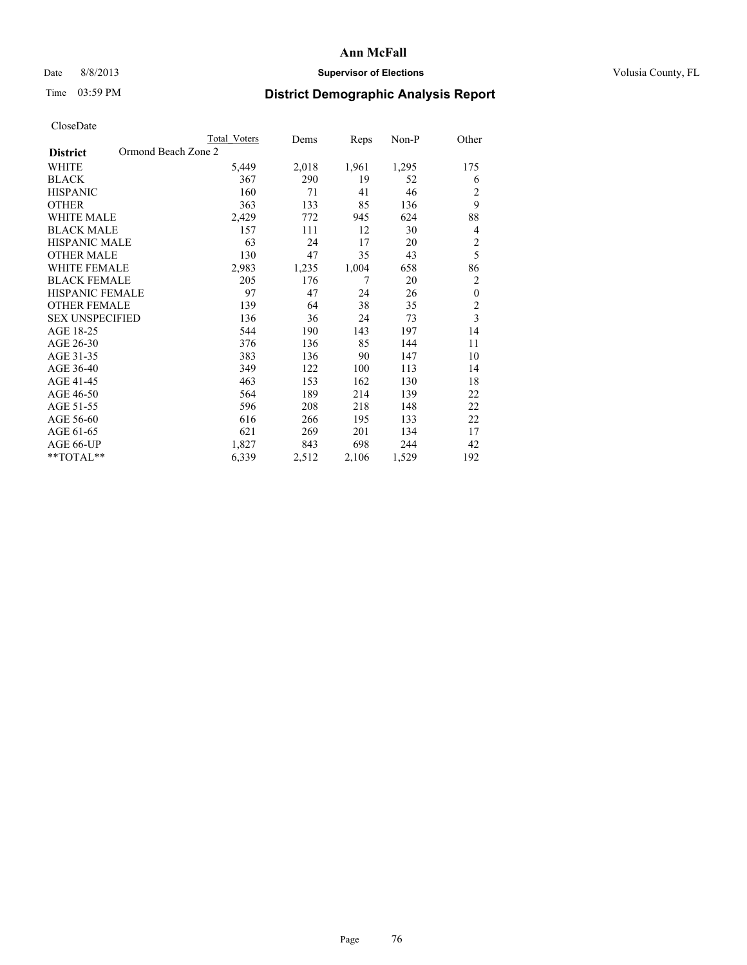## Date 8/8/2013 **Supervisor of Elections Supervisor of Elections** Volusia County, FL

## Time 03:59 PM **District Demographic Analysis Report**

|                                        | Total Voters | Dems  | Reps  | Non-P | Other                   |
|----------------------------------------|--------------|-------|-------|-------|-------------------------|
| Ormond Beach Zone 2<br><b>District</b> |              |       |       |       |                         |
| WHITE                                  | 5,449        | 2,018 | 1,961 | 1,295 | 175                     |
| <b>BLACK</b>                           | 367          | 290   | 19    | 52    | 6                       |
| <b>HISPANIC</b>                        | 160          | 71    | 41    | 46    | 2                       |
| <b>OTHER</b>                           | 363          | 133   | 85    | 136   | 9                       |
| <b>WHITE MALE</b>                      | 2,429        | 772   | 945   | 624   | 88                      |
| <b>BLACK MALE</b>                      | 157          | 111   | 12    | 30    | 4                       |
| <b>HISPANIC MALE</b>                   | 63           | 24    | 17    | 20    | $\overline{c}$          |
| <b>OTHER MALE</b>                      | 130          | 47    | 35    | 43    | 5                       |
| <b>WHITE FEMALE</b>                    | 2,983        | 1,235 | 1,004 | 658   | 86                      |
| <b>BLACK FEMALE</b>                    | 205          | 176   | 7     | 20    | $\overline{2}$          |
| <b>HISPANIC FEMALE</b>                 | 97           | 47    | 24    | 26    | $\boldsymbol{0}$        |
| <b>OTHER FEMALE</b>                    | 139          | 64    | 38    | 35    | $\overline{c}$          |
| <b>SEX UNSPECIFIED</b>                 | 136          | 36    | 24    | 73    | $\overline{\mathbf{3}}$ |
| AGE 18-25                              | 544          | 190   | 143   | 197   | 14                      |
| AGE 26-30                              | 376          | 136   | 85    | 144   | 11                      |
| AGE 31-35                              | 383          | 136   | 90    | 147   | 10                      |
| AGE 36-40                              | 349          | 122   | 100   | 113   | 14                      |
| AGE 41-45                              | 463          | 153   | 162   | 130   | 18                      |
| AGE 46-50                              | 564          | 189   | 214   | 139   | 22                      |
| AGE 51-55                              | 596          | 208   | 218   | 148   | 22                      |
| AGE 56-60                              | 616          | 266   | 195   | 133   | 22                      |
| AGE 61-65                              | 621          | 269   | 201   | 134   | 17                      |
| AGE 66-UP                              | 1,827        | 843   | 698   | 244   | 42                      |
| **TOTAL**                              | 6,339        | 2,512 | 2,106 | 1,529 | 192                     |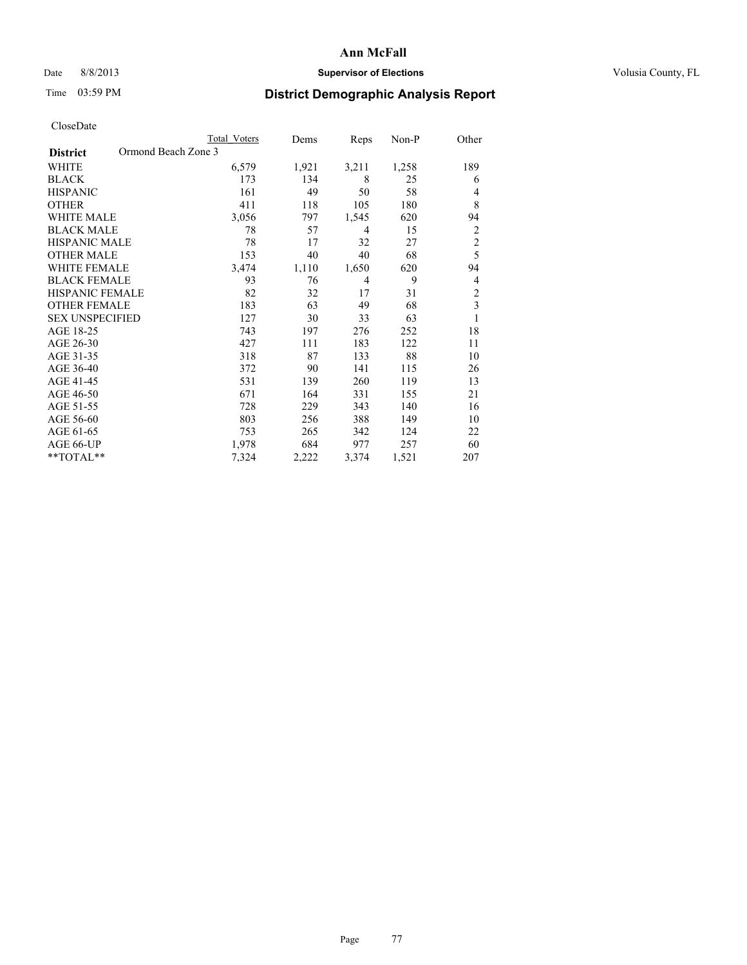#### Date 8/8/2013 **Supervisor of Elections Supervisor of Elections** Volusia County, FL

# Time 03:59 PM **District Demographic Analysis Report**

|                        | <b>Total Voters</b> | Dems  | Reps  | Non-P | Other          |
|------------------------|---------------------|-------|-------|-------|----------------|
| <b>District</b>        | Ormond Beach Zone 3 |       |       |       |                |
| WHITE                  | 6,579               | 1,921 | 3,211 | 1,258 | 189            |
| <b>BLACK</b>           | 173                 | 134   | 8     | 25    | 6              |
| <b>HISPANIC</b>        | 161                 | 49    | 50    | 58    | 4              |
| <b>OTHER</b>           | 411                 | 118   | 105   | 180   | 8              |
| WHITE MALE             | 3,056               | 797   | 1,545 | 620   | 94             |
| <b>BLACK MALE</b>      | 78                  | 57    | 4     | 15    | $\overline{2}$ |
| <b>HISPANIC MALE</b>   | 78                  | 17    | 32    | 27    | $\overline{c}$ |
| <b>OTHER MALE</b>      | 153                 | 40    | 40    | 68    | 5              |
| <b>WHITE FEMALE</b>    | 3,474               | 1,110 | 1,650 | 620   | 94             |
| <b>BLACK FEMALE</b>    | 93                  | 76    | 4     | 9     | 4              |
| <b>HISPANIC FEMALE</b> | 82                  | 32    | 17    | 31    | $\overline{c}$ |
| <b>OTHER FEMALE</b>    | 183                 | 63    | 49    | 68    | 3              |
| <b>SEX UNSPECIFIED</b> | 127                 | 30    | 33    | 63    | 1              |
| AGE 18-25              | 743                 | 197   | 276   | 252   | 18             |
| AGE 26-30              | 427                 | 111   | 183   | 122   | 11             |
| AGE 31-35              | 318                 | 87    | 133   | 88    | 10             |
| AGE 36-40              | 372                 | 90    | 141   | 115   | 26             |
| AGE 41-45              | 531                 | 139   | 260   | 119   | 13             |
| AGE 46-50              | 671                 | 164   | 331   | 155   | 21             |
| AGE 51-55              | 728                 | 229   | 343   | 140   | 16             |
| AGE 56-60              | 803                 | 256   | 388   | 149   | 10             |
| AGE 61-65              | 753                 | 265   | 342   | 124   | 22             |
| AGE 66-UP              | 1,978               | 684   | 977   | 257   | 60             |
| **TOTAL**              | 7,324               | 2,222 | 3,374 | 1,521 | 207            |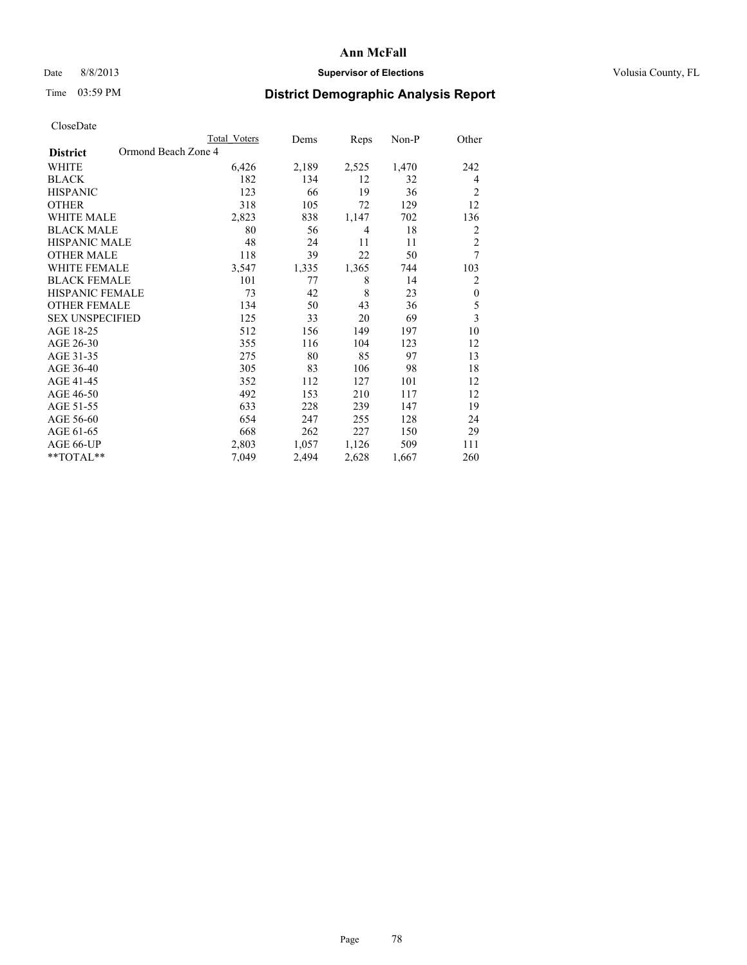## Date 8/8/2013 **Supervisor of Elections Supervisor of Elections** Volusia County, FL

## Time 03:59 PM **District Demographic Analysis Report**

|                                        | <b>Total Voters</b> | Dems  | Reps  | Non-P | Other                   |
|----------------------------------------|---------------------|-------|-------|-------|-------------------------|
| Ormond Beach Zone 4<br><b>District</b> |                     |       |       |       |                         |
| WHITE                                  | 6,426               | 2,189 | 2,525 | 1,470 | 242                     |
| <b>BLACK</b>                           | 182                 | 134   | 12    | 32    | $\overline{4}$          |
| <b>HISPANIC</b>                        | 123                 | 66    | 19    | 36    | $\overline{c}$          |
| <b>OTHER</b>                           | 318                 | 105   | 72    | 129   | 12                      |
| <b>WHITE MALE</b>                      | 2,823               | 838   | 1,147 | 702   | 136                     |
| <b>BLACK MALE</b>                      | 80                  | 56    | 4     | 18    | 2                       |
| HISPANIC MALE                          | 48                  | 24    | 11    | 11    | $\overline{c}$          |
| <b>OTHER MALE</b>                      | 118                 | 39    | 22    | 50    | 7                       |
| <b>WHITE FEMALE</b>                    | 3,547               | 1,335 | 1,365 | 744   | 103                     |
| <b>BLACK FEMALE</b>                    | 101                 | 77    | 8     | 14    | $\overline{c}$          |
| <b>HISPANIC FEMALE</b>                 | 73                  | 42    | 8     | 23    | $\boldsymbol{0}$        |
| <b>OTHER FEMALE</b>                    | 134                 | 50    | 43    | 36    | 5                       |
| <b>SEX UNSPECIFIED</b>                 | 125                 | 33    | 20    | 69    | $\overline{\mathbf{3}}$ |
| AGE 18-25                              | 512                 | 156   | 149   | 197   | 10                      |
| AGE 26-30                              | 355                 | 116   | 104   | 123   | 12                      |
| AGE 31-35                              | 275                 | 80    | 85    | 97    | 13                      |
| AGE 36-40                              | 305                 | 83    | 106   | 98    | 18                      |
| AGE 41-45                              | 352                 | 112   | 127   | 101   | 12                      |
| AGE 46-50                              | 492                 | 153   | 210   | 117   | 12                      |
| AGE 51-55                              | 633                 | 228   | 239   | 147   | 19                      |
| AGE 56-60                              | 654                 | 247   | 255   | 128   | 24                      |
| AGE 61-65                              | 668                 | 262   | 227   | 150   | 29                      |
| AGE 66-UP                              | 2,803               | 1,057 | 1,126 | 509   | 111                     |
| **TOTAL**                              | 7,049               | 2,494 | 2,628 | 1,667 | 260                     |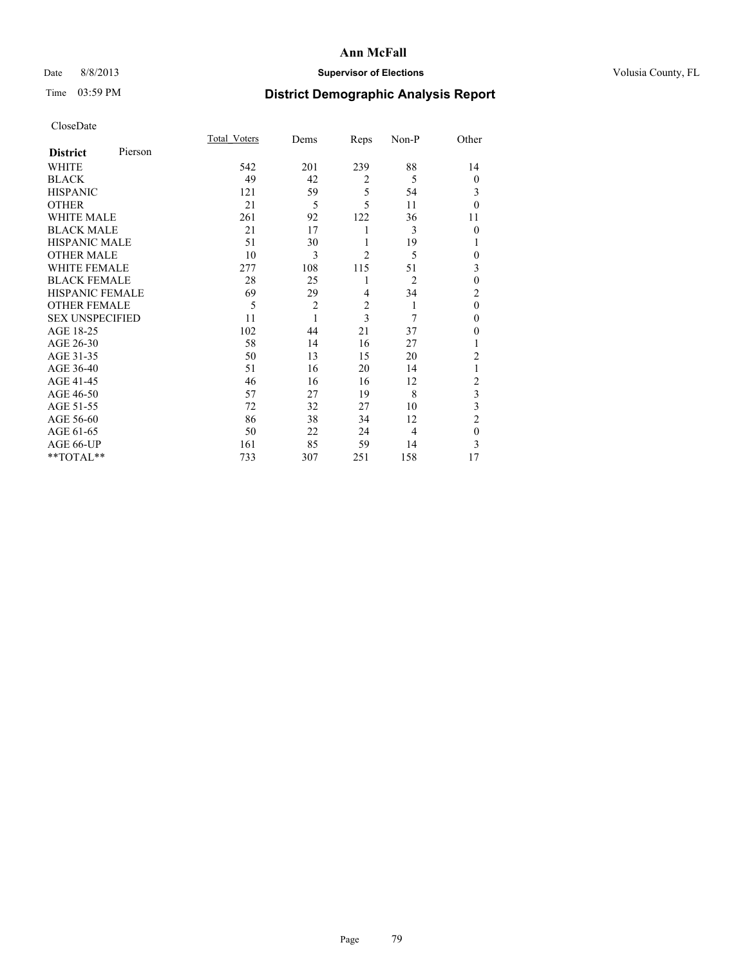## Date 8/8/2013 **Supervisor of Elections Supervisor of Elections** Volusia County, FL

## Time 03:59 PM **District Demographic Analysis Report**

|                        |         | <b>Total Voters</b> | Dems           | Reps           | Non-P          | Other          |
|------------------------|---------|---------------------|----------------|----------------|----------------|----------------|
| <b>District</b>        | Pierson |                     |                |                |                |                |
| WHITE                  |         | 542                 | 201            | 239            | 88             | 14             |
| <b>BLACK</b>           |         | 49                  | 42             | $\overline{2}$ | 5              | $\theta$       |
| <b>HISPANIC</b>        |         | 121                 | 59             | 5              | 54             | 3              |
| <b>OTHER</b>           |         | 21                  | 5              | 5              | 11             | $\theta$       |
| WHITE MALE             |         | 261                 | 92             | 122            | 36             | 11             |
| <b>BLACK MALE</b>      |         | 21                  | 17             | 1              | 3              | $\theta$       |
| <b>HISPANIC MALE</b>   |         | 51                  | 30             | 1              | 19             | 1              |
| <b>OTHER MALE</b>      |         | 10                  | 3              | $\overline{2}$ | 5              | $\theta$       |
| WHITE FEMALE           |         | 277                 | 108            | 115            | 51             | 3              |
| <b>BLACK FEMALE</b>    |         | 28                  | 25             | 1              | $\overline{2}$ | $\theta$       |
| <b>HISPANIC FEMALE</b> |         | 69                  | 29             | 4              | 34             | 2              |
| <b>OTHER FEMALE</b>    |         | 5                   | $\overline{c}$ | $\overline{c}$ | 1              | $\theta$       |
| <b>SEX UNSPECIFIED</b> |         | 11                  | 1              | 3              | 7              | $\theta$       |
| AGE 18-25              |         | 102                 | 44             | 21             | 37             | 0              |
| AGE 26-30              |         | 58                  | 14             | 16             | 27             | 1              |
| AGE 31-35              |         | 50                  | 13             | 15             | 20             | $\overline{c}$ |
| AGE 36-40              |         | 51                  | 16             | 20             | 14             | 1              |
| AGE 41-45              |         | 46                  | 16             | 16             | 12             | $\overline{c}$ |
| AGE 46-50              |         | 57                  | 27             | 19             | 8              | 3              |
| AGE 51-55              |         | 72                  | 32             | 27             | 10             | 3              |
| AGE 56-60              |         | 86                  | 38             | 34             | 12             | $\overline{2}$ |
| AGE 61-65              |         | 50                  | 22             | 24             | 4              | $\mathbf{0}$   |
| AGE 66-UP              |         | 161                 | 85             | 59             | 14             | 3              |
| **TOTAL**              |         | 733                 | 307            | 251            | 158            | 17             |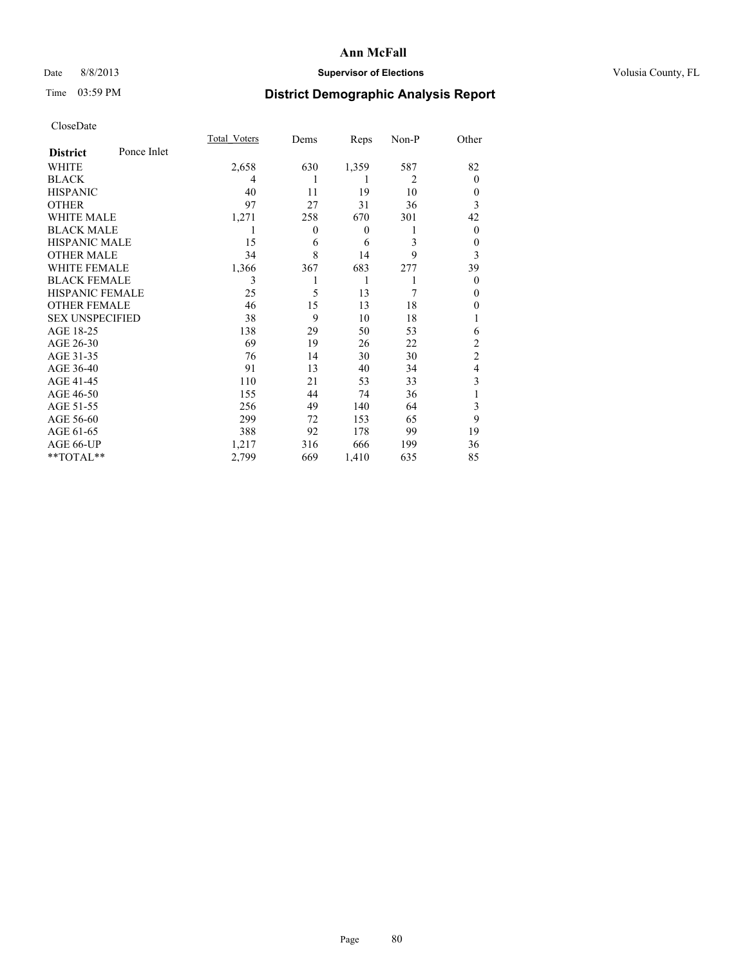## Date 8/8/2013 **Supervisor of Elections Supervisor of Elections** Volusia County, FL

## Time 03:59 PM **District Demographic Analysis Report**

|                        |             | <b>Total Voters</b> | Dems           | Reps         | Non-P          | Other          |
|------------------------|-------------|---------------------|----------------|--------------|----------------|----------------|
| <b>District</b>        | Ponce Inlet |                     |                |              |                |                |
| WHITE                  |             | 2,658               | 630            | 1,359        | 587            | 82             |
| <b>BLACK</b>           |             | 4                   |                | 1            | $\overline{2}$ | $\Omega$       |
| <b>HISPANIC</b>        |             | 40                  | 11             | 19           | 10             | $\Omega$       |
| <b>OTHER</b>           |             | 97                  | 27             | 31           | 36             | 3              |
| WHITE MALE             |             | 1,271               | 258            | 670          | 301            | 42             |
| <b>BLACK MALE</b>      |             | 1                   | $\overline{0}$ | $\mathbf{0}$ | 1              | $\overline{0}$ |
| <b>HISPANIC MALE</b>   |             | 15                  | 6              | 6            | 3              | 0              |
| <b>OTHER MALE</b>      |             | 34                  | 8              | 14           | 9              | 3              |
| <b>WHITE FEMALE</b>    |             | 1,366               | 367            | 683          | 277            | 39             |
| <b>BLACK FEMALE</b>    |             | 3                   |                | 1            | 1              | $\overline{0}$ |
| <b>HISPANIC FEMALE</b> |             | 25                  | 5              | 13           | 7              | $\Omega$       |
| <b>OTHER FEMALE</b>    |             | 46                  | 15             | 13           | 18             | $\Omega$       |
| <b>SEX UNSPECIFIED</b> |             | 38                  | 9              | 10           | 18             |                |
| AGE 18-25              |             | 138                 | 29             | 50           | 53             | 6              |
| AGE 26-30              |             | 69                  | 19             | 26           | 22             | $\overline{2}$ |
| AGE 31-35              |             | 76                  | 14             | 30           | 30             | $\overline{c}$ |
| AGE 36-40              |             | 91                  | 13             | 40           | 34             | $\overline{4}$ |
| AGE 41-45              |             | 110                 | 21             | 53           | 33             | 3              |
| AGE 46-50              |             | 155                 | 44             | 74           | 36             | 1              |
| AGE 51-55              |             | 256                 | 49             | 140          | 64             | 3              |
| AGE 56-60              |             | 299                 | 72             | 153          | 65             | 9              |
| AGE 61-65              |             | 388                 | 92             | 178          | 99             | 19             |
| AGE 66-UP              |             | 1,217               | 316            | 666          | 199            | 36             |
| **TOTAL**              |             | 2,799               | 669            | 1,410        | 635            | 85             |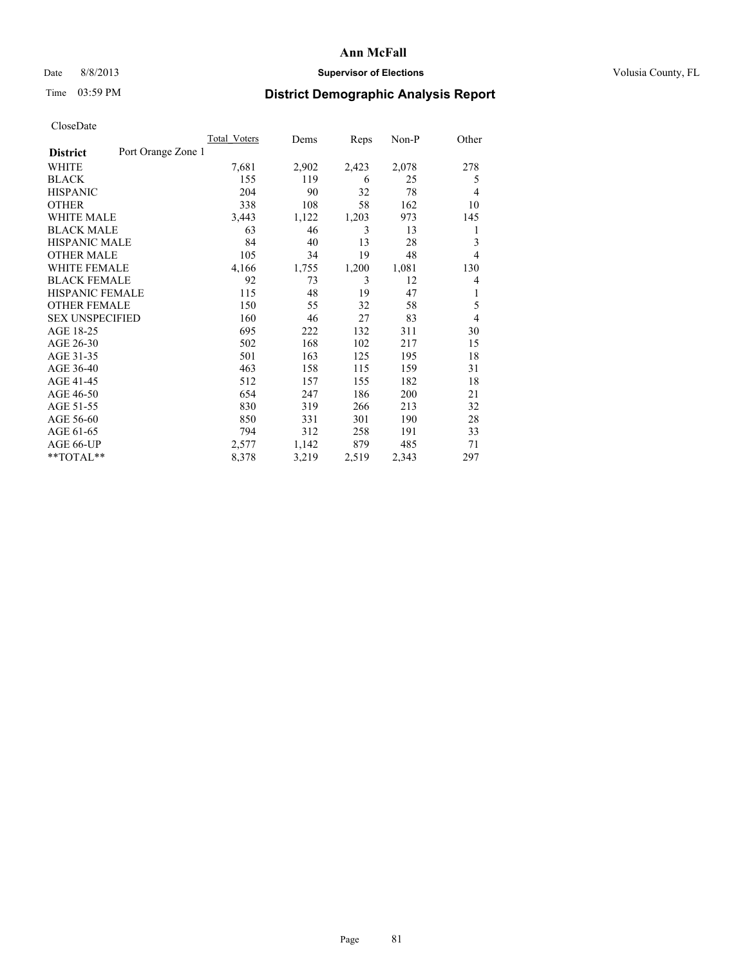#### Date 8/8/2013 **Supervisor of Elections Supervisor of Elections** Volusia County, FL

## Time 03:59 PM **District Demographic Analysis Report**

|                                       | <b>Total Voters</b> | Dems  | Reps  | Non-P | Other          |
|---------------------------------------|---------------------|-------|-------|-------|----------------|
| Port Orange Zone 1<br><b>District</b> |                     |       |       |       |                |
| WHITE                                 | 7,681               | 2,902 | 2,423 | 2,078 | 278            |
| <b>BLACK</b>                          | 155                 | 119   | 6     | 25    | 5              |
| <b>HISPANIC</b>                       | 204                 | 90    | 32    | 78    | $\overline{4}$ |
| <b>OTHER</b>                          | 338                 | 108   | 58    | 162   | 10             |
| <b>WHITE MALE</b>                     | 3,443               | 1,122 | 1,203 | 973   | 145            |
| <b>BLACK MALE</b>                     | 63                  | 46    | 3     | 13    | 1              |
| <b>HISPANIC MALE</b>                  | 84                  | 40    | 13    | 28    | 3              |
| <b>OTHER MALE</b>                     | 105                 | 34    | 19    | 48    | $\overline{4}$ |
| <b>WHITE FEMALE</b>                   | 4,166               | 1,755 | 1,200 | 1,081 | 130            |
| <b>BLACK FEMALE</b>                   | 92                  | 73    | 3     | 12    | $\overline{4}$ |
| <b>HISPANIC FEMALE</b>                | 115                 | 48    | 19    | 47    | 1              |
| <b>OTHER FEMALE</b>                   | 150                 | 55    | 32    | 58    | 5              |
| <b>SEX UNSPECIFIED</b>                | 160                 | 46    | 27    | 83    | $\overline{4}$ |
| AGE 18-25                             | 695                 | 222   | 132   | 311   | 30             |
| AGE 26-30                             | 502                 | 168   | 102   | 217   | 15             |
| AGE 31-35                             | 501                 | 163   | 125   | 195   | 18             |
| AGE 36-40                             | 463                 | 158   | 115   | 159   | 31             |
| AGE 41-45                             | 512                 | 157   | 155   | 182   | 18             |
| AGE 46-50                             | 654                 | 247   | 186   | 200   | 21             |
| AGE 51-55                             | 830                 | 319   | 266   | 213   | 32             |
| AGE 56-60                             | 850                 | 331   | 301   | 190   | 28             |
| AGE 61-65                             | 794                 | 312   | 258   | 191   | 33             |
| AGE 66-UP                             | 2,577               | 1,142 | 879   | 485   | 71             |
| **TOTAL**                             | 8,378               | 3,219 | 2,519 | 2,343 | 297            |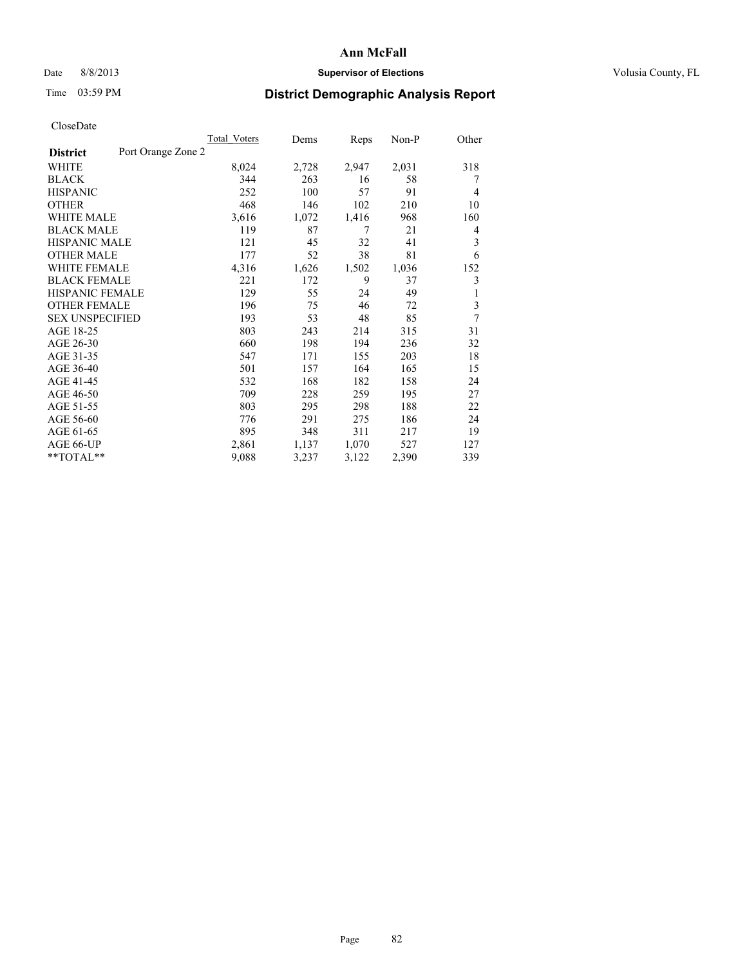## Date 8/8/2013 **Supervisor of Elections Supervisor of Elections** Volusia County, FL

# Time 03:59 PM **District Demographic Analysis Report**

|                        |                    | Total Voters | Dems  | Reps  | $Non-P$ | Other          |
|------------------------|--------------------|--------------|-------|-------|---------|----------------|
| <b>District</b>        | Port Orange Zone 2 |              |       |       |         |                |
| WHITE                  |                    | 8,024        | 2,728 | 2,947 | 2,031   | 318            |
| <b>BLACK</b>           |                    | 344          | 263   | 16    | 58      | 7              |
| <b>HISPANIC</b>        |                    | 252          | 100   | 57    | 91      | $\overline{4}$ |
| <b>OTHER</b>           |                    | 468          | 146   | 102   | 210     | 10             |
| WHITE MALE             |                    | 3,616        | 1,072 | 1,416 | 968     | 160            |
| <b>BLACK MALE</b>      |                    | 119          | 87    | 7     | 21      | 4              |
| <b>HISPANIC MALE</b>   |                    | 121          | 45    | 32    | 41      | 3              |
| <b>OTHER MALE</b>      |                    | 177          | 52    | 38    | 81      | 6              |
| <b>WHITE FEMALE</b>    |                    | 4,316        | 1,626 | 1,502 | 1,036   | 152            |
| <b>BLACK FEMALE</b>    |                    | 221          | 172   | 9     | 37      | 3              |
| HISPANIC FEMALE        |                    | 129          | 55    | 24    | 49      | 1              |
| <b>OTHER FEMALE</b>    |                    | 196          | 75    | 46    | 72      | 3              |
| <b>SEX UNSPECIFIED</b> |                    | 193          | 53    | 48    | 85      | 7              |
| AGE 18-25              |                    | 803          | 243   | 214   | 315     | 31             |
| AGE 26-30              |                    | 660          | 198   | 194   | 236     | 32             |
| AGE 31-35              |                    | 547          | 171   | 155   | 203     | 18             |
| AGE 36-40              |                    | 501          | 157   | 164   | 165     | 15             |
| AGE 41-45              |                    | 532          | 168   | 182   | 158     | 24             |
| AGE 46-50              |                    | 709          | 228   | 259   | 195     | 27             |
| AGE 51-55              |                    | 803          | 295   | 298   | 188     | 22             |
| AGE 56-60              |                    | 776          | 291   | 275   | 186     | 24             |
| AGE 61-65              |                    | 895          | 348   | 311   | 217     | 19             |
| AGE 66-UP              |                    | 2,861        | 1,137 | 1,070 | 527     | 127            |
| **TOTAL**              |                    | 9,088        | 3,237 | 3,122 | 2,390   | 339            |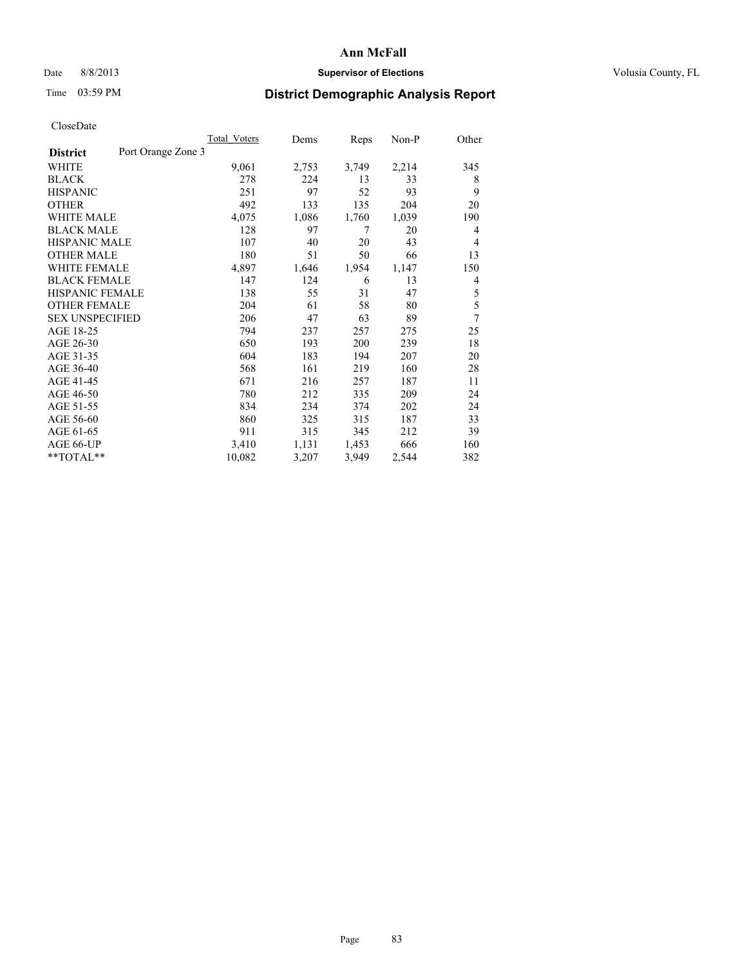#### Date 8/8/2013 **Supervisor of Elections Supervisor of Elections** Volusia County, FL

## Time 03:59 PM **District Demographic Analysis Report**

|                                       | Total Voters | Dems  | Reps  | Non-P | Other |
|---------------------------------------|--------------|-------|-------|-------|-------|
| Port Orange Zone 3<br><b>District</b> |              |       |       |       |       |
| WHITE                                 | 9,061        | 2,753 | 3,749 | 2,214 | 345   |
| <b>BLACK</b>                          | 278          | 224   | 13    | 33    | 8     |
| <b>HISPANIC</b>                       | 251          | 97    | 52    | 93    | 9     |
| <b>OTHER</b>                          | 492          | 133   | 135   | 204   | 20    |
| <b>WHITE MALE</b>                     | 4,075        | 1,086 | 1,760 | 1,039 | 190   |
| <b>BLACK MALE</b>                     | 128          | 97    | 7     | 20    | 4     |
| <b>HISPANIC MALE</b>                  | 107          | 40    | 20    | 43    | 4     |
| <b>OTHER MALE</b>                     | 180          | 51    | 50    | 66    | 13    |
| <b>WHITE FEMALE</b>                   | 4,897        | 1,646 | 1,954 | 1,147 | 150   |
| <b>BLACK FEMALE</b>                   | 147          | 124   | 6     | 13    | 4     |
| <b>HISPANIC FEMALE</b>                | 138          | 55    | 31    | 47    | 5     |
| <b>OTHER FEMALE</b>                   | 204          | 61    | 58    | 80    | 5     |
| <b>SEX UNSPECIFIED</b>                | 206          | 47    | 63    | 89    | 7     |
| AGE 18-25                             | 794          | 237   | 257   | 275   | 25    |
| AGE 26-30                             | 650          | 193   | 200   | 239   | 18    |
| AGE 31-35                             | 604          | 183   | 194   | 207   | 20    |
| AGE 36-40                             | 568          | 161   | 219   | 160   | 28    |
| AGE 41-45                             | 671          | 216   | 257   | 187   | 11    |
| AGE 46-50                             | 780          | 212   | 335   | 209   | 24    |
| AGE 51-55                             | 834          | 234   | 374   | 202   | 24    |
| AGE 56-60                             | 860          | 325   | 315   | 187   | 33    |
| AGE 61-65                             | 911          | 315   | 345   | 212   | 39    |
| AGE 66-UP                             | 3,410        | 1,131 | 1,453 | 666   | 160   |
| **TOTAL**                             | 10,082       | 3,207 | 3,949 | 2,544 | 382   |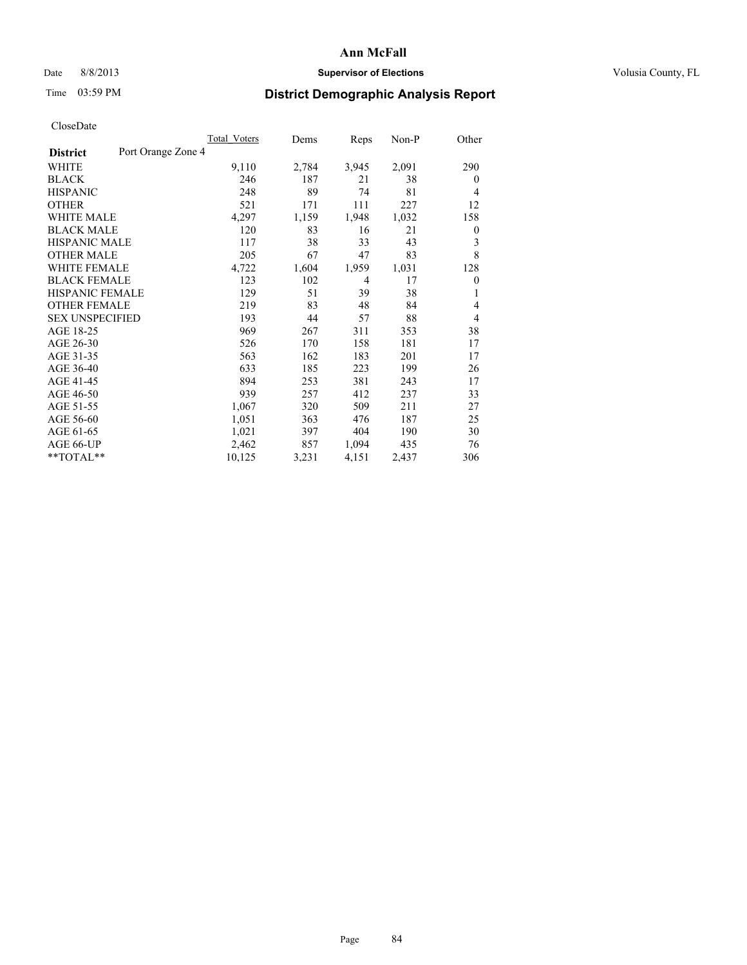## Date 8/8/2013 **Supervisor of Elections Supervisor of Elections** Volusia County, FL

## Time 03:59 PM **District Demographic Analysis Report**

|                                       | Total Voters | Dems  | Reps  | Non-P | Other          |
|---------------------------------------|--------------|-------|-------|-------|----------------|
| Port Orange Zone 4<br><b>District</b> |              |       |       |       |                |
| WHITE                                 | 9,110        | 2,784 | 3,945 | 2,091 | 290            |
| <b>BLACK</b>                          | 246          | 187   | 21    | 38    | $\overline{0}$ |
| <b>HISPANIC</b>                       | 248          | 89    | 74    | 81    | $\overline{4}$ |
| <b>OTHER</b>                          | 521          | 171   | 111   | 227   | 12             |
| <b>WHITE MALE</b>                     | 4,297        | 1,159 | 1,948 | 1,032 | 158            |
| <b>BLACK MALE</b>                     | 120          | 83    | 16    | 21    | $\overline{0}$ |
| <b>HISPANIC MALE</b>                  | 117          | 38    | 33    | 43    | 3              |
| <b>OTHER MALE</b>                     | 205          | 67    | 47    | 83    | 8              |
| <b>WHITE FEMALE</b>                   | 4,722        | 1,604 | 1,959 | 1,031 | 128            |
| <b>BLACK FEMALE</b>                   | 123          | 102   | 4     | 17    | $\overline{0}$ |
| <b>HISPANIC FEMALE</b>                | 129          | 51    | 39    | 38    | 1              |
| <b>OTHER FEMALE</b>                   | 219          | 83    | 48    | 84    | $\overline{4}$ |
| <b>SEX UNSPECIFIED</b>                | 193          | 44    | 57    | 88    | $\overline{4}$ |
| AGE 18-25                             | 969          | 267   | 311   | 353   | 38             |
| AGE 26-30                             | 526          | 170   | 158   | 181   | 17             |
| AGE 31-35                             | 563          | 162   | 183   | 201   | 17             |
| AGE 36-40                             | 633          | 185   | 223   | 199   | 26             |
| AGE 41-45                             | 894          | 253   | 381   | 243   | 17             |
| AGE 46-50                             | 939          | 257   | 412   | 237   | 33             |
| AGE 51-55                             | 1,067        | 320   | 509   | 211   | 27             |
| AGE 56-60                             | 1,051        | 363   | 476   | 187   | 25             |
| AGE 61-65                             | 1,021        | 397   | 404   | 190   | 30             |
| AGE 66-UP                             | 2,462        | 857   | 1,094 | 435   | 76             |
| **TOTAL**                             | 10,125       | 3,231 | 4,151 | 2,437 | 306            |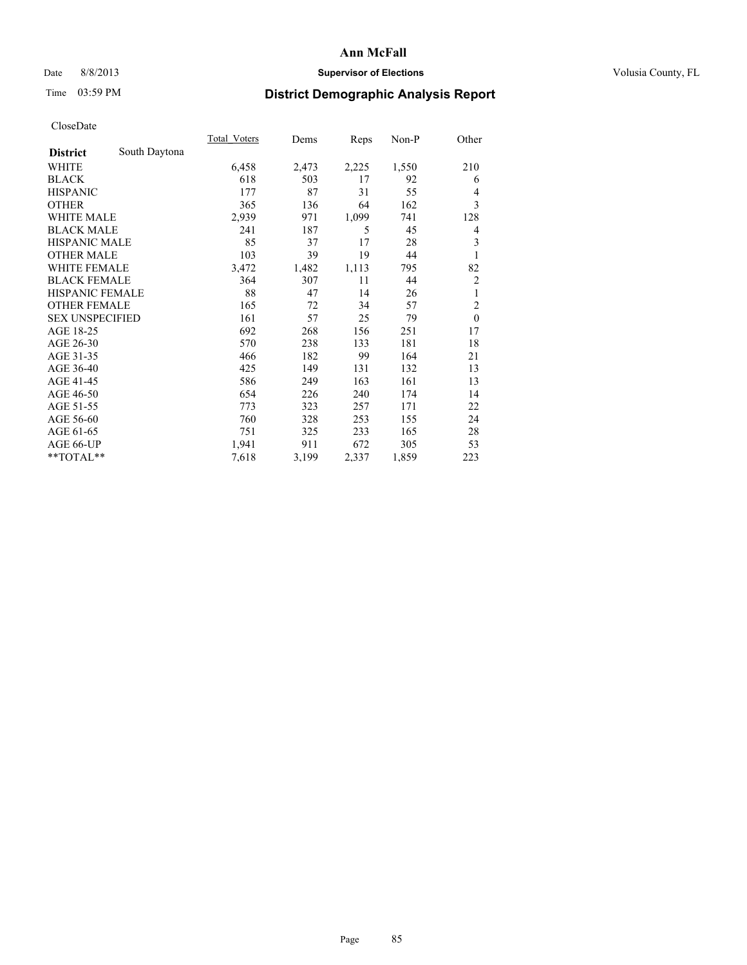## Date 8/8/2013 **Supervisor of Elections Supervisor of Elections** Volusia County, FL

# Time 03:59 PM **District Demographic Analysis Report**

|                        |               | Total Voters | Dems  | Reps  | $Non-P$ | Other          |
|------------------------|---------------|--------------|-------|-------|---------|----------------|
| <b>District</b>        | South Daytona |              |       |       |         |                |
| WHITE                  |               | 6,458        | 2,473 | 2,225 | 1,550   | 210            |
| <b>BLACK</b>           |               | 618          | 503   | 17    | 92      | 6              |
| <b>HISPANIC</b>        |               | 177          | 87    | 31    | 55      | $\overline{4}$ |
| <b>OTHER</b>           |               | 365          | 136   | 64    | 162     | 3              |
| <b>WHITE MALE</b>      |               | 2,939        | 971   | 1,099 | 741     | 128            |
| <b>BLACK MALE</b>      |               | 241          | 187   | 5     | 45      | 4              |
| <b>HISPANIC MALE</b>   |               | 85           | 37    | 17    | 28      | 3              |
| <b>OTHER MALE</b>      |               | 103          | 39    | 19    | 44      | 1              |
| <b>WHITE FEMALE</b>    |               | 3,472        | 1,482 | 1,113 | 795     | 82             |
| <b>BLACK FEMALE</b>    |               | 364          | 307   | 11    | 44      | $\overline{2}$ |
| <b>HISPANIC FEMALE</b> |               | 88           | 47    | 14    | 26      | 1              |
| <b>OTHER FEMALE</b>    |               | 165          | 72    | 34    | 57      | $\overline{2}$ |
| <b>SEX UNSPECIFIED</b> |               | 161          | 57    | 25    | 79      | $\mathbf{0}$   |
| AGE 18-25              |               | 692          | 268   | 156   | 251     | 17             |
| AGE 26-30              |               | 570          | 238   | 133   | 181     | 18             |
| AGE 31-35              |               | 466          | 182   | 99    | 164     | 21             |
| AGE 36-40              |               | 425          | 149   | 131   | 132     | 13             |
| AGE 41-45              |               | 586          | 249   | 163   | 161     | 13             |
| AGE 46-50              |               | 654          | 226   | 240   | 174     | 14             |
| AGE 51-55              |               | 773          | 323   | 257   | 171     | 22             |
| AGE 56-60              |               | 760          | 328   | 253   | 155     | 24             |
| AGE 61-65              |               | 751          | 325   | 233   | 165     | 28             |
| AGE 66-UP              |               | 1,941        | 911   | 672   | 305     | 53             |
| **TOTAL**              |               | 7,618        | 3,199 | 2,337 | 1,859   | 223            |